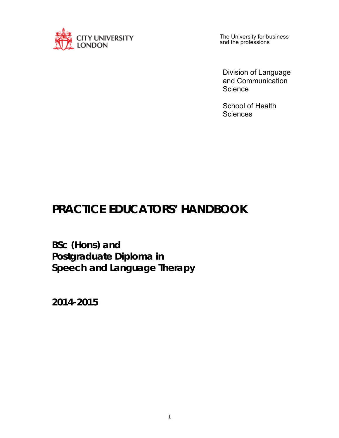

The University for business and the professions

Division of Language and Communication **Science** 

School of Health **Sciences** 

# **PRACTICE EDUCATORS' HANDBOOK**

**BSc (Hons) and Postgraduate Diploma in Speech and Language Therapy** 

**2014-2015**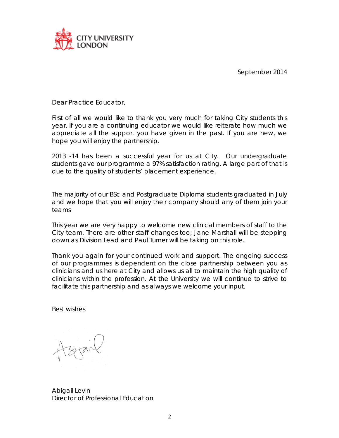

September 2014

Dear Practice Educator,

First of all we would like to thank you very much for taking City students this year. If you are a continuing educator we would like reiterate how much we appreciate all the support you have given in the past. If you are new, we hope you will enjoy the partnership.

2013 -14 has been a successful year for us at City. Our undergraduate students gave our programme a 97% satisfaction rating. A large part of that is due to the quality of students' placement experience.

The majority of our BSc and Postgraduate Diploma students graduated in July and we hope that you will enjoy their company should any of them join your teams

This year we are very happy to welcome new clinical members of staff to the City team. There are other staff changes too; Jane Marshall will be stepping down as Division Lead and Paul Turner will be taking on this role.

Thank you again for your continued work and support. The ongoing success of our programmes is dependent on the close partnership between you as clinicians and us here at City and allows us all to maintain the high quality of clinicians within the profession. At the University we will continue to strive to facilitate this partnership and as always we welcome your input.

Best wishes

tsijail

Abigail Levin Director of Professional Education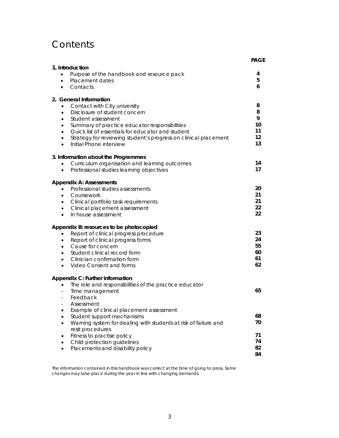## **Contents**

|                                                                                                                                                                                                                                                                                                                                                                                                      | <b>PAGE</b>                         |
|------------------------------------------------------------------------------------------------------------------------------------------------------------------------------------------------------------------------------------------------------------------------------------------------------------------------------------------------------------------------------------------------------|-------------------------------------|
| 1. Introduction<br>Purpose of the handbook and resource pack<br>$\bullet$<br>Placement dates<br>$\bullet$<br>Contacts<br>$\bullet$                                                                                                                                                                                                                                                                   | 4<br>5<br>6                         |
| 2. General Information<br>Contact with City university<br>$\bullet$<br>Disclosure of student concern<br>$\bullet$<br>Student assessment<br>$\bullet$<br>Summary of practice educator responsibilities<br>٠<br>Quick list of essentials for educator and student<br>$\bullet$<br>Strategy for reviewing student's progress on clinical placement<br>$\bullet$<br>Initial Phone interview<br>$\bullet$ | 8<br>8<br>9<br>10<br>11<br>12<br>13 |
| 3. Information about the Programmes<br>Curriculum organisation and learning outcomes<br>Professional studies learning objectives<br>$\bullet$                                                                                                                                                                                                                                                        | 14<br>17                            |
| <b>Appendix A: Assessments</b><br>Professional studies assessments<br>$\bullet$<br>Coursework<br>$\bullet$<br>Clinical portfolio task requirements<br>$\bullet$<br>Clinical placement assessment<br>$\bullet$<br>In house assessment<br>$\bullet$                                                                                                                                                    | 20<br>21<br>21<br>22<br>22          |
| Appendix B: resources to be photocopied<br>Report of clinical progress procedure<br>$\bullet$<br>Report of clinical progress forms<br>$\bullet$<br>Cause for concern<br>$\bullet$<br>Student clinical record form<br>$\bullet$<br>Clinician confirmation form<br>$\bullet$<br>Video Consent and forms<br>$\bullet$                                                                                   | 23<br>24<br>55<br>60<br>61<br>62    |
| Appendix C: Further information<br>The role and responsibilities of the practice educator<br>$\bullet$<br>Time management<br>Feedback<br>Assessment<br>Example of clinical placement assessment<br>$\bullet$                                                                                                                                                                                         | 65                                  |
| Student support mechanisms<br>$\bullet$<br>Warning system for dealing with students at risk of failure and<br>$\bullet$<br>resit procedures<br>Fitness to practise policy<br>Child protection guidelines<br>Placements and disability policy                                                                                                                                                         | 68<br>70<br>71<br>74<br>82<br>84    |

The information contained in this handbook was correct at the time of going to press. Some changes may take place during the year in line with changing demands.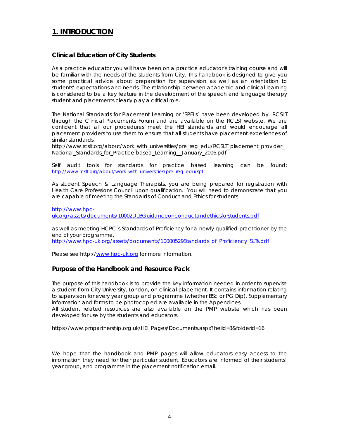## **1. INTRODUCTION**

#### **Clinical Education of City Students**

As a practice educator you will have been on a practice educator's training course and will be familiar with the needs of the students from City. This handbook is designed to give you some practical advice about preparation for supervision as well as an orientation to students' expectations and needs. The relationship between academic and clinical learning is considered to be a key feature in the development of the speech and language therapy student and placements clearly play a critical role.

The National Standards for Placement Learning or 'SPELs' have been developed by RCSLT through the Clinical Placements Forum and are available on the RCLST website. We are confident that all our procedures meet the HEI standards and would encourage all placement providers to use them to ensure that all students have placement experiences of similar standards.

http://www.rcslt.org/about/work\_with\_universities/pre\_reg\_edu/RCSLT\_placement\_provider\_ National\_Standards\_for\_Practice-based\_Learning\_\_January\_2006.pdf

Self audit tools for standards for practice based learning can be found: http://www.rcslt.org/about/work\_with\_universities/pre\_reg\_edu/spl

As student Speech & Language Therapists, you are being prepared for registration with Health Care Professions Council upon qualification. You will need to demonstrate that you are capable of meeting the Standards of Conduct and Ethics for students

http://www.hpcuk.org/assets/documents/10002D1BGuidanceonconductandethicsforstudents.pdf

as well as meeting HCPC's Standards of Proficiency for a newly qualified practitioner by the end of your programme.

http://www.hpc-uk.org/assets/documents/10000529Standards\_of\_Proficiency\_SLTs.pdf

Please see http://www.hpc-uk.org for more information.

#### **Purpose of the Handbook and Resource Pack**

The purpose of this handbook is to provide the key information needed in order to supervise a student from City University, London, on clinical placement. It contains information relating to supervision for every year group and programme (whether BSc or PG Dip). Supplementary information and forms to be photocopied are available in the Appendices.

All student related resources are also available on the PMP website which has been developed for use by the students and educators.

https://www.pmpartnership.org.uk/HEI\_Pages/Documents.aspx?heiid=3&folderid=16

We hope that the handbook and PMP pages will allow educators easy access to the information they need for their particular student. Educators are informed of their students' year group, and programme in the placement notification email.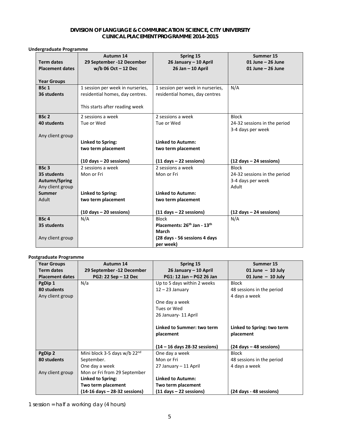#### **DIVISION OF LANGUAGE & COMMUNICATION SCIENCE, CITY UNIVERSITY CLINICAL PLACEMENT PROGRAMME 2014-2015**

#### **Undergraduate Programme**

|                        | Autumn 14                                 | Spring 15                                           | Summer 15                                 |
|------------------------|-------------------------------------------|-----------------------------------------------------|-------------------------------------------|
| <b>Term dates</b>      | 29 September -12 December                 | 26 January - 10 April                               | 01 June $-$ 26 June                       |
| <b>Placement dates</b> | $w/b$ 06 Oct - 12 Dec                     | 26 Jan - 10 April                                   | 01 June $-$ 26 June                       |
| <b>Year Groups</b>     |                                           |                                                     |                                           |
| BSc <sub>1</sub>       | 1 session per week in nurseries,          | 1 session per week in nurseries,                    | N/A                                       |
| 36 students            | residential homes, day centres.           | residential homes, day centres                      |                                           |
|                        |                                           |                                                     |                                           |
|                        | This starts after reading week            |                                                     |                                           |
| BSc <sub>2</sub>       | 2 sessions a week                         | 2 sessions a week                                   | <b>Block</b>                              |
| 40 students            | Tue or Wed                                | Tue or Wed                                          | 24-32 sessions in the period              |
|                        |                                           |                                                     | 3-4 days per week                         |
| Any client group       |                                           |                                                     |                                           |
|                        | <b>Linked to Spring:</b>                  | <b>Linked to Autumn:</b>                            |                                           |
|                        | two term placement                        | two term placement                                  |                                           |
|                        |                                           |                                                     |                                           |
|                        | $(10 \text{ days} - 20 \text{ sessions})$ | $(11$ days $- 22$ sessions)                         | $(12 \text{ days} - 24 \text{ sessions})$ |
| BSc <sub>3</sub>       | 2 sessions a week                         | 2 sessions a week                                   | <b>Block</b>                              |
| 35 students            | Mon or Fri                                | Mon or Fri                                          | 24-32 sessions in the period              |
| Autumn/Spring          |                                           |                                                     | 3-4 days per week                         |
| Any client group       |                                           |                                                     | Adult                                     |
| <b>Summer</b>          | <b>Linked to Spring:</b>                  | <b>Linked to Autumn:</b>                            |                                           |
| Adult                  | two term placement                        | two term placement                                  |                                           |
|                        |                                           |                                                     |                                           |
|                        | $(10 \text{ days} - 20 \text{ sessions})$ | $(11$ days $- 22$ sessions)                         | $(12 \text{ days} - 24 \text{ sessions})$ |
| BSc <sub>4</sub>       | N/A                                       | <b>Block</b>                                        | N/A                                       |
| 35 students            |                                           | Placements: 26 <sup>th</sup> Jan - 13 <sup>th</sup> |                                           |
|                        |                                           | March                                               |                                           |
| Any client group       |                                           | (28 days - 56 sessions 4 days                       |                                           |
|                        |                                           | per week)                                           |                                           |

#### **Postgraduate Programme**

| <b>Year Groups</b>     | Autumn 14                                       | Spring 15                                 | Summer 15                                 |
|------------------------|-------------------------------------------------|-------------------------------------------|-------------------------------------------|
| <b>Term dates</b>      | 29 September -12 December                       | 26 January – 10 April                     | 01 June $-$ 10 July                       |
| <b>Placement dates</b> | PG2: 22 Sep - 12 Dec                            | PG1: 12 Jan - PG2 26 Jan                  | 01 June $-$ 10 July                       |
| PgDip 1                | N/a                                             | Up to 5 days within 2 weeks               | <b>Block</b>                              |
| 80 students            |                                                 | $12 - 23$ January                         | 48 sessions in the period                 |
| Any client group       |                                                 |                                           | 4 days a week                             |
|                        |                                                 | One day a week                            |                                           |
|                        |                                                 | Tues or Wed                               |                                           |
|                        |                                                 | 26 January- 11 April                      |                                           |
|                        |                                                 |                                           |                                           |
|                        |                                                 | Linked to Summer: two term                | Linked to Spring: two term                |
|                        |                                                 | placement                                 | placement                                 |
|                        |                                                 |                                           |                                           |
|                        |                                                 | $(14 - 16$ days 28-32 sessions)           | $(24 \text{ days} - 48 \text{ sessions})$ |
| PgDip 2                | Mini block 3-5 days w/b $22nd$                  | One day a week                            | <b>Block</b>                              |
| 80 students            | September.                                      | Mon or Fri                                | 48 sessions in the period                 |
|                        | One day a week                                  | 27 January – 11 April                     | 4 days a week                             |
| Any client group       | Mon or Fri from 29 September                    |                                           |                                           |
|                        | Linked to Spring:                               | <b>Linked to Autumn:</b>                  |                                           |
|                        | Two term placement                              | Two term placement                        |                                           |
|                        | $(14-16 \text{ days} - 28-32 \text{ sessions})$ | $(11 \text{ days} - 22 \text{ sessions})$ | (24 days - 48 sessions)                   |

1 session = half a working day (4 hours)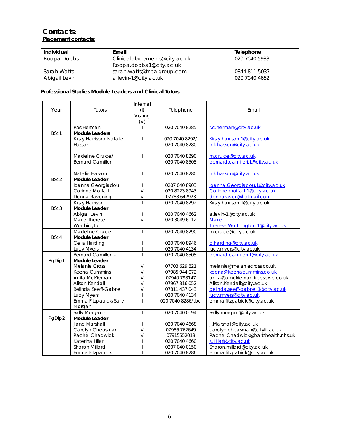### **Contacts: Placement contacts:**

| Individual    | Email                         | Telephone     |
|---------------|-------------------------------|---------------|
| Roopa Dobbs   | Clinicalplacements@city.ac.uk | 020 7040 5983 |
|               | Roopa.dobbs.1@city.ac.uk      |               |
| Sarah Watts   | sarah.watts@tribalgroup.com   | 0844 811 5037 |
| Abigail Levin | a.levin-1@city.ac.uk          | 020 7040 4662 |

#### **Professional Studies Module Leaders and Clinical Tutors**

|        |                          | Internal       |                   |                                    |
|--------|--------------------------|----------------|-------------------|------------------------------------|
| Year   | Tutors                   | (1)            | Telephone         | Email                              |
|        |                          | Visiting       |                   |                                    |
|        |                          | (V)            |                   |                                    |
|        | Ros Herman               |                | 020 7040 8285     | r.c.herman@city.ac.uk              |
| BSc1   | <b>Module Leaders</b>    |                |                   |                                    |
|        | Kirsty Harrison/ Natalie |                | 020 7040 8292/    | Kirsty.harrison.1@city.ac.uk       |
|        | Hasson                   |                | 020 7040 8280     | n.k.hasson@city.ac.uk              |
|        |                          |                |                   |                                    |
|        | Madeline Cruice/         |                | 020 7040 8290     | m.cruice@city.ac.uk                |
|        | <b>Bernard Camilleri</b> |                | 020 7040 8505     | bernard.camilleri.1@city.ac.uk     |
|        |                          |                |                   |                                    |
|        | Natalie Hasson           | L              | 020 7040 8280     | n.k.hasson@city.ac.uk              |
| BSc2   | Module Leader            |                |                   |                                    |
|        | Ioanna Georgiadou        | $\overline{1}$ | 0207 040 8903     | loanna.Georgiadou.1@city.ac.uk     |
|        | Corinne Moffatt          | $\vee$         | 020 8223 8943     | Corinne.moffatt.1@city.ac.uk       |
|        | Donna Ravening           | $\vee$         | 07788 642973      | donnaraven@hotmail.com             |
|        | Kirsty Harrison          |                | 020 7040 8292     | Kirsty.harrison.1@city.ac.uk       |
| BSc3   | Module Leader            |                |                   |                                    |
|        | Abigail Levin            | $\mathbf{I}$   | 020 7040 4662     | a.levin-1@city.ac.uk               |
|        | Marie-Therese            | $\vee$         | 020 3049 6112     | Marie-                             |
|        | Worthington              |                |                   | Therese. Worthington. 1@city.ac.uk |
|        | Madeline Cruice -        | T              | 020 7040 8290     | m.cruice@city.ac.uk                |
| BSc4   | <b>Module Leader</b>     |                |                   |                                    |
|        | Celia Harding            |                | 020 7040 8946     | c.harding@city.ac.uk               |
|        | Lucy Myers               | T              | 020 7040 4134     | lucy.myers@city.ac.uk              |
|        | Bernard Camilleri-       |                | 020 7040 8505     | bernard.camilleri.1@city.ac.uk     |
| PgDip1 | Module Leader            |                |                   |                                    |
|        | <b>Melanie Cross</b>     | $\vee$         | 07703 629 821     | melanie@melaniecross.co.uk         |
|        | Keena Cummins            | V              | 07985 944 072     | keena@keenacummins.co.uk           |
|        | Anita McKiernan          | $\vee$         | 07940 798147      | anita@amckiernan.freeserve.co.uk   |
|        | Alison Kendall           | V              | 07967 316 052     | Alison.Kendall@city.ac.uk          |
|        | Belinda Seeff-Gabriel    | V              | 07811 437 043     | belinda.seeff-gabriel.1@city.ac.uk |
|        | Lucy Myers               |                | 020 7040 4134     | lucy.myers@city.ac.uk              |
|        | Emma Fitzpatrick/Sally   | I              | 020 7040 8286/tbc | emma.fitzpatrick@city.ac.uk        |
|        | Morgan                   |                |                   |                                    |
|        | Sally Morgan -           | L              | 020 7040 0194     | Sally.morgan@city.ac.uk            |
| PgDip2 | Module Leader            |                |                   |                                    |
|        | Jane Marshall            | T              | 020 7040 4668     | J.Marshall@city.ac.uk              |
|        | Carolyn Cheasman         | V              | 07986 762649      | carolyn.cheasman@citylit.ac.uk     |
|        | Rachel Chadwick          | V              | 07915552019       | Rachel.Chadwick@bartshealth.nhs.uk |
|        | Katerina Hilari          |                | 020 7040 4660     | K.Hilari@city.ac.uk                |
|        | Sharon Millard           |                | 0207 040 0150     | Sharon.millard@city.ac.uk          |
|        | Emma Fitzpatrick         |                | 020 7040 8286     | emma.fitzpatrick@city.ac.uk        |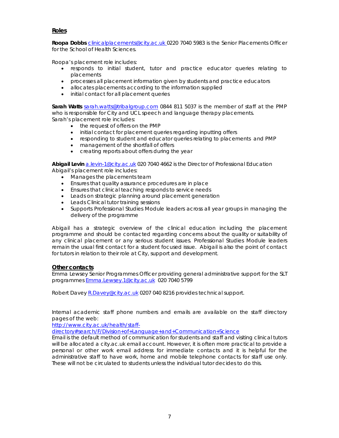#### **Roles**

Roopa Dobbs clinicalplacements@city.ac.uk 0220 7040 5983 is the Senior Placements Officer for the School of Health Sciences.

Roopa's placement role includes:

- responds to initial student, tutor and practice educator queries relating to placements
- processes all placement information given by students and practice educators
- allocates placements according to the information supplied
- initial contact for all placement queries

**Sarah Watts** sarah.watts@tribalgroup.com 0844 811 5037 is the member of staff at the PMP who is responsible for City and UCL speech and language therapy placements. Sarah's placement role includes:

- the request of offers on the PMP
- $\bullet$  initial contact for placement queries regarding inputting offers
- responding to student and educator queries relating to placements and PMP
- management of the shortfall of offers
- creating reports about offers during the year

**Abigail Levin** a.levin-1@city.ac.uk 020 7040 4662 is the Director of Professional Education Abigail's placement role includes:

- Manages the placements team
- Ensures that quality assurance procedures are in place
- Ensures that clinical teaching responds to service needs
- Leads on strategic planning around placement generation
- Leads Clinical tutor training sessions
- Supports Professional Studies Module leaders across all year groups in managing the delivery of the programme

Abigail has a strategic overview of the clinical education including the placement programme and should be contacted regarding concerns about the quality or suitability of any clinical placement or any serious student issues. Professional Studies Module leaders remain the usual first contact for a student focused issue. Abigail is also the point of contact for tutors in relation to their role at City, support and development.

#### **Other contacts**

Emma Lewsey Senior Programmes Officer providing general administrative support for the SLT programmes Emma.Lewsey.1@city.ac.uk 020 7040 5799

Robert Davey R.Davey@city.ac.uk 0207 040 8216 provides technical support.

Internal academic staff phone numbers and emails are available on the staff directory pages of the web:

http://www.city.ac.uk/health/staff-

directory#search/F/Division+of+Language+and+Communication+Science

Email is the default method of communication for students and staff and visiting clinical tutors will be allocated a city.ac.uk email account. However, it is often more practical to provide a personal or other work email address for immediate contacts and it is helpful for the administrative staff to have work, home and mobile telephone contacts for staff use only. These will not be circulated to students unless the individual tutor decides to do this.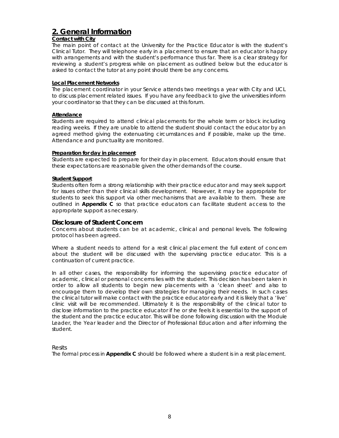## **2. General Information**

#### **Contact with City**

The main point of contact at the University for the Practice Educator is with the student's Clinical Tutor. They will telephone early in a placement to ensure that an educator is happy with arrangements and with the student's performance thus far. There is a clear strategy for reviewing a student's progress while on placement as outlined below but the educator is asked to contact the tutor at any point should there be any concerns.

#### **Local Placement Networks**

The placement coordinator in your Service attends two meetings a year with City and UCL to discuss placement related issues. If you have any feedback to give the universities inform your coordinator so that they can be discussed at this forum.

#### **Attendance**

Students are required to attend clinical placements for the whole term or block including reading weeks. If they are unable to attend the student should contact the educator by an agreed method giving the extenuating circumstances and if possible, make up the time. Attendance and punctuality are monitored.

#### **Preparation for day in placement**

Students are expected to prepare for their day in placement. Educators should ensure that these expectations are reasonable given the other demands of the course.

#### **Student Support**

Students often form a strong relationship with their practice educator and may seek support for issues other than their clinical skills development. However, it may be appropriate for students to seek this support via other mechanisms that are available to them. These are outlined in **Appendix C** so that practice educators can facilitate student access to the appropriate support as necessary.

#### **Disclosure of Student Concern**

Concerns about students can be at academic, clinical and personal levels. The following protocol has been agreed.

Where a student needs to attend for a resit clinical placement the full extent of concern about the student will be discussed with the supervising practice educator. This is a continuation of current practice.

In all other cases, the responsibility for informing the supervising practice educator of academic, clinical or personal concerns lies with the student. This decision has been taken in order to allow all students to begin new placements with a 'clean sheet' and also to encourage them to develop their own strategies for managing their needs. In such cases the clinical tutor will make contact with the practice educator early and it is likely that a 'live' clinic visit will be recommended. Ultimately it is the responsibility of the clinical tutor to disclose information to the practice educator if he or she feels it is essential to the support of the student and the practice educator. This will be done following discussion with the Module Leader, the Year leader and the Director of Professional Education and after informing the student.

#### Resits

The formal process in **Appendix C** should be followed where a student is in a resit placement.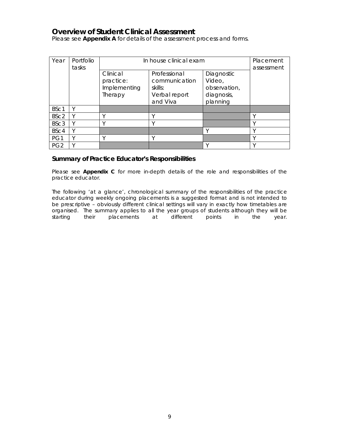## **Overview of Student Clinical Assessment**

Please see **Appendix A** for details of the assessment process and forms.

| Year             | Portfolio<br>tasks | In house clinical exam                           |                                                                       |                                                                | Placement<br>assessment |
|------------------|--------------------|--------------------------------------------------|-----------------------------------------------------------------------|----------------------------------------------------------------|-------------------------|
|                  |                    | Clinical<br>practice:<br>Implementing<br>Therapy | Professional<br>communication<br>skills:<br>Verbal report<br>and Viva | Diagnostic<br>Video,<br>observation,<br>diagnosis,<br>planning |                         |
| BSc1             |                    |                                                  |                                                                       |                                                                |                         |
| BSc <sub>2</sub> |                    |                                                  | ν                                                                     |                                                                |                         |
| BSc <sub>3</sub> |                    |                                                  | ν                                                                     |                                                                |                         |
| BSc4             |                    |                                                  |                                                                       |                                                                |                         |
| PG1              |                    |                                                  | ν                                                                     |                                                                |                         |
| PG <sub>2</sub>  |                    |                                                  |                                                                       |                                                                |                         |

#### **Summary of Practice Educator's Responsibilities**

Please see **Appendix C** for more in-depth details of the role and responsibilities of the practice educator.

The following 'at a glance', chronological summary of the responsibilities of the practice educator during weekly ongoing placements is a suggested format and is not intended to be prescriptive - obviously different clinical settings will vary in exactly how timetables are organised. The summary applies to all the year groups of students although they will be starting their polacements at different points in the year. starting their placements at different points in the year.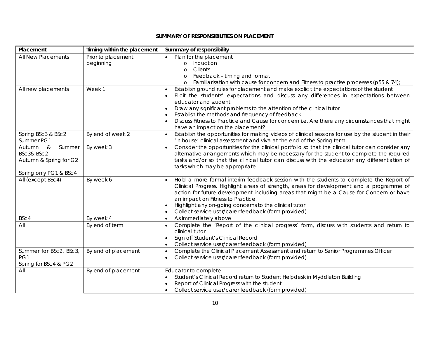#### **SUMMARY OF RESPONSIBILITIES ON PLACEMENT**

| Placement                        | Timing within the placement | Summary of responsibility                                                                                                                                                  |
|----------------------------------|-----------------------------|----------------------------------------------------------------------------------------------------------------------------------------------------------------------------|
| All New Placements               | Prior to placement          | Plan for the placement                                                                                                                                                     |
|                                  | beginning                   | Induction<br>$\Omega$                                                                                                                                                      |
|                                  |                             | Clients<br>$\Omega$                                                                                                                                                        |
|                                  |                             | Feedback - timing and format<br>$\Omega$                                                                                                                                   |
|                                  |                             | Familiarisation with cause for concern and Fitness to practise processes (p55 & 74);<br>$\circ$                                                                            |
| All new placements               | Week 1                      | Establish ground rules for placement and make explicit the expectations of the student                                                                                     |
|                                  |                             | Elicit the students' expectations and discuss any differences in expectations between                                                                                      |
|                                  |                             | educator and student                                                                                                                                                       |
|                                  |                             | Draw any significant problems to the attention of the clinical tutor<br>$\bullet$                                                                                          |
|                                  |                             | Establish the methods and frequency of feedback                                                                                                                            |
|                                  |                             | Discuss Fitness to Practice and Cause for concern i.e. Are there any circumstances that might<br>have an impact on the placement?                                          |
|                                  | By end of week 2            | Establish the opportunities for making videos of clinical sessions for use by the student in their                                                                         |
| Spring BSc3 & BSc2<br>Summer PG1 |                             |                                                                                                                                                                            |
| Summer<br>Autumn &               | By week 3                   | 'in house' clinical assessment and viva at the end of the Spring term<br>Consider the opportunities for the clinical portfolio so that the clinical tutor can consider any |
| BSc3& BSc2                       |                             | alternative arrangements which may be necessary for the student to complete the required                                                                                   |
|                                  |                             | tasks and/or so that the clinical tutor can discuss with the educator any differentiation of                                                                               |
| Autumn & Spring for G2           |                             | tasks which may be appropriate                                                                                                                                             |
| Spring only PG1 & BSc4           |                             |                                                                                                                                                                            |
| All (except BSc4)                | By week 6                   | Hold a more formal interim feedback session with the students to complete the Report of                                                                                    |
|                                  |                             | Clinical Progress. Highlight areas of strength, areas for development and a programme of                                                                                   |
|                                  |                             | action for future development including areas that might be a Cause for Concern or have                                                                                    |
|                                  |                             | an impact on Fitness to Practice.                                                                                                                                          |
|                                  |                             | Highlight any on-going concerns to the clinical tutor                                                                                                                      |
|                                  |                             | Collect service user/carer feedback (form provided)                                                                                                                        |
| BSc4                             | By week 4                   | As immediately above<br>$\bullet$                                                                                                                                          |
| All                              | By end of term              | Complete the 'Report of the clinical progress' form, discuss with students and return to                                                                                   |
|                                  |                             | clinical tutor                                                                                                                                                             |
|                                  |                             | Sign off Student's Clinical Record                                                                                                                                         |
|                                  |                             | Collect service user/carer feedback (form provided)<br>$\bullet$                                                                                                           |
| Summer for BSc2, BSc3,           | By end of placement         | Complete the Clinical Placement Assessment and return to Senior Programmes Officer<br>$\bullet$                                                                            |
| PG1                              |                             | Collect service user/carer feedback (form provided)                                                                                                                        |
| Spring for BSc4 & PG2            |                             |                                                                                                                                                                            |
| All                              | By end of placement         | Educator to complete:                                                                                                                                                      |
|                                  |                             | Student's Clinical Record return to Student Helpdesk in Myddleton Building<br>٠                                                                                            |
|                                  |                             | Report of Clinical Progress with the student                                                                                                                               |
|                                  |                             | Collect service user/carer feedback (form provided)<br>٠                                                                                                                   |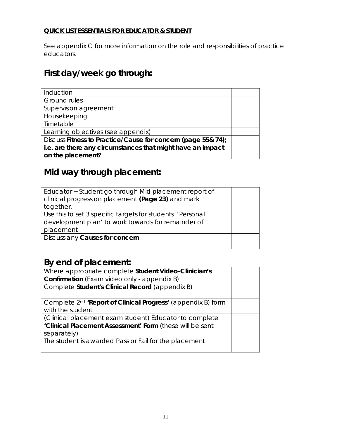### **QUICK LIST ESSENTIALS FOR EDUCATOR & STUDENT**

See appendix C for more information on the role and responsibilities of practice educators.

## **First day/week go through:**

| Induction                                                    |  |
|--------------------------------------------------------------|--|
| <b>Ground rules</b>                                          |  |
| Supervision agreement                                        |  |
| Housekeeping                                                 |  |
| Timetable                                                    |  |
| Learning objectives (see appendix)                           |  |
| Discuss Fitness to Practice/Cause for concern (page 55& 74); |  |
| i.e. are there any circumstances that might have an impact   |  |
| on the placement?                                            |  |

## **Mid way through placement:**

| Educator + Student go through Mid placement report of     |  |
|-----------------------------------------------------------|--|
| clinical progress on placement (Page 23) and mark         |  |
| together.                                                 |  |
| Use this to set 3 specific targets for students 'Personal |  |
| development plan' to work towards for remainder of        |  |
| placement                                                 |  |
| Discuss any Causes for concern                            |  |
|                                                           |  |

## **By end of placement:**

| Where appropriate complete Student Video-Clinician's                     |  |
|--------------------------------------------------------------------------|--|
| <b>Confirmation</b> (Exam video only - appendix B)                       |  |
| Complete Student's Clinical Record (appendix B)                          |  |
|                                                                          |  |
| Complete 2 <sup>nd</sup> 'Report of Clinical Progress' (appendix B) form |  |
| with the student                                                         |  |
| (Clinical placement exam student) Educator to complete                   |  |
| 'Clinical Placement Assessment' Form (these will be sent                 |  |
| separately)                                                              |  |
| The student is awarded Pass or Fail for the placement                    |  |
|                                                                          |  |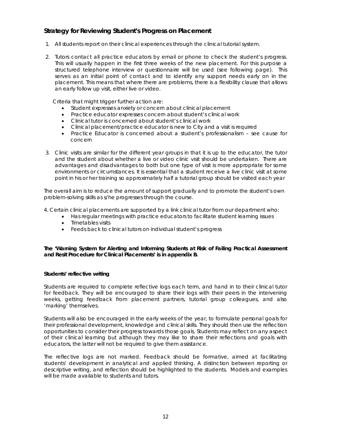### **Strategy for Reviewing Student's Progress on Placement**

- 1. All students report on their clinical experiences through the clinical tutorial system.
- 2. Tutors contact all practice educators by email or phone to check the student's progress. This will usually happen in the first three weeks of the new placement. For this purpose a structured telephone interview or questionnaire will be used (see following page). This serves as an initial point of contact and to identify any support needs early on in the placement. This means that where there are problems, there is a flexibility clause that allows an early follow up visit, either live or video.

Criteria that might trigger further action are:

- Student expresses anxiety or concern about clinical placement
- Practice educator expresses concern about student's clinical work
- Clinical tutor is concerned about student's clinical work
- Clinical placement/practice educator is new to City and a visit is required
- Practice Educator is concerned about a student's professionalism see cause for concern
- 3. Clinic visits are similar for the different year groups in that it is up to the educator, the tutor and the student about whether a live or video clinic visit should be undertaken. There are advantages and disadvantages to both but one type of visit is more appropriate for some environments or circumstances. It is essential that a student receive a live clinic visit at some point in his or her training so approximately half a tutorial group should be visited each year

The overall aim is to reduce the amount of support gradually and to promote the student's own problem-solving skills as s/he progresses through the course.

4. Certain clinical placements are supported by a link clinical tutor from our department who:

- Has regular meetings with practice educators to facilitate student learning issues
	- Timetables visits
	- Feeds back to clinical tutors on individual student's progress

**The 'Warning System for Alerting and Informing Students at Risk of Failing Practical Assessment and Resit Procedure for Clinical Placements' is in appendix B.** 

#### **Students' reflective writing**

Students are required to complete reflective logs each term, and hand in to their clinical tutor for feedback. They will be encouraged to share their logs with their peers in the intervening weeks, getting feedback from placement partners, tutorial group colleagues, and also 'marking' themselves.

Students will also be encouraged in the early weeks of the year, to formulate personal goals for their professional development, knowledge and clinical skills. They should then use the reflection opportunities to consider their progress towards those goals. Students may reflect on any aspect of their clinical learning but although they may like to share their reflections and goals with educators, the latter will not be required to give them assistance.

The reflective logs are not marked. Feedback should be formative, aimed at facilitating students' development in analytical and applied thinking. A distinction between reporting or descriptive writing, and reflection should be highlighted to the students. Models and examples will be made available to students and tutors.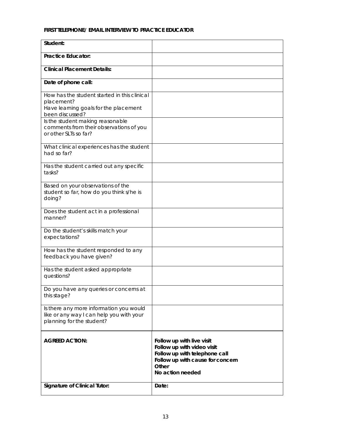#### **FIRST TELEPHONE/ EMAIL INTERVIEW TO PRACTICE EDUCATOR**

| Student:                                                                                                                                                                                                                       |                                                                                                                                                           |
|--------------------------------------------------------------------------------------------------------------------------------------------------------------------------------------------------------------------------------|-----------------------------------------------------------------------------------------------------------------------------------------------------------|
| <b>Practice Educator:</b>                                                                                                                                                                                                      |                                                                                                                                                           |
| <b>Clinical Placement Details:</b>                                                                                                                                                                                             |                                                                                                                                                           |
| Date of phone call:                                                                                                                                                                                                            |                                                                                                                                                           |
| How has the student started in this clinical<br>placement?<br>Have learning goals for the placement<br>been discussed?<br>Is the student making reasonable<br>comments from their observations of you<br>or other SLTs so far? |                                                                                                                                                           |
| What clinical experiences has the student<br>had so far?                                                                                                                                                                       |                                                                                                                                                           |
| Has the student carried out any specific<br>tasks?                                                                                                                                                                             |                                                                                                                                                           |
| Based on your observations of the<br>student so far, how do you think s/he is<br>doing?                                                                                                                                        |                                                                                                                                                           |
| Does the student act in a professional<br>manner?                                                                                                                                                                              |                                                                                                                                                           |
| Do the student's skills match your<br>expectations?                                                                                                                                                                            |                                                                                                                                                           |
| How has the student responded to any<br>feedback you have given?                                                                                                                                                               |                                                                                                                                                           |
| Has the student asked appropriate<br>questions?                                                                                                                                                                                |                                                                                                                                                           |
| Do you have any queries or concerns at<br>this stage?                                                                                                                                                                          |                                                                                                                                                           |
| Is there any more information you would<br>like or any way I can help you with your<br>planning for the student?                                                                                                               |                                                                                                                                                           |
| <b>AGREED ACTION:</b>                                                                                                                                                                                                          | Follow up with live visit<br>Follow up with video visit<br>Follow up with telephone call<br>Follow up with cause for concern<br>Other<br>No action needed |
| <b>Signature of Clinical Tutor:</b>                                                                                                                                                                                            | Date:                                                                                                                                                     |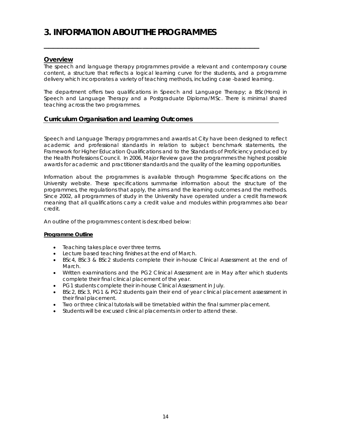## **3. INFORMATION ABOUT THE PROGRAMMES**

#### **Overview**

The speech and language therapy programmes provide a relevant and contemporary course content, a structure that reflects a logical learning curve for the students, and a programme delivery which incorporates a variety of teaching methods, including case -based learning.

\_\_\_\_\_\_\_\_\_\_\_\_\_\_\_\_\_\_\_\_\_\_\_\_\_\_\_\_\_\_\_\_\_\_\_\_\_\_\_\_\_\_\_\_\_\_

The department offers two qualifications in Speech and Language Therapy; a BSc(Hons) in Speech and Language Therapy and a Postgraduate Diploma/MSc. There is minimal shared teaching across the two programmes.

#### **Curriculum Organisation and Learning Outcomes**

Speech and Language Therapy programmes and awards at City have been designed to reflect academic and professional standards in relation to subject benchmark statements, the Framework for Higher Education Qualifications and to the Standards of Proficiency produced by the Health Professions Council. In 2006, Major Review gave the programmes the highest possible awards for academic and practitioner standards and the quality of the learning opportunities.

Information about the programmes is available through Programme Specifications on the University website. These specifications summarise information about the structure of the programmes, the regulations that apply, the aims and the learning outcomes and the methods. Since 2002, all programmes of study in the University have operated under a credit framework meaning that all qualifications carry a credit value and modules within programmes also bear credit.

An outline of the programmes content is described below:

#### **Programme Outline**

- Teaching takes place over three terms.
- Lecture based teaching finishes at the end of March.
- BSc4, BSc3 & BSc2 students complete their in-house Clinical Assessment at the end of March.
- Written examinations and the PG2 Clinical Assessment are in May after which students complete their final clinical placement of the year.
- PG1 students complete their in-house Clinical Assessment in July.
- BSc2, BSc3, PG1 & PG2 students gain their end of year clinical placement assessment in their final placement.
- Two or three clinical tutorials will be timetabled within the final summer placement.
- Students will be excused clinical placements in order to attend these.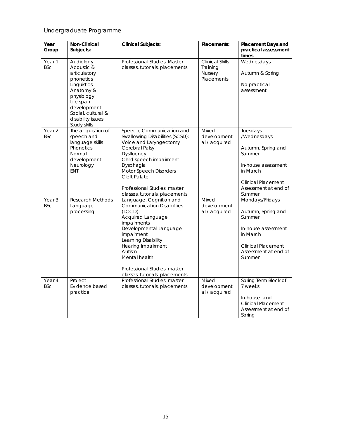### Undergraduate Programme

| Year<br>Group                   | Non-Clinical<br>Subjects:                                                                                                                                                             | <b>Clinical Subjects:</b>                                                                                                                                                                                                                                                                    | Placements:                                                 | <b>Placement Days and</b><br>practical assessment<br>times                                                                                                |
|---------------------------------|---------------------------------------------------------------------------------------------------------------------------------------------------------------------------------------|----------------------------------------------------------------------------------------------------------------------------------------------------------------------------------------------------------------------------------------------------------------------------------------------|-------------------------------------------------------------|-----------------------------------------------------------------------------------------------------------------------------------------------------------|
| Year 1<br><b>BSc</b>            | Audiology<br>Acoustic &<br>articulatory<br>phonetics<br>Linguistics<br>Anatomy &<br>physiology<br>Life span<br>development<br>Social, cultural &<br>disability issues<br>Study skills | Professional Studies: Master<br>classes, tutorials, placements                                                                                                                                                                                                                               | <b>Clinical Skills</b><br>Training<br>Nursery<br>Placements | Wednesdays<br>Autumn & Spring<br>No practical<br>assessment                                                                                               |
| Year <sub>2</sub><br><b>BSc</b> | The acquisition of<br>speech and<br>language skills<br>Phonetics<br>Normal<br>development<br>Neurology<br><b>ENT</b>                                                                  | Speech, Communication and<br>Swallowing Disabilities (SCSD):<br>Voice and Laryngectomy<br>Cerebral Palsy<br>Dysfluency<br>Child speech impairment<br>Dysphagia<br>Motor Speech Disorders<br>Cleft Palate<br>Professional Studies: master<br>classes, tutorials, placements                   | Mixed<br>development<br>al / acquired                       | Tuesdays<br>/Wednesdays<br>Autumn, Spring and<br>Summer<br>In-house assessment<br>in March<br><b>Clinical Placement</b><br>Assessment at end of<br>Summer |
| Year <sub>3</sub><br><b>BSc</b> | <b>Research Methods</b><br>Language<br>processing                                                                                                                                     | Language, Cognition and<br><b>Communication Disabilities</b><br>(LCD):<br>Acquired Language<br>impairments<br>Developmental Language<br>impairment<br>Learning Disability<br>Hearing Impairment<br>Autism<br>Mental health<br>Professional Studies: master<br>classes, tutorials, placements | Mixed<br>development<br>al / acquired                       | Mondays/Fridays<br>Autumn, Spring and<br>Summer<br>In-house assessment<br>in March<br><b>Clinical Placement</b><br>Assessment at end of<br>Summer         |
| Year <sub>4</sub><br><b>BSc</b> | Project<br>Evidence based<br>practice                                                                                                                                                 | Professional Studies: master<br>classes, tutorials, placements                                                                                                                                                                                                                               | Mixed<br>development<br>al / acquired                       | Spring Term Block of<br>7 weeks<br>In-house and<br><b>Clinical Placement</b><br>Assessment at end of<br>Spring                                            |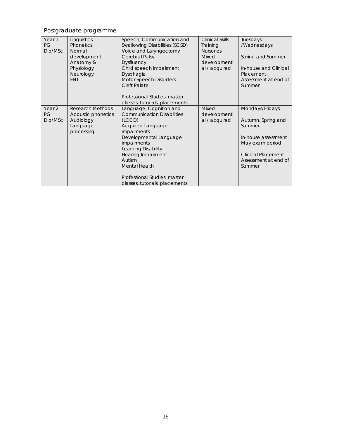## Postgraduate programme

| Year <sub>1</sub><br>PG<br>Dip/MSc | Linguistics<br><b>Phonetics</b><br>Normal<br>development<br>Anatomy &<br>Physiology<br>Neurology<br><b>ENT</b> | Speech, Communication and<br><b>Swallowing Disabilities (SCSD)</b><br>Voice and Laryngectomy<br>Cerebral Palsy<br><b>Dysfluency</b><br>Child speech impairment<br>Dysphagia<br>Motor Speech Disorders<br><b>Cleft Palate</b><br>Professional Studies: master<br>classes, tutorials, placements      | <b>Clinical Skills</b><br>Training<br><b>Nurseries</b><br><b>Mixed</b><br>development<br>al / acquired | Tuesdays<br>/Wednesdays<br>Spring and Summer<br>In-house and Clinical<br>Placement<br>Assessment at end of<br>Summer                                     |
|------------------------------------|----------------------------------------------------------------------------------------------------------------|-----------------------------------------------------------------------------------------------------------------------------------------------------------------------------------------------------------------------------------------------------------------------------------------------------|--------------------------------------------------------------------------------------------------------|----------------------------------------------------------------------------------------------------------------------------------------------------------|
| Year <sub>2</sub><br>PG<br>Dip/MSc | <b>Research Methods</b><br>Acoustic phonetics<br>Audiology<br>Language<br>processing                           | Language, Cognition and<br><b>Communication Disabilities</b><br>(LCD)<br>Acquired Language<br><i>impairments</i><br>Developmental Language<br>impairments<br>Learning Disability<br>Hearing Impairment<br>Autism<br>Mental Health<br>Professional Studies: master<br>classes, tutorials, placements | <b>Mixed</b><br>development<br>al / acquired                                                           | Mondays/Fridays<br>Autumn, Spring and<br>Summer<br>In-house assessment<br>May exam period<br><b>Clinical Placement</b><br>Assessment at end of<br>Summer |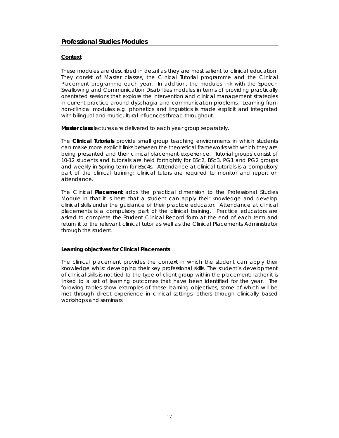#### **Professional Studies Modules**

#### **Context**

These modules are described in detail as they are most salient to clinical education. They consist of Master classes, the Clinical Tutorial programme and the Clinical Placement programme each year. In addition, the modules link with the Speech Swallowing and Communication Disabilities modules in terms of providing practically orientated sessions that explore the intervention and clinical management strategies in current practice around dysphagia and communication problems. Learning from non-clinical modules e.g. phonetics and linguistics is made explicit and integrated with bilingual and multicultural influences thread throughout.

**Master class** lectures are delivered to each year group separately.

The **Clinical Tutorials** provide small group teaching environments in which students can make more explicit links between the theoretical frameworks with which they are being presented and their clinical placement experience. Tutorial groups consist of 10-12 students and tutorials are held fortnightly for BSc2, BSc3, PG1 and PG2 groups and weekly in Spring term for BSc4s. Attendance at clinical tutorials is a compulsory part of the clinical training: clinical tutors are required to monitor and report on attendance.

The Clinical **Placement** adds the practical dimension to the Professional Studies Module in that it is here that a student can apply their knowledge and develop clinical skills under the guidance of their practice educator. Attendance at clinical placements is a compulsory part of the clinical training. Practice educators are asked to complete the Student Clinical Record form at the end of each term and return it to the relevant clinical tutor as well as the Clinical Placements Administrator through the student.

#### **Learning objectives for Clinical Placements**

The clinical placement provides the context in which the student can apply their knowledge whilst developing their key professional skills. The student's development of clinical skills is *not* tied to the type of client group within the placement; rather it is linked to a set of learning outcomes that have been identified for the year. The following tables show examples of these learning objectives, some of which will be met through direct experience in clinical settings, others through clinically based workshops and seminars.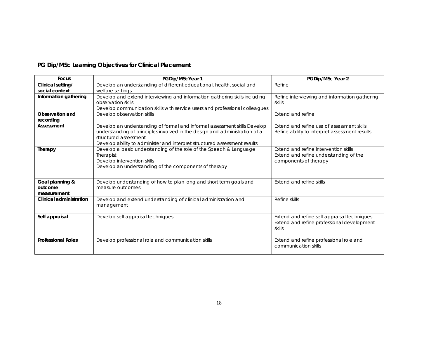| PG Dip/MSc Learning Objectives for Clinical Placement |  |  |
|-------------------------------------------------------|--|--|
|-------------------------------------------------------|--|--|

| <b>Focus</b>                              | PGDip/MScYear 1                                                                                                                                                                                                                                               | PGDip/MSc Year 2                                                                                         |
|-------------------------------------------|---------------------------------------------------------------------------------------------------------------------------------------------------------------------------------------------------------------------------------------------------------------|----------------------------------------------------------------------------------------------------------|
| Clinical setting/<br>social context       | Develop an understanding of different educational, health, social and<br>welfare settings                                                                                                                                                                     | Refine                                                                                                   |
| Information gathering                     | Develop and extend interviewing and information gathering skills including<br>observation skills<br>Develop communication skills with service users and professional colleagues                                                                               | Refine interviewing and information gathering<br>skills                                                  |
| Observation and<br>recording              | Develop observation skills                                                                                                                                                                                                                                    | Extend and refine                                                                                        |
| Assessment                                | Develop an understanding of formal and informal assessment skills Develop<br>understanding of principles involved in the design and administration of a<br>structured assessment<br>Develop ability to administer and interpret structured assessment results | Extend and refine use of assessment skills<br>Refine ability to interpret assessment results             |
| Therapy                                   | Develop a basic understanding of the role of the Speech & Language<br>Therapist<br>Develop intervention skills<br>Develop an understanding of the components of therapy                                                                                       | Extend and refine intervention skills<br>Extend and refine understanding of the<br>components of therapy |
| Goal planning &<br>outcome<br>measurement | Develop understanding of how to plan long and short term goals and<br>measure outcomes.                                                                                                                                                                       | Extend and refine skills                                                                                 |
| Clinical administration                   | Develop and extend understanding of clinical administration and<br>management                                                                                                                                                                                 | Refine skills                                                                                            |
| Self appraisal                            | Develop self appraisal techniques                                                                                                                                                                                                                             | Extend and refine self appraisal techniques<br>Extend and refine professional development<br>skills      |
| <b>Professional Roles</b>                 | Develop professional role and communication skills                                                                                                                                                                                                            | Extend and refine professional role and<br>communication skills                                          |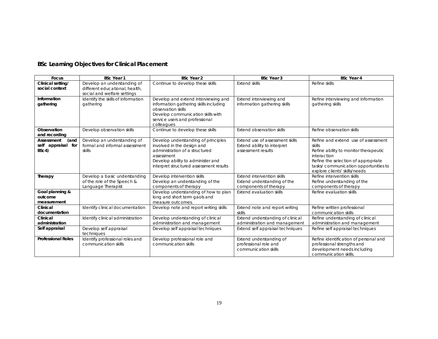| <b>BSc Learning Objectives for Clinical Placement</b> |  |  |
|-------------------------------------------------------|--|--|
|                                                       |  |  |

| <b>Focus</b>                                      | <b>BSc Year 1</b>                                                                            | <b>BSc Year 2</b>                                                                                                                                                                                 | <b>BSc Year 3</b>                                                                    | <b>BSc Year 4</b>                                                                                                                                                                                                     |
|---------------------------------------------------|----------------------------------------------------------------------------------------------|---------------------------------------------------------------------------------------------------------------------------------------------------------------------------------------------------|--------------------------------------------------------------------------------------|-----------------------------------------------------------------------------------------------------------------------------------------------------------------------------------------------------------------------|
| Clinical setting/<br>social context               | Develop an understanding of<br>different educational, health,<br>social and welfare settings | Continue to develop these skills                                                                                                                                                                  | <b>Extend skills</b>                                                                 | Refine skills                                                                                                                                                                                                         |
| Information<br>gathering                          | Identify the skills of information<br>gathering                                              | Develop and extend interviewing and<br>information gathering skills including<br>observation skills<br>Develop communication skills with<br>service users and professional<br>colleagues          | Extend interviewing and<br>information gathering skills                              | Refine interviewing and information<br>gathering skills                                                                                                                                                               |
| Observation<br>and recording                      | Develop observation skills                                                                   | Continue to develop these skills                                                                                                                                                                  | <b>Extend observation skills</b>                                                     | Refine observation skills                                                                                                                                                                                             |
| (and<br>Assessment<br>self appraisal for<br>BSC4) | Develop an understanding of<br>formal and informal assessment<br>skills                      | Develop understanding of principles<br>involved in the design and<br>administration of a structured<br>assessment<br>Develop ability to administer and<br>interpret structured assessment results | Extend use of assessment skills<br>Extend ability to interpret<br>assessment results | Refine and extend use of assessment<br>skills<br>Refine ability to monitor therapeutic<br>interaction<br>Refine the selection of appropriate<br>tasks/communication opportunities to<br>explore clients' skills/needs |
| Therapy                                           | Develop a basic understanding<br>of the role of the Speech &<br>Language Therapist           | Develop intervention skills<br>Develop an understanding of the<br>components of therapy                                                                                                           | Extend intervention skills<br>Extend understanding of the<br>components of therapy   | Refine intervention skills<br>Refine understanding of the<br>components of therapy                                                                                                                                    |
| Goal planning &<br>outcome<br>measurement         |                                                                                              | Develop understanding of how to plan<br>long and short term gaols and<br>measure outcomes.                                                                                                        | <b>Extend evaluation skills</b>                                                      | Refine evaluation skills                                                                                                                                                                                              |
| Clinical<br>documentation                         | Identify clinical documentation                                                              | Develop note and report writing skills                                                                                                                                                            | Extend note and report writing<br>skills                                             | Refine written professional<br>communication skills                                                                                                                                                                   |
| Clinical<br>administration                        | Identify clinical administration                                                             | Develop understanding of clinical<br>administration and management                                                                                                                                | Extend understanding of clinical<br>administration and management                    | Refine understanding of clinical<br>administration and management                                                                                                                                                     |
| Self appraisal                                    | Develop self appraisal<br>techniques                                                         | Develop self appraisal techniques                                                                                                                                                                 | Extend self appraisal techniques                                                     | Refine self appraisal techniques                                                                                                                                                                                      |
| <b>Professional Roles</b>                         | Identify professional roles and<br>communication skills                                      | Develop professional role and<br>communication skills                                                                                                                                             | Extend understanding of<br>professional role and<br>communication skills             | Refine identification of personal and<br>professional strengths and<br>development needs including<br>communication skills.                                                                                           |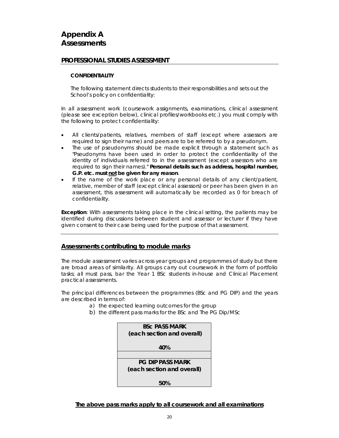#### **PROFESSIONAL STUDIES ASSESSMENT**

#### **CONFIDENTIALITY**

The following statement directs students to their responsibilities and sets out the School's policy on confidentiality:

In all assessment work (coursework assignments, examinations, clinical assessment *(please see exception below)*, clinical profiles/workbooks etc.) you must comply with the following to protect confidentiality:

- All clients/patients, relatives, members of staff (except where assessors are required to sign their name) and peers are to be referred to by a pseudonym.
- The use of pseudonyms should be made explicit through a statement such as "Pseudonyms have been used in order to protect the confidentiality of the identity of individuals referred to in the assessment (except assessors who are required to sign their names)." **Personal details such as address, hospital number, G.P. etc. must not be given for any reason**.
- If the name of the work place or any personal details of any client/patient, relative, member of staff (except clinical assessors) or peer has been given in an assessment, this assessment will automatically be recorded as 0 for breach of confidentiality.

*Exception: With assessments taking place in the clinical setting, the patients may be identified during discussions between student and assessor or lecturer if they have given consent to their case being used for the purpose of that assessment.* 

#### **Assessments contributing to module marks**

The module assessment varies across year groups and programmes of study but there are broad areas of similarity. All groups carry out coursework in the form of portfolio tasks; all must pass, bar the Year 1 BSc students in-house and Clinical Placement practical assessments.

The principal differences between the programmes (BSc and PG DIP) and the years are described in terms of:

- a) the expected learning outcomes for the group
- b) the different pass marks for the BSc and The PG Dip/MSc

| <b>BSC PASS MARK</b>       |
|----------------------------|
| (each section and overall) |
|                            |
| 40%                        |
|                            |
|                            |
| <b>PG DIP PASS MARK</b>    |
| (each section and overall) |
|                            |
|                            |
| 50%                        |

*The above pass marks apply to all coursework and all examinations*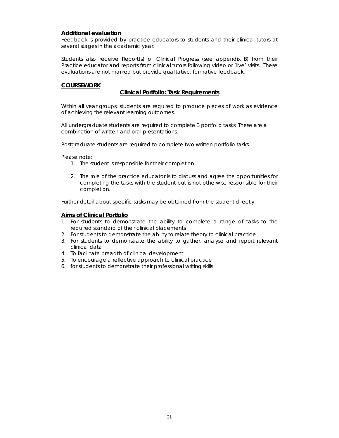#### **Additional evaluation**

Feedback is provided by practice educators to students and their clinical tutors at several stages in the academic year.

Students also receive Report(s) of Clinical Progress (see appendix B) from their Practice educator and reports from clinical tutors following video or 'live' visits. These evaluations are not marked but provide qualitative, formative feedback.

#### **COURSEWORK**

#### **Clinical Portfolio: Task Requirements**

Within all year groups, students are required to produce pieces of work as evidence of achieving the relevant learning outcomes.

All undergraduate students are required to complete 3 portfolio tasks. These are a combination of written and oral presentations.

Postgraduate students are required to complete two written portfolio tasks.

Please note:

- 1. The student is responsible for their completion.
- 2. The role of the practice educator is to discuss and agree the opportunities for completing the tasks with the student but is not otherwise responsible for their completion.

Further detail about specific tasks may be obtained from the student directly.

#### **Aims of Clinical Portfolio**

- 1. For students to demonstrate the ability to complete a range of tasks to the required standard of their clinical placements
- 2. For students to demonstrate the ability to relate theory to clinical practice
- 3. For students to demonstrate the ability to gather, analyse and report relevant clinical data
- 4. To facilitate breadth of clinical development
- 5. To encourage a reflective approach to clinical practice
- 6. for students to demonstrate their professional writing skills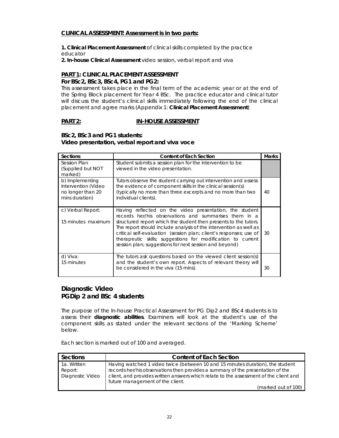#### **CLINICAL ASSESSMENT: Assessment is in two parts:**

**1. Clinical Placement Assessment** of clinical skills completed by the practice educator

*2***. In-house Clinical Assessment** video session, verbal report and viva

#### **PART 1: CLINICAL PLACEMENT ASSESSMENT For BSc2, BSc3, BSc4, PG1 and PG2:**

This assessment takes place in the final term of the academic year or at the end of the Spring Block placement for Year 4 BSc. The practice educator and clinical tutor will discuss the student's clinical skills immediately following the end of the clinical placement and agree marks (Appendix 1: **Clinical Placement Assessment**)

#### **PART 2: IN-HOUSE ASSESSMENT**

#### **BSc2, BSc3 and PG1 students: Video presentation, verbal report and viva voce**

| Sections                                                                      | <b>Content of Each Section</b>                                                                                                                                                                                                                                                                                                                                                                                                                           | <b>Marks</b> |
|-------------------------------------------------------------------------------|----------------------------------------------------------------------------------------------------------------------------------------------------------------------------------------------------------------------------------------------------------------------------------------------------------------------------------------------------------------------------------------------------------------------------------------------------------|--------------|
| Session Plan<br>(Supplied but NOT<br>marked)                                  | Student submits a session plan for the intervention to be<br>viewed in the video presentation.                                                                                                                                                                                                                                                                                                                                                           |              |
| b) Implementing<br>Intervention (Video<br>no longer than 20<br>mins duration) | Tutors observe the student carrying out intervention and assess<br>the evidence of component skills in the clinical session(s)<br>(typically no more than three excerpts and no more than two<br>individual clients).                                                                                                                                                                                                                                    | 40           |
| c) Verbal Report:<br>15 minutes maximum                                       | Having reflected on the video presentation, the student<br>records her/his observations and summarises them in a<br>structured report which the student then presents to the tutors.<br>The report should include analysis of the intervention as well as<br>critical self-evaluation (session plan; client's responses; use of<br>therapeutic skills; suggestions for modification to current<br>session plan; suggestions for next session and beyond) | 30           |
| d) Viva:<br>15 minutes                                                        | The tutors ask questions based on the viewed client session(s)<br>and the student's own report. Aspects of relevant theory will<br>be considered in the viva (15 mins).                                                                                                                                                                                                                                                                                  | 30           |

#### **Diagnostic Video PGDip 2 and BSc 4 students**

The purpose of the In-house Practical Assessment for PG Dip2 and BSc4 students is to assess their **diagnostic abilities**. Examiners will look at the student's use of the component skills as stated under the relevant sections of the 'Marking Scheme' below.

Each section is marked out of 100 and averaged.

| Sections         | <b>Content of Each Section</b>                                                        |
|------------------|---------------------------------------------------------------------------------------|
| 1a. Written      | Having watched 1 video twice (between 10 and 15 minutes duration), the student        |
| Report:          | records her/his observations then provides a summary of the presentation of the       |
| Diagnostic Video | client, and provides written answers which relate to the assessment of the client and |
|                  | future management of the client.                                                      |
|                  | (marked out of 100)                                                                   |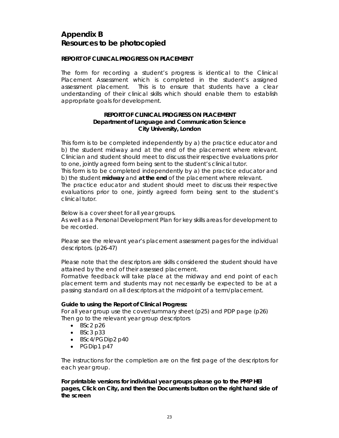## **Appendix B Resources to be photocopied**

#### **REPORT OF CLINICAL PROGRESS ON PLACEMENT**

The form for recording a student's progress is identical to the Clinical Placement Assessment which is completed in the student's assigned assessment placement. This is to ensure that students have a clear understanding of their clinical skills which should enable them to establish appropriate goals for development.

#### **REPORT OF CLINICAL PROGRESS ON PLACEMENT Department of Language and Communication Science City University, London**

This form is to be completed independently by a) the practice educator and b) the student midway and at the end of the placement where relevant. Clinician and student should meet to discuss their respective evaluations prior to one, jointly agreed form being sent to the student's clinical tutor.

This form is to be completed independently by a) the practice educator and b) the student **midway** and **at the end** of the placement where relevant.

The practice educator and student should meet to discuss their respective evaluations prior to one, jointly agreed form being sent to the student's clinical tutor.

Below is a cover sheet for all year groups.

As well as a Personal Development Plan for key skills areas for development to be recorded.

Please see the relevant year's placement assessment pages for the individual descriptors. (p26-47)

Please note that the descriptors are skills considered the student should have attained by the end of their assessed placement.

Formative feedback will take place at the midway and end point of each placement term and students may not necessarily be expected to be at a passing standard on all descriptors at the midpoint of a term/placement.

#### **Guide to using the Report of Clinical Progress:**

For all year group use the cover/summary sheet (p25) and PDP page (p26) Then go to the relevant year group descriptors

- $-BSC2p26$
- $-BSC3 p33$
- BSc4/PGDip2 p40
- PGDip1 p47

The instructions for the completion are on the first page of the descriptors for each year group.

**For printable versions for individual year groups please go to the PMP HEI pages, Click on City, and then the Documents button on the right hand side of the screen**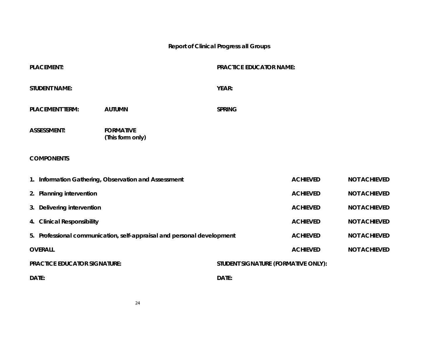### **Report of Clinical Progress all Groups**

| <b>PLACEMENT:</b>                   |                                                                        | <b>PRACTICE EDUCATOR NAME:</b>      |                 |                     |
|-------------------------------------|------------------------------------------------------------------------|-------------------------------------|-----------------|---------------------|
| <b>STUDENT NAME:</b>                |                                                                        | <b>YEAR:</b>                        |                 |                     |
| <b>PLACEMENT TERM:</b>              | <b>AUTUMN</b>                                                          | <b>SPRING</b>                       |                 |                     |
| <b>ASSESSMENT:</b>                  | <b>FORMATIVE</b><br>(This form only)                                   |                                     |                 |                     |
| <b>COMPONENTS</b>                   |                                                                        |                                     |                 |                     |
|                                     | 1. Information Gathering, Observation and Assessment                   |                                     | <b>ACHIEVED</b> | <b>NOT ACHIEVED</b> |
| 2. Planning intervention            |                                                                        |                                     | <b>ACHIEVED</b> | <b>NOT ACHIEVED</b> |
| 3. Delivering intervention          |                                                                        |                                     | <b>ACHIEVED</b> | <b>NOT ACHIEVED</b> |
| 4. Clinical Responsibility          |                                                                        |                                     | <b>ACHIEVED</b> | <b>NOT ACHIEVED</b> |
|                                     | 5. Professional communication, self-appraisal and personal development |                                     | <b>ACHIEVED</b> | <b>NOT ACHIEVED</b> |
| <b>OVERALL</b>                      |                                                                        |                                     | <b>ACHIEVED</b> | <b>NOT ACHIEVED</b> |
| <b>PRACTICE EDUCATOR SIGNATURE:</b> |                                                                        | STUDENT SIGNATURE (FORMATIVE ONLY): |                 |                     |
| DATE:                               |                                                                        | DATE:                               |                 |                     |

24 and 24 24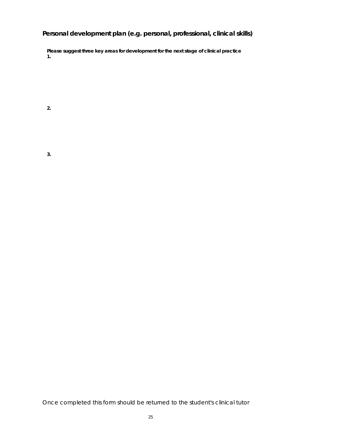### **Personal development plan (e.g. personal, professional, clinical skills)**

**Please suggest three key areas for development for the next stage of clinical practice 1.** 

**2.** 

Once completed this form should be returned to the student's clinical tutor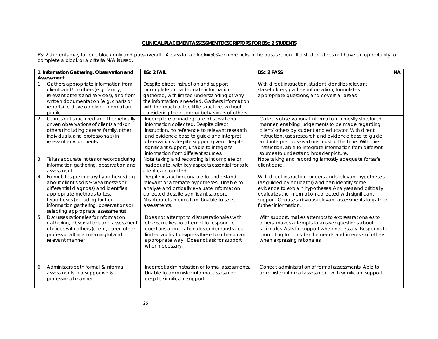#### **CLINICAL PLACEMENT ASSESSMENT DESCRIPTORS FOR BSc 2 STUDENTS**

BSc2 students may fail one block only and pass overall. A pass for a block= 50% or more ticks in the pass section. If a student does not have an opportunity to complete a block or a criteria N/A is used.

| 1. Information Gathering, Observation and<br>Assessment                                                                                                                                                                                                                          | <b>BSc 2 FAIL</b>                                                                                                                                                                                                                                                                                               | <b>BSc 2 PASS</b>                                                                                                                                                                                                                                                                                                                                                                              | <b>NA</b> |
|----------------------------------------------------------------------------------------------------------------------------------------------------------------------------------------------------------------------------------------------------------------------------------|-----------------------------------------------------------------------------------------------------------------------------------------------------------------------------------------------------------------------------------------------------------------------------------------------------------------|------------------------------------------------------------------------------------------------------------------------------------------------------------------------------------------------------------------------------------------------------------------------------------------------------------------------------------------------------------------------------------------------|-----------|
| Gathers appropriate information from<br>1 <sub>1</sub><br>clients and/or others (e.g. family,<br>relevant others and services), and from<br>written documentation (e.g. charts or<br>reports) to develop client information<br>profile                                           | Despite direct instruction and support,<br>incomplete or inadequate information<br>gathered, with limited understanding of why<br>the information is needed. Gathers information<br>with too much or too little structure, without<br>considering the needs or behaviours of others.                            | With direct instruction, student identifies relevant<br>stakeholders, gathers information, formulates<br>appropriate questions, and covers all areas.                                                                                                                                                                                                                                          |           |
| 2.<br>Carries out structured and theoretically<br>driven observations of clients and/or<br>others (including carers/ family, other<br>individuals, and professionals) in<br>relevant environments                                                                                | Incomplete or inadequate observational<br>information collected. Despite direct<br>instruction, no reference to relevant research<br>and evidence base to quide and interpret<br>observations despite support given. Despite<br>significant support, unable to integrate<br>information from different sources. | Collects observational information in mostly structured<br>manner, enabling judgements to be made regarding<br>client/ others by student and educator. With direct<br>instruction, uses research and evidence base to guide<br>and interpret observations most of the time. With direct<br>instruction, able to integrate information from different<br>sources to understand broader picture. |           |
| Takes accurate notes or records during<br>3.<br>information gathering, observation and<br>assessment                                                                                                                                                                             | Note taking and recording is incomplete or<br>inadequate, with key aspects essential for safe<br>client care omitted.                                                                                                                                                                                           | Note taking and recording is mostly adequate for safe<br>client care.                                                                                                                                                                                                                                                                                                                          |           |
| Formulates preliminary hypotheses (e.g.<br>4.<br>about client's skills & weaknesses or<br>differential diagnosis) and identifies<br>appropriate methods to test<br>hypotheses (including further<br>information gathering, observations or<br>selecting appropriate assessments) | Despite instruction, unable to understand<br>relevant or alternate hypotheses. Unable to<br>analyse and critically evaluate information<br>collected despite significant support.<br>Misinterprets information. Unable to select<br>assessments.                                                                | With direct instruction, understands relevant hypotheses<br>(as guided by educator) and can identify some<br>evidence to explain hypotheses. Analyses and critically<br>evaluates the information collected with significant<br>support. Chooses obvious relevant assessments to gather<br>further information.                                                                                |           |
| 5.<br>Discusses rationales for information<br>gathering, observations and assessment<br>choices with others (client, carer, other<br>professional) in a meaningful and<br>relevant manner                                                                                        | Does not attempt to discuss rationales with<br>others, makes no attempt to respond to<br>questions about rationales or demonstrates<br>limited ability to express these to others in an<br>appropriate way. Does not ask for support<br>when necessary.                                                         | With support, makes attempts to express rationales to<br>others, makes attempts to answer questions about<br>rationales. Asks for support when necessary. Responds to<br>prompting to consider the needs and interests of others<br>when expressing rationales.                                                                                                                                |           |
| Administers both formal & informal<br>6.<br>assessments in a supportive &<br>professional manner                                                                                                                                                                                 | Incorrect administration of formal assessments.<br>Unable to administer informal assessment<br>despite significant support.                                                                                                                                                                                     | Correct administration of formal assessments. Able to<br>administer informal assessment with significant support.                                                                                                                                                                                                                                                                              |           |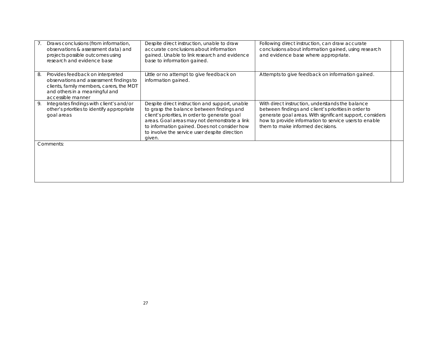| Draws conclusions (from information,<br>observations & assessment data) and<br>projects possible outcomes using<br>research and evidence base                                        | Despite direct instruction, unable to draw<br>accurate conclusions about information<br>gained. Unable to link research and evidence<br>base to information gained.                                                                                                                                      | Following direct instruction, can draw accurate<br>conclusions about information gained, using research<br>and evidence base where appropriate.                                                                                                                   |  |
|--------------------------------------------------------------------------------------------------------------------------------------------------------------------------------------|----------------------------------------------------------------------------------------------------------------------------------------------------------------------------------------------------------------------------------------------------------------------------------------------------------|-------------------------------------------------------------------------------------------------------------------------------------------------------------------------------------------------------------------------------------------------------------------|--|
| Provides feedback on interpreted<br>8.<br>observations and assessment findings to<br>clients, family members, carers, the MDT<br>and others in a meaningful and<br>accessible manner | Little or no attempt to give feedback on<br>information gained.                                                                                                                                                                                                                                          | Attempts to give feedback on information gained.                                                                                                                                                                                                                  |  |
| Integrates findings with client's and/or<br>9.<br>other's priorities to identify appropriate<br>goal areas                                                                           | Despite direct instruction and support, unable<br>to grasp the balance between findings and<br>client's priorities, in order to generate goal<br>areas. Goal areas may not demonstrate a link<br>to information gained. Does not consider how<br>to involve the service user despite direction<br>given. | With direct instruction, understands the balance<br>between findings and client's priorities in order to<br>generate goal areas. With significant support, considers<br>how to provide information to service users to enable<br>them to make informed decisions. |  |
| Comments:                                                                                                                                                                            |                                                                                                                                                                                                                                                                                                          |                                                                                                                                                                                                                                                                   |  |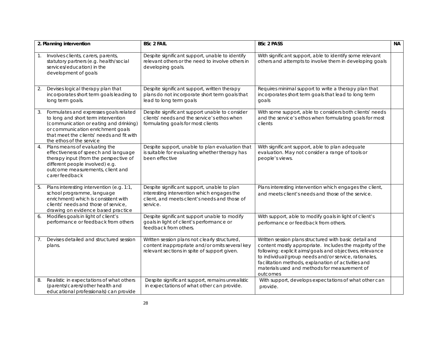|    | 2. Planning intervention                                                                                                                                                                                                              | <b>BSc 2 FAIL</b>                                                                                                                                      | <b>BSc 2 PASS</b>                                                                                                                                                                                                                                                                                                                                           | <b>NA</b> |
|----|---------------------------------------------------------------------------------------------------------------------------------------------------------------------------------------------------------------------------------------|--------------------------------------------------------------------------------------------------------------------------------------------------------|-------------------------------------------------------------------------------------------------------------------------------------------------------------------------------------------------------------------------------------------------------------------------------------------------------------------------------------------------------------|-----------|
| 1. | Involves clients, carers, parents,<br>statutory partners (e.g. health/social<br>services/education) in the<br>development of goals                                                                                                    | Despite significant support, unable to identify<br>relevant others or the need to involve others in<br>developing goals.                               | With significant support, able to identify some relevant<br>others and attempts to involve them in developing goals                                                                                                                                                                                                                                         |           |
| 2. | Devises logical therapy plan that<br>incorporates short term goals leading to<br>long term goals.                                                                                                                                     | Despite significant support, written therapy<br>plans do not incorporate short term goals that<br>lead to long term goals                              | Requires minimal support to write a therapy plan that<br>incorporates short term goals that lead to long term<br>goals                                                                                                                                                                                                                                      |           |
| 3. | Formulates and expresses goals related<br>to long and short term intervention<br>(communication or eating and drinking)<br>or communication enrichment goals<br>that meet the clients' needs and fit with<br>the ethos of the service | Despite significant support unable to consider<br>clients' needs and the service's ethos when<br>formulating goals for most clients                    | With some support, able to considers both clients' needs<br>and the service's ethos when formulating goals for most<br>clients                                                                                                                                                                                                                              |           |
| 4. | Plans means of evaluating the<br>effectiveness of speech and language<br>therapy input (from the perspective of<br>different people involved) e.g.<br>outcome measurements, client and<br>carer feedback                              | Despite support, unable to plan evaluation that<br>is suitable for evaluating whether therapy has<br>been effective                                    | With significant support, able to plan adequate<br>evaluation. May not consider a range of tools or<br>people's views.                                                                                                                                                                                                                                      |           |
| 5. | Plans interesting intervention (e.g. 1:1,<br>school programme, language<br>enrichment) which is consistent with<br>clients' needs and those of service.<br>drawing on evidence based practice                                         | Despite significant support, unable to plan<br>interesting intervention which engages the<br>client, and meets client's needs and those of<br>service. | Plans interesting intervention which engages the client,<br>and meets client's needs and those of the service.                                                                                                                                                                                                                                              |           |
| 6. | Modifies goals in light of client's<br>performance or feedback from others                                                                                                                                                            | Despite significant support unable to modify<br>goals in light of client's performance or<br>feedback from others.                                     | With support, able to modify goals in light of client's<br>performance or feedback from others.                                                                                                                                                                                                                                                             |           |
| 7. | Devises detailed and structured session<br>plans.                                                                                                                                                                                     | Written session plans not clearly structured,<br>content inappropriate and/or omits several key<br>relevant sections in spite of support given.        | Written session plans structured with basic detail and<br>content mostly appropriate. Includes the majority of the<br>following: explicit aims/goals and objectives, relevance<br>to individual/group needs and/or service, rationales,<br>facilitation methods, explanation of activities and<br>materials used and methods for measurement of<br>outcomes |           |
| 8. | Realistic in expectations of what others<br>(parents/carers/other health and<br>educational professionals) can provide                                                                                                                | Despite significant support, remains unrealistic<br>in expectations of what other can provide.                                                         | With support, develops expectations of what other can<br>provide.                                                                                                                                                                                                                                                                                           |           |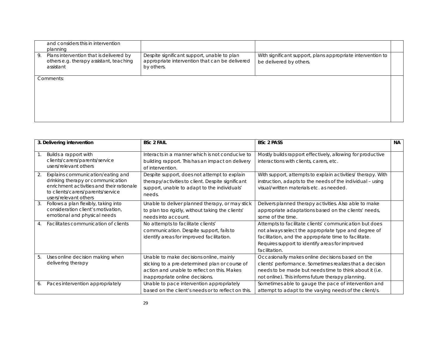| and considers this in intervention<br>planning                                                        |                                                                                                             |                                                                                        |  |
|-------------------------------------------------------------------------------------------------------|-------------------------------------------------------------------------------------------------------------|----------------------------------------------------------------------------------------|--|
| Plans intervention that is delivered by<br>9.<br>others e.g. therapy assistant, teaching<br>assistant | Despite significant support, unable to plan<br>appropriate intervention that can be delivered<br>by others. | With significant support, plans appropriate intervention to<br>be delivered by others. |  |
| Comments:                                                                                             |                                                                                                             |                                                                                        |  |

| 3. Delivering intervention                                                                                                                                                              | <b>BSc 2 FAIL</b>                                                                                                                                                           | <b>BSc 2 PASS</b>                                                                                                                                                                                                                           | <b>NA</b> |
|-----------------------------------------------------------------------------------------------------------------------------------------------------------------------------------------|-----------------------------------------------------------------------------------------------------------------------------------------------------------------------------|---------------------------------------------------------------------------------------------------------------------------------------------------------------------------------------------------------------------------------------------|-----------|
| Builds a rapport with<br>1.<br>clients/carers/parents/service<br>users/relevant others                                                                                                  | Interacts in a manner which is not conducive to<br>building rapport. This has an impact on delivery<br>of intervention.                                                     | Mostly builds rapport effectively, allowing for productive<br>interactions with clients, carers, etc.                                                                                                                                       |           |
| Explains communication/eating and<br>2.<br>drinking therapy or communication<br>enrichment activities and their rationale<br>to clients/carers/parents/service<br>users/relevant others | Despite support, does not attempt to explain<br>therapy/activities to client. Despite significant<br>support, unable to adapt to the individuals'<br>needs.                 | With support, attempts to explain activities/ therapy. With<br>instruction, adapts to the needs of the individual - using<br>visual/written materials etc. as needed.                                                                       |           |
| Follows a plan flexibly, taking into<br>3.<br>consideration client's motivation,<br>emotional and physical needs                                                                        | Unable to deliver planned therapy, or may stick<br>to plan too rigidly, without taking the clients'<br>needs into account.                                                  | Delivers planned therapy activities. Also able to make<br>appropriate adaptations based on the clients' needs,<br>some of the time.                                                                                                         |           |
| Facilitates communication of clients<br>4.                                                                                                                                              | No attempts to facilitate clients'<br>communication. Despite support, fails to<br>identify areas for improved facilitation.                                                 | Attempts to facilitate clients' communication but does<br>not always select the appropriate type and degree of<br>facilitation, and the appropriate time to facilitate.<br>Requires support to identify areas for improved<br>facilitation. |           |
| Uses online decision making when<br>5.<br>delivering therapy                                                                                                                            | Unable to make decisions online, mainly<br>sticking to a pre-determined plan or course of<br>action and unable to reflect on this. Makes<br>inappropriate online decisions. | Occasionally makes online decisions based on the<br>clients' performance. Sometimes realizes that a decision<br>needs to be made but needs time to think about it (i.e.<br>not online). This informs future therapy planning.               |           |
| Paces intervention appropriately<br>6.                                                                                                                                                  | Unable to pace intervention appropriately<br>based on the client's needs or to reflect on this.                                                                             | Sometimes able to gauge the pace of intervention and<br>attempt to adapt to the varying needs of the client/s.                                                                                                                              |           |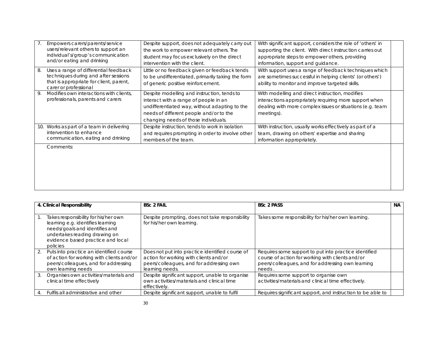|    | Empowers carers/parents/service<br>users/relevant others to support an<br>individual's/group's communication<br>and/or eating and drinking        | Despite support, does not adequately carry out<br>the work to empower relevant others. The<br>student may focus exclusively on the direct<br>intervention with the client.                                               | With significant support, considers the role of 'others' in<br>supporting the client. With direct instruction carries out<br>appropriate steps to empower others, providing<br>information, support and quidance. |  |
|----|---------------------------------------------------------------------------------------------------------------------------------------------------|--------------------------------------------------------------------------------------------------------------------------------------------------------------------------------------------------------------------------|-------------------------------------------------------------------------------------------------------------------------------------------------------------------------------------------------------------------|--|
| 8. | Uses a range of differential feedback<br>techniques during and after sessions<br>that is appropriate for client, parent,<br>carer or professional | Little or no feedback given or feedback tends<br>to be undifferentiated, primarily taking the form<br>of generic positive reinforcement.                                                                                 | With support uses a range of feedback techniques which<br>are sometimes successful in helping clients' (or others')<br>ability to monitor and improve targeted skills.                                            |  |
|    | Modifies own interactions with clients,<br>professionals, parents and carers                                                                      | Despite modelling and instruction, tends to<br>interact with a range of people in an<br>undifferentiated way, without adapting to the<br>needs of different people and/or to the<br>changing needs of those individuals. | With modelling and direct instruction, modifies<br>interactions appropriately requiring more support when<br>dealing with more complex issues or situations (e.g. team<br>meetings).                              |  |
|    | 10. Works as part of a team in delivering<br>intervention to enhance<br>communication, eating and drinking                                        | Despite instruction, tends to work in isolation<br>and requires prompting in order to involve other<br>members of the team.                                                                                              | With instruction, usually works effectively as part of a<br>team, drawing on others' expertise and sharing<br>information appropriately.                                                                          |  |
|    | Comments:                                                                                                                                         |                                                                                                                                                                                                                          |                                                                                                                                                                                                                   |  |

|    | 4. Clinical Responsibility                                                                                                                                                                    | <b>BSc 2 FAIL</b>                                                                                                                                        | <b>BSc 2 PASS</b>                                                                                                                                                        | <b>NA</b> |
|----|-----------------------------------------------------------------------------------------------------------------------------------------------------------------------------------------------|----------------------------------------------------------------------------------------------------------------------------------------------------------|--------------------------------------------------------------------------------------------------------------------------------------------------------------------------|-----------|
|    | Takes responsibility for his/her own<br>learning e.g. identifies learning<br>needs/goals and identifies and<br>undertakes reading drawing on<br>evidence based practice and local<br>policies | Despite prompting, does not take responsibility<br>for his/her own learning.                                                                             | Takes some responsibility for his/her own learning.                                                                                                                      |           |
| 2. | Puts into practice an identified course<br>of action for working with clients and/or<br>peers/colleagues, and for addressing<br>own learning needs                                            | Does not put into practice identified course of<br>action for working with clients and/or<br>peers/colleagues, and for addressing own<br>learning needs. | Requires some support to put into practice identified<br>course of action for working with clients and/or<br>peers/colleagues, and for addressing own learning<br>needs. |           |
| 3. | Organises own activities/materials and<br>clinical time effectively                                                                                                                           | Despite significant support, unable to organise<br>own activities/materials and clinical time<br>effectively.                                            | Requires some support to organise own<br>activities/materials and clinical time effectively.                                                                             |           |
|    | Fulfils all administrative and other                                                                                                                                                          | Despite significant support, unable to fulfil                                                                                                            | Requires significant support, and instruction to be able to                                                                                                              |           |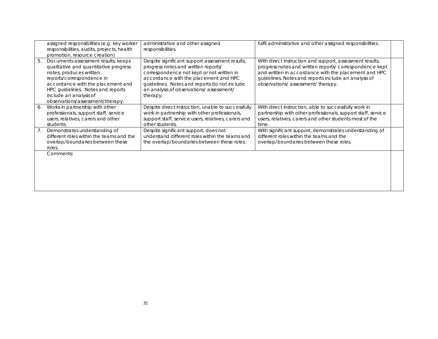|    | assigned responsibilities (e.g. key worker<br>responsibilities, audits, projects, health<br>promotion, resource creation)                                                                                                                                                    | administrative and other assigned<br>responsibilities.                                                                                                                                                                                                                              | fulfil administrative and other assigned responsibilities.                                                                                                                                                                                                             |  |
|----|------------------------------------------------------------------------------------------------------------------------------------------------------------------------------------------------------------------------------------------------------------------------------|-------------------------------------------------------------------------------------------------------------------------------------------------------------------------------------------------------------------------------------------------------------------------------------|------------------------------------------------------------------------------------------------------------------------------------------------------------------------------------------------------------------------------------------------------------------------|--|
| 5. | Documents assessment results; keeps<br>qualitative and quantitative progress<br>notes; produces written<br>reports/correspondence in<br>accordance with the placement and<br>HPC guidelines. Notes and reports<br>include an analysis of<br>observations/assessment/therapy. | Despite significant support assessment results,<br>progress notes and written reports/<br>correspondence not kept or not written in<br>accordance with the placement and HPC<br>guidelines. Notes and reports do not include<br>an analysis of observations/assessment/<br>therapy. | With direct instruction and support, assessment results,<br>progress notes and written reports/correspondence kept<br>and written in accordance with the placement and HPC<br>guidelines. Notes and reports include an analysis of<br>observations/assessment/therapy. |  |
| 6. | Works in partnership with other<br>professionals, support staff, service<br>users, relatives, carers and other<br>students                                                                                                                                                   | Despite direct instruction, unable to successfully<br>work in partnership with other professionals,<br>support staff, service users, relatives, carers and<br>other students.                                                                                                       | With direct instruction, able to successfully work in<br>partnership with other professionals, support staff, service<br>users, relatives, carers and other students most of the<br>time.                                                                              |  |
| 7. | Demonstrates understanding of<br>different roles within the teams and the<br>overlap/boundaries between these<br>roles.                                                                                                                                                      | Despite significant support, does not<br>understand different roles within the teams and<br>the overlap/boundaries between these roles.                                                                                                                                             | With significant support, demonstrates understanding of<br>different roles within the teams and the<br>overlap/boundaries between these roles.                                                                                                                         |  |
|    | Comments:                                                                                                                                                                                                                                                                    |                                                                                                                                                                                                                                                                                     |                                                                                                                                                                                                                                                                        |  |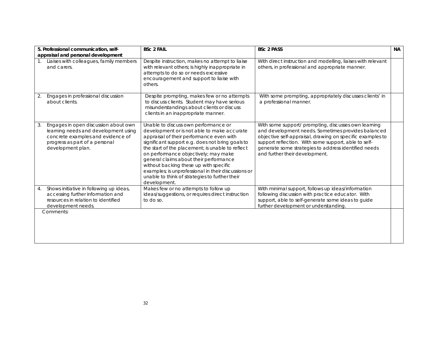| 5. Professional communication, self-<br>appraisal and personal development                                                                                                     | <b>BSc 2 FAIL</b>                                                                                                                                                                                                                                                                                                                                                                                                                                                                            | <b>BSc 2 PASS</b>                                                                                                                                                                                                                                                                                                         | <b>NA</b> |
|--------------------------------------------------------------------------------------------------------------------------------------------------------------------------------|----------------------------------------------------------------------------------------------------------------------------------------------------------------------------------------------------------------------------------------------------------------------------------------------------------------------------------------------------------------------------------------------------------------------------------------------------------------------------------------------|---------------------------------------------------------------------------------------------------------------------------------------------------------------------------------------------------------------------------------------------------------------------------------------------------------------------------|-----------|
| Liaises with colleagues, family members<br>1.<br>and carers.                                                                                                                   | Despite instruction, makes no attempt to liaise<br>with relevant others; is highly inappropriate in<br>attempts to do so or needs excessive<br>encouragement and support to liaise with<br>others.                                                                                                                                                                                                                                                                                           | With direct instruction and modelling, liaises with relevant<br>others, in professional and appropriate manner.                                                                                                                                                                                                           |           |
| Engages in professional discussion<br>2.<br>about clients.                                                                                                                     | Despite prompting, makes few or no attempts<br>to discuss clients. Student may have serious<br>misunderstandings about clients or discuss<br>clients in an inappropriate manner.                                                                                                                                                                                                                                                                                                             | With some prompting, appropriately discusses clients' in<br>a professional manner.                                                                                                                                                                                                                                        |           |
| Engages in open discussion about own<br>3.<br>learning needs and development using<br>concrete examples and evidence of<br>progress as part of a personal<br>development plan. | Unable to discuss own performance or<br>development or is not able to make accurate<br>appraisal of their performance even with<br>significant support e.g. does not bring goals to<br>the start of the placement; is unable to reflect<br>on performance objectively; may make<br>general claims about their performance<br>without backing these up with specific<br>examples; is unprofessional in their discussions or<br>unable to think of strategies to further their<br>development. | With some support/ prompting, discusses own learning<br>and development needs. Sometimes provides balanced<br>objective self-appraisal, drawing on specific examples to<br>support reflection. With some support, able to self-<br>generate some strategies to address identified needs<br>and further their development. |           |
| Shows initiative in following up ideas,<br>4.<br>accessing further information and<br>resources in relation to identified<br>development needs.                                | Makes few or no attempts to follow up<br>ideas/suggestions, or requires direct instruction<br>to do so.                                                                                                                                                                                                                                                                                                                                                                                      | With minimal support, follows up ideas/information<br>following discussion with practice educator. With<br>support, able to self-generate some ideas to guide<br>further development or understanding                                                                                                                     |           |
| Comments:                                                                                                                                                                      |                                                                                                                                                                                                                                                                                                                                                                                                                                                                                              |                                                                                                                                                                                                                                                                                                                           |           |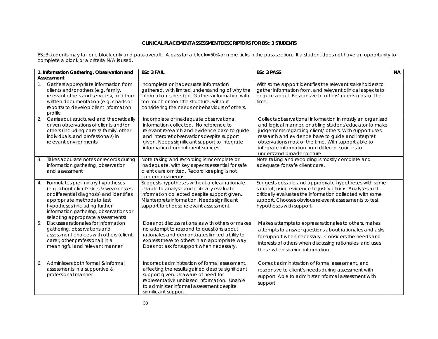#### **CLINICAL PLACEMENT ASSESSMENT DESCRIPTORS FOR BSc 3 STUDENTS**

BSc3 students may fail one block only and pass overall. A pass for a block= 50% or more ticks in the pass section. If a student does not have an opportunity to complete a block or a criteria N/A is used.

|                | 1. Information Gathering, Observation and                                                                                                                                                                                                                                  | <b>BSc 3 FAIL</b>                                                                                                                                                                                                                                                      | <b>BSc 3 PASS</b>                                                                                                                                                                                                                                                                                                                                                          | <b>NA</b> |
|----------------|----------------------------------------------------------------------------------------------------------------------------------------------------------------------------------------------------------------------------------------------------------------------------|------------------------------------------------------------------------------------------------------------------------------------------------------------------------------------------------------------------------------------------------------------------------|----------------------------------------------------------------------------------------------------------------------------------------------------------------------------------------------------------------------------------------------------------------------------------------------------------------------------------------------------------------------------|-----------|
| $\mathbf{1}$ . | Assessment<br>Gathers appropriate information from<br>clients and/or others (e.g. family,<br>relevant others and services), and from<br>written documentation (e.g. charts or<br>reports) to develop client information<br>profile                                         | Incomplete or inadequate information<br>gathered, with limited understanding of why the<br>information is needed. Gathers information with<br>too much or too little structure, without<br>considering the needs or behaviours of others.                              | With some support identifies the relevant stakeholders to<br>gather information from, and relevant clinical aspects to<br>enquire about. Responsive to others' needs most of the<br>time.                                                                                                                                                                                  |           |
| 2.             | Carries out structured and theoretically<br>driven observations of clients and/or<br>others (including carers/ family, other<br>individuals, and professionals) in<br>relevant environments                                                                                | Incomplete or inadequate observational<br>information collected. No reference to<br>relevant research and evidence base to guide<br>and interpret observations despite support<br>given. Needs significant support to integrate<br>information from different sources. | Collects observational information in mostly an organised<br>and logical manner, enabling student/educator to make<br>judgements regarding client/ others. With support uses<br>research and evidence base to guide and interpret<br>observations most of the time. With support able to<br>integrate information from different sources to<br>understand broader picture. |           |
| 3.             | Takes accurate notes or records during<br>information gathering, observation<br>and assessment                                                                                                                                                                             | Note taking and recording is incomplete or<br>inadequate, with key aspects essential for safe<br>client care omitted. Record keeping is not<br>contemporaneous.                                                                                                        | Note taking and recording is mostly complete and<br>adequate for safe client care.                                                                                                                                                                                                                                                                                         |           |
| 4.             | Formulates preliminary hypotheses<br>(e.g. about client's skills & weaknesses<br>or differential diagnosis) and identifies<br>appropriate methods to test<br>hypotheses (including further<br>information gathering, observations or<br>selecting appropriate assessments) | Suggests hypotheses without a clear rationale.<br>Unable to analyse and critically evaluate<br>information collected despite support given.<br>Misinterprets information. Needs significant<br>support to choose relevant assessment.                                  | Suggests possible and appropriate hypotheses with some<br>support, using evidence to justify claims. Analyses and<br>critically evaluates the information collected with some<br>support. Chooses obvious relevant assessments to test<br>hypotheses with support.                                                                                                         |           |
| 5.             | Discusses rationales for information<br>gathering, observations and<br>assessment choices with others (client,<br>carer, other professional) in a<br>meaningful and relevant manner                                                                                        | Does not discuss rationales with others or makes<br>no attempt to respond to questions about<br>rationales and demonstrates limited ability to<br>express these to others in an appropriate way.<br>Does not ask for support when necessary.                           | Makes attempts to express rationales to others, makes<br>attempts to answer questions about rationales and asks<br>for support when necessary. Considers the needs and<br>interests of others when discussing rationales, and uses<br>these when sharing information.                                                                                                      |           |
| 6.             | Administers both formal & informal<br>assessments in a supportive &<br>professional manner                                                                                                                                                                                 | Incorrect administration of formal assessment.<br>affecting the results gained despite significant<br>support given. Unaware of need for<br>representative unbiased information. Unable<br>to administer informal assessment despite<br>significant support.           | Correct administration of formal assessment, and<br>responsive to client's needs during assessment with<br>support. Able to administer informal assessment with<br>support.                                                                                                                                                                                                |           |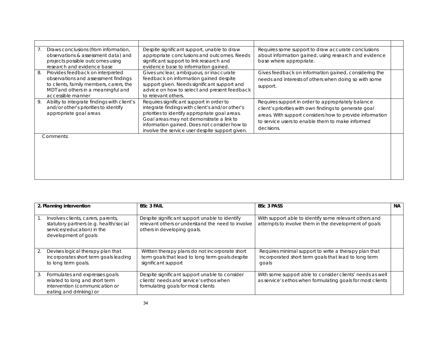| $\mathcal{L}$ . | Draws conclusions (from information,<br>observations & assessment data) and<br>projects possible outcomes using<br>research and evidence base                                  | Despite significant support, unable to draw<br>appropriate conclusions and outcomes. Needs<br>significant support to link research and<br>evidence base to information gained.                                                                                                               | Requires some support to draw accurate conclusions<br>about information gained, using research and evidence<br>base where appropriate.                                                                                                     |  |
|-----------------|--------------------------------------------------------------------------------------------------------------------------------------------------------------------------------|----------------------------------------------------------------------------------------------------------------------------------------------------------------------------------------------------------------------------------------------------------------------------------------------|--------------------------------------------------------------------------------------------------------------------------------------------------------------------------------------------------------------------------------------------|--|
| 8.              | Provides feedback on interpreted<br>observations and assessment findings<br>to clients, family members, carers, the<br>MDT and others in a meaningful and<br>accessible manner | Gives unclear, ambiguous, or inaccurate<br>feedback on information gained despite<br>support given. Needs significant support and<br>advice on how to select and present feedback<br>to relevant others.                                                                                     | Gives feedback on information gained, considering the<br>needs and interests of others when doing so with some<br>support.                                                                                                                 |  |
| 9.              | Ability to integrate findings with client's<br>and/or other's priorities to identify<br>appropriate goal areas                                                                 | Requires significant support in order to<br>integrate findings with client's and/or other's<br>priorities to identify appropriate goal areas.<br>Goal areas may not demonstrate a link to<br>information gained. Does not consider how to<br>involve the service user despite support given. | Requires support in order to appropriately balance<br>client's priorities with own findings to generate goal<br>areas. With support considers how to provide information<br>to service users to enable them to make informed<br>decisions. |  |
|                 | Comments:                                                                                                                                                                      |                                                                                                                                                                                                                                                                                              |                                                                                                                                                                                                                                            |  |

|    | 2. Planning intervention                                                                                                           | <b>BSc 3 FAIL</b>                                                                                                                  | <b>BSc 3 PASS</b>                                                                                                       | <b>NA</b> |
|----|------------------------------------------------------------------------------------------------------------------------------------|------------------------------------------------------------------------------------------------------------------------------------|-------------------------------------------------------------------------------------------------------------------------|-----------|
|    | Involves clients, carers, parents,<br>statutory partners (e.g. health/social<br>services/education) in the<br>development of goals | Despite significant support unable to identify<br>relevant others or understand the need to involve<br>others in developing goals. | With support able to identify some relevant others and<br>attempts to involve them in the development of goals          |           |
| 2. | Devises logical therapy plan that<br>incorporates short term goals leading<br>to long term goals.                                  | Written therapy plans do not incorporate short<br>term goals that lead to long term goals despite<br>significant support           | Requires minimal support to write a therapy plan that<br>incorporated short term goals that lead to long term<br>goals  |           |
| 3. | Formulates and expresses goals<br>related to long and short term<br>intervention (communication or<br>eating and drinking) or      | Despite significant support unable to consider<br>clients' needs and service's ethos when<br>formulating goals for most clients    | With some support able to consider clients' needs as well<br>as service's ethos when formulating goals for most clients |           |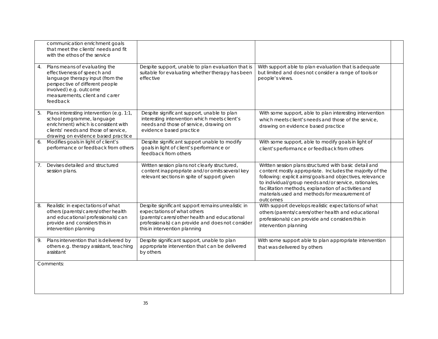|                | communication enrichment goals<br>that meet the clients' needs and fit<br>with the ethos of the service                                                                                                     |                                                                                                                                                                                                                        |                                                                                                                                                                                                                                                                                                                                                             |  |
|----------------|-------------------------------------------------------------------------------------------------------------------------------------------------------------------------------------------------------------|------------------------------------------------------------------------------------------------------------------------------------------------------------------------------------------------------------------------|-------------------------------------------------------------------------------------------------------------------------------------------------------------------------------------------------------------------------------------------------------------------------------------------------------------------------------------------------------------|--|
| 4.             | Plans means of evaluating the<br>effectiveness of speech and<br>language therapy input (from the<br>perspective of different people<br>involved) e.g. outcome<br>measurements, client and carer<br>feedback | Despite support, unable to plan evaluation that is<br>suitable for evaluating whether therapy has been<br>effective                                                                                                    | With support able to plan evaluation that is adequate<br>but limited and does not consider a range of tools or<br>people's views.                                                                                                                                                                                                                           |  |
| 5.             | Plans interesting intervention (e.g. 1:1,<br>school programme, language<br>enrichment) which is consistent with<br>clients' needs and those of service,<br>drawing on evidence based practice               | Despite significant support, unable to plan<br>interesting intervention which meets client's<br>needs and those of service, drawing on<br>evidence based practice                                                      | With some support, able to plan interesting intervention<br>which meets client's needs and those of the service,<br>drawing on evidence based practice                                                                                                                                                                                                      |  |
| 6.             | Modifies goals in light of client's<br>performance or feedback from others                                                                                                                                  | Despite significant support unable to modify<br>goals in light of client's performance or<br>feedback from others                                                                                                      | With some support, able to modify goals in light of<br>client's performance or feedback from others                                                                                                                                                                                                                                                         |  |
| 7 <sub>1</sub> | Devises detailed and structured<br>session plans.                                                                                                                                                           | Written session plans not clearly structured,<br>content inappropriate and/or omits several key<br>relevant sections in spite of support given                                                                         | Written session plans structured with basic detail and<br>content mostly appropriate. Includes the majority of the<br>following: explicit aims/goals and objectives, relevance<br>to individual/group needs and/or service, rationales,<br>facilitation methods, explanation of activities and<br>materials used and methods for measurement of<br>outcomes |  |
| 8.             | Realistic in expectations of what<br>others (parents/carers/other health<br>and educational professionals) can<br>provide and considers this in<br>intervention planning                                    | Despite significant support remains unrealistic in<br>expectations of what others<br>(parents/carers/other health and educational<br>professionals) can provide and does not consider<br>this in intervention planning | With support develops realistic expectations of what<br>others (parents/carers/other health and educational<br>professionals) can provide and considers this in<br>intervention planning                                                                                                                                                                    |  |
| 9.             | Plans intervention that is delivered by<br>others e.g. therapy assistant, teaching<br>assistant                                                                                                             | Despite significant support, unable to plan<br>appropriate intervention that can be delivered<br>by others                                                                                                             | With some support able to plan appropriate intervention<br>that was delivered by others                                                                                                                                                                                                                                                                     |  |
|                | Comments:                                                                                                                                                                                                   |                                                                                                                                                                                                                        |                                                                                                                                                                                                                                                                                                                                                             |  |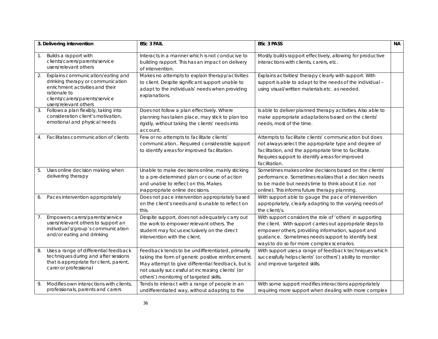|    | 3. Delivering intervention                                                                                                                                                           | <b>BSc 3 FAIL</b>                                                                                                                                                                                                                                           | <b>BSc 3 PASS</b>                                                                                                                                                                                                                                                               | <b>NA</b> |
|----|--------------------------------------------------------------------------------------------------------------------------------------------------------------------------------------|-------------------------------------------------------------------------------------------------------------------------------------------------------------------------------------------------------------------------------------------------------------|---------------------------------------------------------------------------------------------------------------------------------------------------------------------------------------------------------------------------------------------------------------------------------|-----------|
|    | Builds a rapport with<br>clients/carers/parents/service<br>users/relevant others                                                                                                     | Interacts in a manner which is not conducive to<br>building rapport. This has an impact on delivery<br>of intervention.                                                                                                                                     | Mostly builds rapport effectively, allowing for productive<br>interactions with clients, carers, etc.                                                                                                                                                                           |           |
| 2. | Explains communication/eating and<br>drinking therapy or communication<br>enrichment activities and their<br>rationale to<br>clients/carers/parents/service<br>users/relevant others | Makes no attempts to explain therapy/activities<br>to client. Despite significant support unable to<br>adapt to the individuals' needs when providing<br>explanations.                                                                                      | Explains activities/ therapy clearly with support. With<br>support is able to adapt to the needs of the individual -<br>using visual/written materials etc. as needed.                                                                                                          |           |
| 3. | Follows a plan flexibly, taking into<br>consideration client's motivation,<br>emotional and physical needs                                                                           | Does not follow a plan effectively. Where<br>planning has taken place, may stick to plan too<br>rigidly, without taking the clients' needs into<br>account.                                                                                                 | Is able to deliver planned therapy activities. Also able to<br>make appropriate adaptations based on the clients'<br>needs, most of the time.                                                                                                                                   |           |
| 4. | Facilitates communication of clients                                                                                                                                                 | Few or no attempts to facilitate clients'<br>communication Required considerable support<br>to identify areas for improved facilitation.                                                                                                                    | Attempts to facilitate clients' communication but does<br>not always select the appropriate type and degree of<br>facilitation, and the appropriate time to facilitate.<br>Requires support to identify areas for improved<br>facilitation.                                     |           |
| 5. | Uses online decision making when<br>delivering therapy                                                                                                                               | Unable to make decisions online, mainly sticking<br>to a pre-determined plan or course of action<br>and unable to reflect on this. Makes<br>inappropriate online decisions.                                                                                 | Sometimes makes online decisions based on the clients'<br>performance. Sometimes realizes that a decision needs<br>to be made but needs time to think about it (i.e. not<br>online). This informs future therapy planning.                                                      |           |
| 6. | Paces intervention appropriately                                                                                                                                                     | Does not pace intervention appropriately based<br>on the client's needs and is unable to reflect on<br>this.                                                                                                                                                | With support able to gauge the pace of intervention<br>appropriately, clearly adapting to the varying needs of<br>the client/s.                                                                                                                                                 |           |
| 7. | Empowers carers/parents/service<br>users/relevant others to support an<br>individual's/group's communication<br>and/or eating and drinking                                           | Despite support, does not adequately carry out<br>the work to empower relevant others. The<br>student may focus exclusively on the direct<br>intervention with the client.                                                                                  | With support considers the role of 'others' in supporting<br>the client. With support carries out appropriate steps to<br>empower others, providing information, support and<br>guidance. Sometimes needs support to identify best<br>ways to do so for more complex scenarios. |           |
| 8. | Uses a range of differential feedback<br>techniques during and after sessions<br>that is appropriate for client, parent,<br>carer or professional                                    | Feedback tends to be undifferentiated, primarily<br>taking the form of generic positive reinforcement.<br>May attempt to give differential feedback, but is<br>not usually successful at increasing clients' (or<br>others') monitoring of targeted skills. | With support uses a range of feedback techniques which<br>successfully helps clients' (or others') ability to monitor<br>and improve targeted skills.                                                                                                                           |           |
| 9. | Modifies own interactions with clients,<br>professionals, parents and carers                                                                                                         | Tends to interact with a range of people in an<br>undifferentiated way, without adapting to the                                                                                                                                                             | With some support modifies interactions appropriately<br>requiring more support when dealing with more complex                                                                                                                                                                  |           |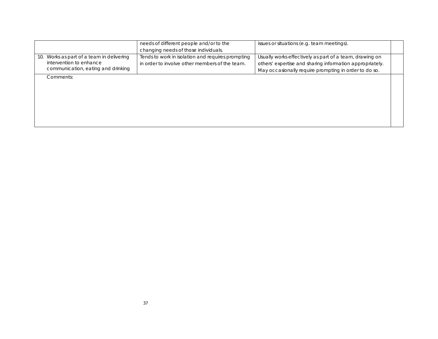|                                           | needs of different people and/or to the           | issues or situations (e.g. team meetings).               |  |
|-------------------------------------------|---------------------------------------------------|----------------------------------------------------------|--|
|                                           | changing needs of those individuals.              |                                                          |  |
| 10. Works as part of a team in delivering | Tends to work in isolation and requires prompting | Usually works effectively as part of a team, drawing on  |  |
| intervention to enhance                   | in order to involve other members of the team.    | others' expertise and sharing information appropriately. |  |
| communication, eating and drinking        |                                                   | May occasionally require prompting in order to do so.    |  |
| Comments:                                 |                                                   |                                                          |  |
|                                           |                                                   |                                                          |  |
|                                           |                                                   |                                                          |  |
|                                           |                                                   |                                                          |  |
|                                           |                                                   |                                                          |  |
|                                           |                                                   |                                                          |  |
|                                           |                                                   |                                                          |  |
|                                           |                                                   |                                                          |  |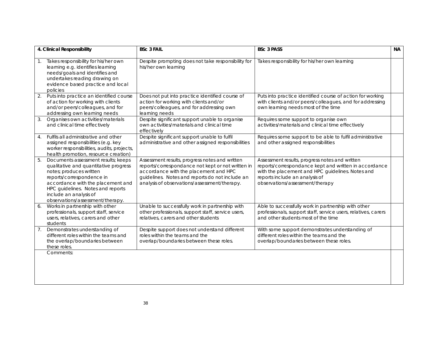|                | 4. Clinical Responsibility                                                                                                                                                                                                                                                   | <b>BSc 3 FAIL</b>                                                                                                                                                                                                                               | <b>BSc 3 PASS</b>                                                                                                                                                                                                                | <b>NA</b> |
|----------------|------------------------------------------------------------------------------------------------------------------------------------------------------------------------------------------------------------------------------------------------------------------------------|-------------------------------------------------------------------------------------------------------------------------------------------------------------------------------------------------------------------------------------------------|----------------------------------------------------------------------------------------------------------------------------------------------------------------------------------------------------------------------------------|-----------|
|                | Takes responsibility for his/her own<br>learning e.g. identifies learning<br>needs/goals and identifies and<br>undertakes reading drawing on<br>evidence based practice and local<br>policies                                                                                | Despite prompting does not take responsibility for<br>his/her own learning                                                                                                                                                                      | Takes responsibility for his/her own learning                                                                                                                                                                                    |           |
| 2.             | Puts into practice an identified course<br>of action for working with clients<br>and/or peers/colleagues, and for<br>addressing own learning needs                                                                                                                           | Does not put into practice identified course of<br>action for working with clients and/or<br>peers/colleagues, and for addressing own<br>learning needs                                                                                         | Puts into practice identified course of action for working<br>with clients and/or peers/colleagues, and for addressing<br>own learning needs most of the time                                                                    |           |
| 3.             | Organises own activities/materials<br>and clinical time effectively                                                                                                                                                                                                          | Despite significant support unable to organise<br>own activities/materials and clinical time<br>effectively                                                                                                                                     | Requires some support to organise own<br>activities/materials and clinical time effectively                                                                                                                                      |           |
| 4.             | Fulfils all administrative and other<br>assigned responsibilities (e.g. key<br>worker responsibilities, audits, projects,<br>health promotion, resource creation)                                                                                                            | Despite significant support unable to fulfil<br>administrative and other assigned responsibilities                                                                                                                                              | Requires some support to be able to fulfil administrative<br>and other assigned responsibilities                                                                                                                                 |           |
| 5.             | Documents assessment results; keeps<br>qualitative and quantitative progress<br>notes; produces written<br>reports/correspondence in<br>accordance with the placement and<br>HPC guidelines. Notes and reports<br>include an analysis of<br>observations/assessment/therapy. | Assessment results, progress notes and written<br>reports/correspondance not kept or not written in<br>accordance with the placement and HPC<br>guidelines. Notes and reports do not include an<br>analysis of observations/assessment/therapy. | Assessment results, progress notes and written<br>reports/correspondance kept and written in accordance<br>with the placement and HPC guidelines. Notes and<br>reports include an analysis of<br>observations/assessment/therapy |           |
| 6.             | Works in partnership with other<br>professionals, support staff, service<br>users, relatives, carers and other<br>students                                                                                                                                                   | Unable to successfully work in partnership with<br>other professionals, support staff, service users,<br>relatives, carers and other students                                                                                                   | Able to successfully work in partnership with other<br>professionals, support staff, service users, relatives, carers<br>and other students most of the time                                                                     |           |
| 7 <sub>1</sub> | Demonstrates understanding of<br>different roles within the teams and<br>the overlap/boundaries between<br>these roles.                                                                                                                                                      | Despite support does not understand different<br>roles within the teams and the<br>overlap/boundaries between these roles.                                                                                                                      | With some support demonstrates understanding of<br>different roles within the teams and the<br>overlap/boundaries between these roles.                                                                                           |           |
|                | Comments:                                                                                                                                                                                                                                                                    |                                                                                                                                                                                                                                                 |                                                                                                                                                                                                                                  |           |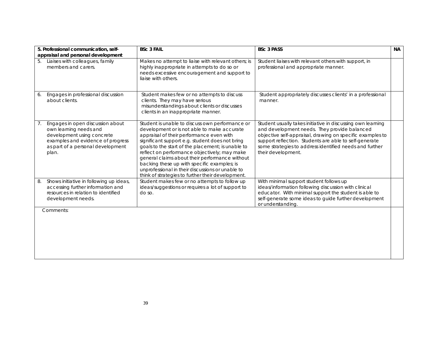|    | 5. Professional communication, self-<br>appraisal and personal development                                                                                                  | <b>BSc 3 FAIL</b>                                                                                                                                                                                                                                                                                                                                                                                                                                                                                            | <b>BSc 3 PASS</b>                                                                                                                                                                                                                                                                                                   | <b>NA</b> |
|----|-----------------------------------------------------------------------------------------------------------------------------------------------------------------------------|--------------------------------------------------------------------------------------------------------------------------------------------------------------------------------------------------------------------------------------------------------------------------------------------------------------------------------------------------------------------------------------------------------------------------------------------------------------------------------------------------------------|---------------------------------------------------------------------------------------------------------------------------------------------------------------------------------------------------------------------------------------------------------------------------------------------------------------------|-----------|
| 5. | Liaises with colleagues, family<br>members and carers.                                                                                                                      | Makes no attempt to liaise with relevant others; is<br>highly inappropriate in attempts to do so or<br>needs excessive encouragement and support to<br>liaise with others.                                                                                                                                                                                                                                                                                                                                   | Student liaises with relevant others with support, in<br>professional and appropriate manner.                                                                                                                                                                                                                       |           |
| 6. | Engages in professional discussion<br>about clients.                                                                                                                        | Student makes few or no attempts to discuss<br>clients. They may have serious<br>misunderstandings about clients or discusses<br>clients in an inappropriate manner.                                                                                                                                                                                                                                                                                                                                         | Student appropriately discusses clients' in a professional<br>manner.                                                                                                                                                                                                                                               |           |
| 7. | Engages in open discussion about<br>own learning needs and<br>development using concrete<br>examples and evidence of progress<br>as part of a personal development<br>plan. | Student is unable to discuss own performance or<br>development or is not able to make accurate<br>appraisal of their performance even with<br>significant support e.g. student does not bring<br>goals to the start of the placement; is unable to<br>reflect on performance objectively; may make<br>general claims about their performance without<br>backing these up with specific examples; is<br>unprofessional in their discussions or unable to<br>think of strategies to further their development. | Student usually takes initiative in discussing own learning<br>and development needs. They provide balanced<br>objective self-appraisal, drawing on specific examples to<br>support reflection. Students are able to self-generate<br>some strategies to address identified needs and further<br>their development. |           |
| 8. | Shows initiative in following up ideas,<br>accessing further information and<br>resources in relation to identified<br>development needs.                                   | Student makes few or no attempts to follow up<br>ideas/suggestions or requires a lot of support to<br>do so.                                                                                                                                                                                                                                                                                                                                                                                                 | With minimal support student follows up<br>ideas/information following discussion with clinical<br>educator. With minimal support the student is able to<br>self-generate some ideas to guide further development<br>or understanding.                                                                              |           |
|    | Comments:                                                                                                                                                                   |                                                                                                                                                                                                                                                                                                                                                                                                                                                                                                              |                                                                                                                                                                                                                                                                                                                     |           |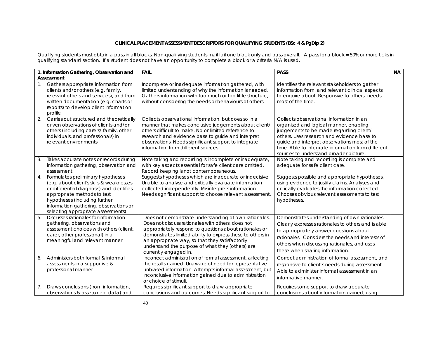#### **CLINICAL PLACEMENT ASSESSMENT DESCRIPTORS FOR QUALIFYING STUDENTS (BSc 4 & PgDip 2)**

Qualifying students must obtain a pass in all blocks. Non-qualifying students mail fail one block only and pass overall. A pass for a block = 50% or more ticks in qualifying standard section. If a student does not have an opportunity to complete a block or a criteria N/A is used.

|                  | 1. Information Gathering, Observation and                                                                                                                                                                                                                                  | <b>FAIL</b>                                                                                                                                                                                                                                                                                                                                                        | <b>PASS</b>                                                                                                                                                                                                                                                                                                                 | <b>NA</b> |
|------------------|----------------------------------------------------------------------------------------------------------------------------------------------------------------------------------------------------------------------------------------------------------------------------|--------------------------------------------------------------------------------------------------------------------------------------------------------------------------------------------------------------------------------------------------------------------------------------------------------------------------------------------------------------------|-----------------------------------------------------------------------------------------------------------------------------------------------------------------------------------------------------------------------------------------------------------------------------------------------------------------------------|-----------|
|                  | Assessment<br>Gathers appropriate information from<br>clients and/or others (e.g. family,<br>relevant others and services), and from<br>written documentation (e.g. charts or<br>reports) to develop client information<br>profile                                         | Incomplete or inadequate information gathered, with<br>limited understanding of why the information is needed.<br>Gathers information with too much or too little structure,<br>without considering the needs or behaviours of others.                                                                                                                             | Identifies the relevant stakeholders to gather<br>information from, and relevant clinical aspects<br>to enquire about. Responsive to others' needs<br>most of the time.                                                                                                                                                     |           |
| 2.               | Carries out structured and theoretically<br>driven observations of clients and/or<br>others (including carers/ family, other<br>individuals, and professionals) in<br>relevant environments                                                                                | Collects observational information, but does so in a<br>manner that makes conclusive judgements about client/<br>others difficult to make. No or limited reference to<br>research and evidence base to guide and interpret<br>observations. Needs significant support to integrate<br>information from different sources.                                          | Collects observational information in an<br>organised and logical manner, enabling<br>judgements to be made regarding client/<br>others. Uses research and evidence base to<br>guide and interpret observations most of the<br>time. Able to integrate information from different<br>sources to understand broader picture. |           |
| 3.               | Takes accurate notes or records during<br>information gathering, observation and<br>assessment                                                                                                                                                                             | Note taking and recording is incomplete or inadequate,<br>with key aspects essential for safe client care omitted.<br>Record keeping is not contemporaneous.                                                                                                                                                                                                       | Note taking and recording is complete and<br>adequate for safe client care.                                                                                                                                                                                                                                                 |           |
| $\overline{4}$ . | Formulates preliminary hypotheses<br>(e.g. about client's skills & weaknesses<br>or differential diagnosis) and identifies<br>appropriate methods to test<br>hypotheses (including further<br>information gathering, observations or<br>selecting appropriate assessments) | Suggests hypotheses which are inaccurate or indecisive.<br>Unable to analyse and critically evaluate information<br>collected independently. Misinterprets information.<br>Needs significant support to choose relevant assessment.                                                                                                                                | Suggests possible and appropriate hypotheses,<br>using evidence to justify claims. Analyses and<br>critically evaluates the information collected.<br>Chooses obvious relevant assessments to test<br>hypotheses.                                                                                                           |           |
| 5.               | Discusses rationales for information<br>gathering, observations and<br>assessment choices with others (client,<br>carer, other professional) in a<br>meaningful and relevant manner                                                                                        | Does not demonstrate understanding of own rationales.<br>Does not discuss rationales with others, does not<br>appropriately respond to questions about rationales or<br>demonstrates limited ability to express these to others in<br>an appropriate way, so that they satisfactorily<br>understand the purpose of what they (others) are<br>currently engaged in. | Demonstrates understanding of own rationales.<br>Clearly expresses rationales to others and is able<br>to appropriately answer questions about<br>rationales. Considers the needs and interests of<br>others when discussing rationales, and uses<br>these when sharing information.                                        |           |
| 6.               | Administers both formal & informal<br>assessments in a supportive &<br>professional manner                                                                                                                                                                                 | Incorrect administration of formal assessment, affecting<br>the results gained. Unaware of need for representative<br>unbiased information. Attempts informal assessment, but<br>inconclusive information gained due to administration<br>or choice of stimuli.                                                                                                    | Correct administration of formal assessment, and<br>responsive to client's needs during assessment.<br>Able to administer informal assessment in an<br>informative manner.                                                                                                                                                  |           |
| 7.               | Draws conclusions (from information,<br>observations & assessment data) and                                                                                                                                                                                                | Requires significant support to draw appropriate<br>conclusions and outcomes. Needs significant support to                                                                                                                                                                                                                                                         | Requires some support to draw accurate<br>conclusions about information gained, using                                                                                                                                                                                                                                       |           |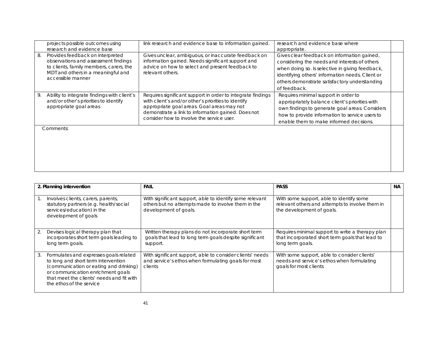|    | projects possible outcomes using<br>research and evidence base                                                                                                                 | link research and evidence base to information gained.                                                                                                                                                                                                              | research and evidence base where<br>appropriate.                                                                                                                                                                                                                     |  |
|----|--------------------------------------------------------------------------------------------------------------------------------------------------------------------------------|---------------------------------------------------------------------------------------------------------------------------------------------------------------------------------------------------------------------------------------------------------------------|----------------------------------------------------------------------------------------------------------------------------------------------------------------------------------------------------------------------------------------------------------------------|--|
| 8. | Provides feedback on interpreted<br>observations and assessment findings<br>to clients, family members, carers, the<br>MDT and others in a meaningful and<br>accessible manner | Gives unclear, ambiguous, or inaccurate feedback on<br>information gained. Needs significant support and<br>advice on how to select and present feedback to<br>relevant others.                                                                                     | Gives clear feedback on information gained,<br>considering the needs and interests of others<br>when doing so. Is selective in giving feedback,<br>identifying others' information needs. Client or<br>others demonstrate satisfactory understanding<br>of feedback. |  |
| 9. | Ability to integrate findings with client's<br>and/or other's priorities to identify<br>appropriate goal areas                                                                 | Requires significant support in order to integrate findings<br>with client's and/or other's priorities to identify<br>appropriate goal areas. Goal areas may not<br>demonstrate a link to information gained. Does not<br>consider how to involve the service user. | Requires minimal support in order to<br>appropriately balance client's priorities with<br>own findings to generate goal areas. Considers<br>how to provide information to service users to<br>enable them to make informed decisions.                                |  |
|    | Comments:                                                                                                                                                                      |                                                                                                                                                                                                                                                                     |                                                                                                                                                                                                                                                                      |  |

|    | 2. Planning intervention                                                                                                                                                                                                              | <b>FAIL</b>                                                                                                                             | <b>PASS</b>                                                                                                              | NA. |
|----|---------------------------------------------------------------------------------------------------------------------------------------------------------------------------------------------------------------------------------------|-----------------------------------------------------------------------------------------------------------------------------------------|--------------------------------------------------------------------------------------------------------------------------|-----|
|    | Involves clients, carers, parents,<br>statutory partners (e.g. health/social<br>services/education) in the<br>development of goals                                                                                                    | With significant support, able to identify some relevant<br>others but no attempts made to involve them in the<br>development of goals. | With some support, able to identify some<br>relevant others and attempts to involve them in<br>the development of goals. |     |
| 2. | Devises logical therapy plan that<br>incorporates short term goals leading to<br>long term goals.                                                                                                                                     | Written therapy plans do not incorporate short term<br>goals that lead to long term goals despite significant<br>support.               | Requires minimal support to write a therapy plan<br>that incorporated short term goals that lead to<br>long term goals.  |     |
| 3. | Formulates and expresses goals related<br>to long and short term intervention<br>(communication or eating and drinking)<br>or communication enrichment goals<br>that meet the clients' needs and fit with<br>the ethos of the service | With significant support, able to consider clients' needs<br>and service's ethos when formulating goals for most<br>clients             | With some support, able to consider clients'<br>needs and service's ethos when formulating<br>goals for most clients     |     |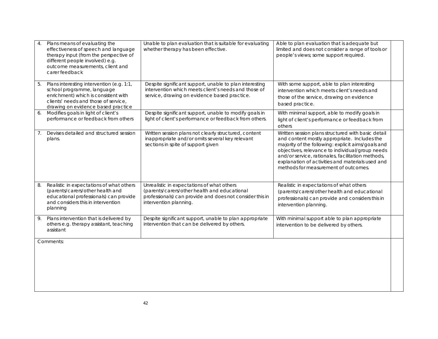| 4. | Plans means of evaluating the<br>effectiveness of speech and language<br>therapy input (from the perspective of<br>different people involved) e.g.<br>outcome measurements, client and<br>carer feedback | Unable to plan evaluation that is suitable for evaluating<br>whether therapy has been effective.                                                                                 | Able to plan evaluation that is adequate but<br>limited and does not consider a range of tools or<br>people's views; some support required.                                                                                                                                                                                                                  |  |
|----|----------------------------------------------------------------------------------------------------------------------------------------------------------------------------------------------------------|----------------------------------------------------------------------------------------------------------------------------------------------------------------------------------|--------------------------------------------------------------------------------------------------------------------------------------------------------------------------------------------------------------------------------------------------------------------------------------------------------------------------------------------------------------|--|
| 5. | Plans interesting intervention (e.g. 1:1,<br>school programme, language<br>enrichment) which is consistent with<br>clients' needs and those of service,<br>drawing on evidence based practice            | Despite significant support, unable to plan interesting<br>intervention which meets client's needs and those of<br>service, drawing on evidence based practice.                  | With some support, able to plan interesting<br>intervention which meets client's needs and<br>those of the service, drawing on evidence<br>based practice.                                                                                                                                                                                                   |  |
| 6. | Modifies goals in light of client's<br>performance or feedback from others                                                                                                                               | Despite significant support, unable to modify goals in<br>light of client's performance or feedback from others.                                                                 | With minimal support, able to modify goals in<br>light of client's performance or feedback from<br>others                                                                                                                                                                                                                                                    |  |
| 7. | Devises detailed and structured session<br>plans.                                                                                                                                                        | Written session plans not clearly structured, content<br>inappropriate and/or omits several key relevant<br>sections in spite of support given                                   | Written session plans structured with basic detail<br>and content mostly appropriate. Includes the<br>majority of the following: explicit aims/goals and<br>objectives, relevance to individual/group needs<br>and/or service, rationales, facilitation methods,<br>explanation of activities and materials used and<br>methods for measurement of outcomes. |  |
| 8. | Realistic in expectations of what others<br>(parents/carers/other health and<br>educational professionals) can provide<br>and considers this in intervention<br>planning                                 | Unrealistic in expectations of what others<br>(parents/carers/other health and educational<br>professionals) can provide and does not consider this in<br>intervention planning. | Realistic in expectations of what others<br>(parents/carers/other health and educational<br>professionals) can provide and considers this in<br>intervention planning.                                                                                                                                                                                       |  |
| 9. | Plans intervention that is delivered by<br>others e.g. therapy assistant, teaching<br>assistant                                                                                                          | Despite significant support, unable to plan appropriate<br>intervention that can be delivered by others.                                                                         | With minimal support able to plan appropriate<br>intervention to be delivered by others.                                                                                                                                                                                                                                                                     |  |
|    | Comments:                                                                                                                                                                                                |                                                                                                                                                                                  |                                                                                                                                                                                                                                                                                                                                                              |  |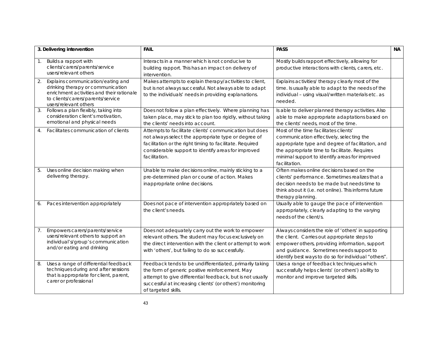|    | 3. Delivering intervention                                                                                                                                                        | <b>FAIL</b>                                                                                                                                                                                                                                                 | <b>PASS</b>                                                                                                                                                                                                                                               | NA |
|----|-----------------------------------------------------------------------------------------------------------------------------------------------------------------------------------|-------------------------------------------------------------------------------------------------------------------------------------------------------------------------------------------------------------------------------------------------------------|-----------------------------------------------------------------------------------------------------------------------------------------------------------------------------------------------------------------------------------------------------------|----|
| 1. | Builds a rapport with<br>clients/carers/parents/service<br>users/relevant others                                                                                                  | Interacts in a manner which is not conducive to<br>building rapport. This has an impact on delivery of<br>intervention.                                                                                                                                     | Mostly builds rapport effectively, allowing for<br>productive interactions with clients, carers, etc.                                                                                                                                                     |    |
| 2. | Explains communication/eating and<br>drinking therapy or communication<br>enrichment activities and their rationale<br>to clients/carers/parents/service<br>users/relevant others | Makes attempts to explain therapy/activities to client,<br>but is not always successful. Not always able to adapt<br>to the individuals' needs in providing explanations.                                                                                   | Explains activities/ therapy clearly most of the<br>time. Is usually able to adapt to the needs of the<br>individual - using visual/written materials etc. as<br>needed.                                                                                  |    |
| 3. | Follows a plan flexibly, taking into<br>consideration client's motivation,<br>emotional and physical needs                                                                        | Does not follow a plan effectively. Where planning has<br>taken place, may stick to plan too rigidly, without taking<br>the clients' needs into account.                                                                                                    | Is able to deliver planned therapy activities. Also<br>able to make appropriate adaptations based on<br>the clients' needs, most of the time.                                                                                                             |    |
| 4. | Facilitates communication of clients                                                                                                                                              | Attempts to facilitate clients' communication but does<br>not always select the appropriate type or degree of<br>facilitation or the right timing to facilitate. Required<br>considerable support to identify areas for improved<br>facilitation.           | Most of the time facilitates clients'<br>communication effectively, selecting the<br>appropriate type and degree of facilitation, and<br>the appropriate time to facilitate. Requires<br>minimal support to identify areas for improved<br>facilitation.  |    |
| 5. | Uses online decision making when<br>delivering therapy.                                                                                                                           | Unable to make decisions online, mainly sticking to a<br>pre-determined plan or course of action. Makes<br>inappropriate online decisions.                                                                                                                  | Often makes online decisions based on the<br>clients' performance. Sometimes realizes that a<br>decision needs to be made but needs time to<br>think about it (i.e. not online). This informs future<br>therapy planning.                                 |    |
| 6. | Paces intervention appropriately                                                                                                                                                  | Does not pace of intervention appropriately based on<br>the client's needs.                                                                                                                                                                                 | Usually able to gauge the pace of intervention<br>appropriately, clearly adapting to the varying<br>needs of the client/s.                                                                                                                                |    |
| 7. | Empowers carers/parents/service<br>users/relevant others to support an<br>individual's/group's communication<br>and/or eating and drinking                                        | Does not adequately carry out the work to empower<br>relevant others. The student may focus exclusively on<br>the direct intervention with the client or attempt to work<br>with 'others', but failing to do so successfully.                               | Always considers the role of 'others' in supporting<br>the client. Carries out appropriate steps to<br>empower others, providing information, support<br>and guidance. Sometimes needs support to<br>identify best ways to do so for individual "others". |    |
| 8. | Uses a range of differential feedback<br>techniques during and after sessions<br>that is appropriate for client, parent,<br>carer or professional                                 | Feedback tends to be undifferentiated, primarily taking<br>the form of generic positive reinforcement. May<br>attempt to give differential feedback, but is not usually<br>successful at increasing clients' (or others') monitoring<br>of targeted skills. | Uses a range of feedback techniques which<br>successfully helps clients' (or others') ability to<br>monitor and improve targeted skills.                                                                                                                  |    |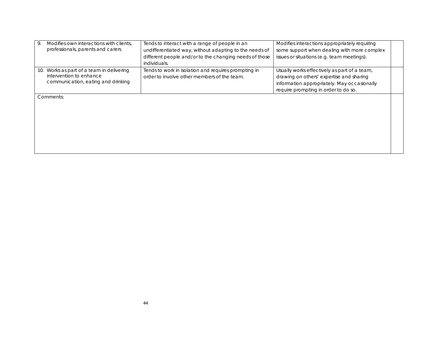| Modifies own interactions with clients.<br>9.<br>professionals, parents and carers                            | Tends to interact with a range of people in an<br>undifferentiated way, without adapting to the needs of<br>different people and/or to the changing needs of those<br>individuals. | Modifies interactions appropriately requiring<br>some support when dealing with more complex<br>issues or situations (e.g. team meetings).                                      |  |
|---------------------------------------------------------------------------------------------------------------|------------------------------------------------------------------------------------------------------------------------------------------------------------------------------------|---------------------------------------------------------------------------------------------------------------------------------------------------------------------------------|--|
| Works as part of a team in delivering<br>10.<br>intervention to enhance<br>communication, eating and drinking | Tends to work in isolation and requires prompting in<br>order to involve other members of the team.                                                                                | Usually works effectively as part of a team,<br>drawing on others' expertise and sharing<br>information appropriately. May occasionally<br>require prompting in order to do so. |  |
| Comments:                                                                                                     |                                                                                                                                                                                    |                                                                                                                                                                                 |  |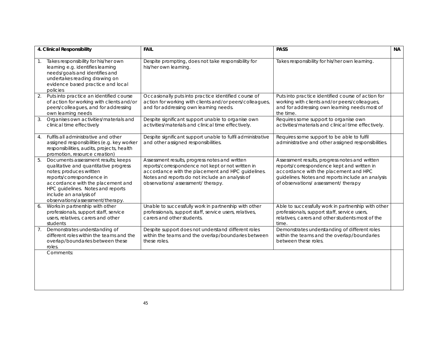|                | 4. Clinical Responsibility                                                                                                                                                                                                                                                   | <b>FAIL</b>                                                                                                                                                                                                                                     | <b>PASS</b>                                                                                                                                                                                                                      | <b>NA</b> |
|----------------|------------------------------------------------------------------------------------------------------------------------------------------------------------------------------------------------------------------------------------------------------------------------------|-------------------------------------------------------------------------------------------------------------------------------------------------------------------------------------------------------------------------------------------------|----------------------------------------------------------------------------------------------------------------------------------------------------------------------------------------------------------------------------------|-----------|
| 1.             | Takes responsibility for his/her own<br>learning e.g. identifies learning<br>needs/goals and identifies and<br>undertakes reading drawing on<br>evidence based practice and local<br>policies                                                                                | Despite prompting, does not take responsibility for<br>his/her own learning.                                                                                                                                                                    | Takes responsibility for his/her own learning.                                                                                                                                                                                   |           |
|                | Puts into practice an identified course<br>of action for working with clients and/or<br>peers/colleagues, and for addressing<br>own learning needs                                                                                                                           | Occasionally puts into practice identified course of<br>action for working with clients and/or peers/colleagues,<br>and for addressing own learning needs.                                                                                      | Puts into practice identified course of action for<br>working with clients and/or peers/colleagues,<br>and for addressing own learning needs most of<br>the time.                                                                |           |
| 3.             | Organises own activities/materials and<br>clinical time effectively                                                                                                                                                                                                          | Despite significant support unable to organise own<br>activities/materials and clinical time effectively.                                                                                                                                       | Requires some support to organise own<br>activities/materials and clinical time effectively.                                                                                                                                     |           |
| 4 <sup>1</sup> | Fulfils all administrative and other<br>assigned responsibilities (e.g. key worker<br>responsibilities, audits, projects, health<br>promotion, resource creation)                                                                                                            | Despite significant support unable to fulfil administrative<br>and other assigned responsibilities.                                                                                                                                             | Requires some support to be able to fulfil<br>administrative and other assigned responsibilities.                                                                                                                                |           |
| 5.             | Documents assessment results; keeps<br>qualitative and quantitative progress<br>notes; produces written<br>reports/correspondence in<br>accordance with the placement and<br>HPC guidelines. Notes and reports<br>include an analysis of<br>observations/assessment/therapy. | Assessment results, progress notes and written<br>reports/correspondence not kept or not written in<br>accordance with the placement and HPC guidelines.<br>Notes and reports do not include an analysis of<br>observations/assessment/therapy. | Assessment results, progress notes and written<br>reports/correspondence kept and written in<br>accordance with the placement and HPC<br>guidelines. Notes and reports include an analysis<br>of observations/assessment/therapy |           |
| 6.             | Works in partnership with other<br>professionals, support staff, service<br>users, relatives, carers and other<br>students                                                                                                                                                   | Unable to successfully work in partnership with other<br>professionals, support staff, service users, relatives,<br>carers and other students.                                                                                                  | Able to successfully work in partnership with other<br>professionals, support staff, service users,<br>relatives, carers and other students most of the<br>time.                                                                 |           |
| 7 <sub>1</sub> | Demonstrates understanding of<br>different roles within the teams and the<br>overlap/boundaries between these<br>roles.                                                                                                                                                      | Despite support does not understand different roles<br>within the teams and the overlap/boundaries between<br>these roles.                                                                                                                      | Demonstrates understanding of different roles<br>within the teams and the overlap/boundaries<br>between these roles.                                                                                                             |           |
|                | Comments:                                                                                                                                                                                                                                                                    |                                                                                                                                                                                                                                                 |                                                                                                                                                                                                                                  |           |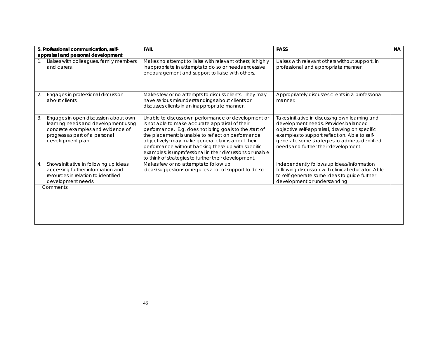|    | 5. Professional communication, self-<br>appraisal and personal development                                                                                               | <b>FAIL</b>                                                                                                                                                                                                                                                                                                                                                                                                                                            | <b>PASS</b>                                                                                                                                                                                                                                                                         | <b>NA</b> |
|----|--------------------------------------------------------------------------------------------------------------------------------------------------------------------------|--------------------------------------------------------------------------------------------------------------------------------------------------------------------------------------------------------------------------------------------------------------------------------------------------------------------------------------------------------------------------------------------------------------------------------------------------------|-------------------------------------------------------------------------------------------------------------------------------------------------------------------------------------------------------------------------------------------------------------------------------------|-----------|
| 1. | Liaises with colleagues, family members<br>and carers.                                                                                                                   | Makes no attempt to liaise with relevant others; is highly<br>inappropriate in attempts to do so or needs excessive<br>encouragement and support to liaise with others.                                                                                                                                                                                                                                                                                | Liaises with relevant others without support, in<br>professional and appropriate manner.                                                                                                                                                                                            |           |
| 2. | Engages in professional discussion<br>about clients.                                                                                                                     | Makes few or no attempts to discuss clients. They may<br>have serious misunderstandings about clients or<br>discusses clients in an inappropriate manner.                                                                                                                                                                                                                                                                                              | Appropriately discusses clients in a professional<br>manner.                                                                                                                                                                                                                        |           |
| 3. | Engages in open discussion about own<br>learning needs and development using<br>concrete examples and evidence of<br>progress as part of a personal<br>development plan. | Unable to discuss own performance or development or<br>is not able to make accurate appraisal of their<br>performance. E.g. does not bring goals to the start of<br>the placement; is unable to reflect on performance<br>objectively; may make general claims about their<br>performance without backing these up with specific<br>examples; is unprofessional in their discussions or unable<br>to think of strategies to further their development. | Takes initiative in discussing own learning and<br>development needs. Provides balanced<br>objective self-appraisal, drawing on specific<br>examples to support reflection. Able to self-<br>generate some strategies to address identified<br>needs and further their development. |           |
| 4. | Shows initiative in following up ideas,<br>accessing further information and<br>resources in relation to identified<br>development needs.                                | Makes few or no attempts to follow up<br>ideas/suggestions or requires a lot of support to do so.                                                                                                                                                                                                                                                                                                                                                      | Independently follows up ideas/information<br>following discussion with clinical educator. Able<br>to self-generate some ideas to guide further<br>development or understanding.                                                                                                    |           |
|    | Comments:                                                                                                                                                                |                                                                                                                                                                                                                                                                                                                                                                                                                                                        |                                                                                                                                                                                                                                                                                     |           |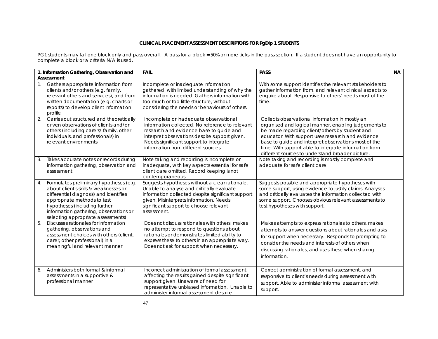#### **CLINICAL PLACEMENT ASSESSMENT DESCRIPTORS FOR PgDip 1 STUDENTS**

PG1 students may fail one block only and pass overall. A pass for a block = 50% or more ticks in the pass section. If a student does not have an opportunity to complete a block or a criteria N/A is used.

|                | 1. Information Gathering, Observation and                                                                                                                                                                                                                                  | <b>FAIL</b>                                                                                                                                                                                                                                                            | <b>PASS</b>                                                                                                                                                                                                                                                                                                                                                                         | <b>NA</b> |
|----------------|----------------------------------------------------------------------------------------------------------------------------------------------------------------------------------------------------------------------------------------------------------------------------|------------------------------------------------------------------------------------------------------------------------------------------------------------------------------------------------------------------------------------------------------------------------|-------------------------------------------------------------------------------------------------------------------------------------------------------------------------------------------------------------------------------------------------------------------------------------------------------------------------------------------------------------------------------------|-----------|
| $\mathbf{1}$ . | Assessment<br>Gathers appropriate information from<br>clients and/or others (e.g. family,<br>relevant others and services), and from<br>written documentation (e.g. charts or<br>reports) to develop client information<br>profile                                         | Incomplete or inadequate information<br>gathered, with limited understanding of why the<br>information is needed. Gathers information with<br>too much or too little structure, without<br>considering the needs or behaviours of others.                              | With some support identifies the relevant stakeholders to<br>gather information from, and relevant clinical aspects to<br>enquire about. Responsive to others' needs most of the<br>time.                                                                                                                                                                                           |           |
| 2.             | Carries out structured and theoretically<br>driven observations of clients and/or<br>others (including carers/ family, other<br>individuals, and professionals) in<br>relevant environments                                                                                | Incomplete or inadequate observational<br>information collected. No reference to relevant<br>research and evidence base to guide and<br>interpret observations despite support given.<br>Needs significant support to integrate<br>information from different sources. | Collects observational information in mostly an<br>organised and logical manner, enabling judgements to<br>be made regarding client/others by student and<br>educator. With support uses research and evidence<br>base to guide and interpret observations most of the<br>time. With support able to integrate information from<br>different sources to understand broader picture. |           |
| 3.             | Takes accurate notes or records during<br>information gathering, observation and<br>assessment                                                                                                                                                                             | Note taking and recording is incomplete or<br>inadequate, with key aspects essential for safe<br>client care omitted. Record keeping is not<br>contemporaneous.                                                                                                        | Note taking and recording is mostly complete and<br>adequate for safe client care.                                                                                                                                                                                                                                                                                                  |           |
|                | Formulates preliminary hypotheses (e.g.<br>about client's skills & weaknesses or<br>differential diagnosis) and identifies<br>appropriate methods to test<br>hypotheses (including further<br>information gathering, observations or<br>selecting appropriate assessments) | Suggests hypotheses without a clear rationale.<br>Unable to analyse and critically evaluate<br>information collected despite significant support<br>given. Misinterprets information. Needs<br>significant support to choose relevant<br>assessment.                   | Suggests possible and appropriate hypotheses with<br>some support, using evidence to justify claims. Analyses<br>and critically evaluates the information collected with<br>some support. Chooses obvious relevant assessments to<br>test hypotheses with support.                                                                                                                  |           |
| 5.             | Discusses rationales for information<br>gathering, observations and<br>assessment choices with others (client,<br>carer, other professional) in a<br>meaningful and relevant manner                                                                                        | Does not discuss rationales with others, makes<br>no attempt to respond to questions about<br>rationales or demonstrates limited ability to<br>express these to others in an appropriate way.<br>Does not ask for support when necessary.                              | Makes attempts to express rationales to others, makes<br>attempts to answer questions about rationales and asks<br>for support when necessary. Responds to prompting to<br>consider the needs and interests of others when<br>discussing rationales, and uses these when sharing<br>information.                                                                                    |           |
| 6.             | Administers both formal & informal<br>assessments in a supportive &<br>professional manner                                                                                                                                                                                 | Incorrect administration of formal assessment.<br>affecting the results gained despite significant<br>support given. Unaware of need for<br>representative unbiased information. Unable to<br>administer informal assessment despite                                   | Correct administration of formal assessment, and<br>responsive to client's needs during assessment with<br>support. Able to administer informal assessment with<br>support.                                                                                                                                                                                                         |           |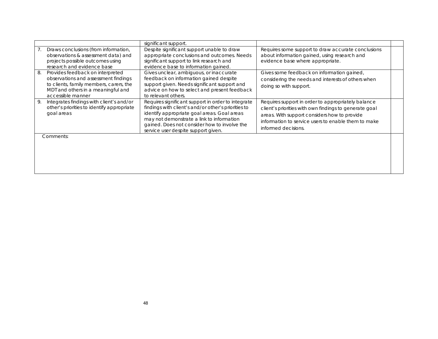|                                                                                                                                                                                      | significant support.                                                                                                                                                                                                                                                                         |                                                                                                                                                                                                                                            |  |
|--------------------------------------------------------------------------------------------------------------------------------------------------------------------------------------|----------------------------------------------------------------------------------------------------------------------------------------------------------------------------------------------------------------------------------------------------------------------------------------------|--------------------------------------------------------------------------------------------------------------------------------------------------------------------------------------------------------------------------------------------|--|
| Draws conclusions (from information,<br>observations & assessment data) and<br>projects possible outcomes using<br>research and evidence base                                        | Despite significant support unable to draw<br>appropriate conclusions and outcomes. Needs<br>significant support to link research and<br>evidence base to information gained.                                                                                                                | Requires some support to draw accurate conclusions<br>about information gained, using research and<br>evidence base where appropriate.                                                                                                     |  |
| 8.<br>Provides feedback on interpreted<br>observations and assessment findings<br>to clients, family members, carers, the<br>MDT and others in a meaningful and<br>accessible manner | Gives unclear, ambiguous, or inaccurate<br>feedback on information gained despite<br>support given. Needs significant support and<br>advice on how to select and present feedback<br>to relevant others.                                                                                     | Gives some feedback on information gained,<br>considering the needs and interests of others when<br>doing so with support.                                                                                                                 |  |
| Integrates findings with client's and/or<br>9.<br>other's priorities to identify appropriate<br>goal areas                                                                           | Requires significant support in order to integrate<br>findings with client's and/or other's priorities to<br>identify appropriate goal areas. Goal areas<br>may not demonstrate a link to information<br>gained. Does not consider how to involve the<br>service user despite support given. | Requires support in order to appropriately balance<br>client's priorities with own findings to generate goal<br>areas. With support considers how to provide<br>information to service users to enable them to make<br>informed decisions. |  |
| Comments:                                                                                                                                                                            |                                                                                                                                                                                                                                                                                              |                                                                                                                                                                                                                                            |  |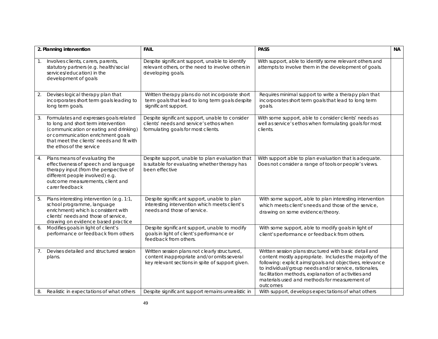|                | 2. Planning intervention                                                                                                                                                                                                              | <b>FAIL</b>                                                                                                                                     | <b>PASS</b>                                                                                                                                                                                                                                                                                                                                                 | <b>NA</b> |
|----------------|---------------------------------------------------------------------------------------------------------------------------------------------------------------------------------------------------------------------------------------|-------------------------------------------------------------------------------------------------------------------------------------------------|-------------------------------------------------------------------------------------------------------------------------------------------------------------------------------------------------------------------------------------------------------------------------------------------------------------------------------------------------------------|-----------|
| $\mathbf{1}$ . | Involves clients, carers, parents,<br>statutory partners (e.g. health/social<br>services/education) in the<br>development of goals                                                                                                    | Despite significant support, unable to identify<br>relevant others, or the need to involve others in<br>developing goals.                       | With support, able to identify some relevant others and<br>attempts to involve them in the development of goals.                                                                                                                                                                                                                                            |           |
| 2.             | Devises logical therapy plan that<br>incorporates short term goals leading to<br>long term goals.                                                                                                                                     | Written therapy plans do not incorporate short<br>term goals that lead to long term goals despite<br>significant support.                       | Requires minimal support to write a therapy plan that<br>incorporates short term goals that lead to long term<br>goals.                                                                                                                                                                                                                                     |           |
| 3.             | Formulates and expresses goals related<br>to long and short term intervention<br>(communication or eating and drinking)<br>or communication enrichment goals<br>that meet the clients' needs and fit with<br>the ethos of the service | Despite significant support, unable to consider<br>clients' needs and service's ethos when<br>formulating goals for most clients.               | With some support, able to consider clients' needs as<br>well as service's ethos when formulating goals for most<br>clients.                                                                                                                                                                                                                                |           |
| 4.             | Plans means of evaluating the<br>effectiveness of speech and language<br>therapy input (from the perspective of<br>different people involved) e.g.<br>outcome measurements, client and<br>carer feedback                              | Despite support, unable to plan evaluation that<br>is suitable for evaluating whether therapy has<br>been effective                             | With support able to plan evaluation that is adequate.<br>Does not consider a range of tools or people's views.                                                                                                                                                                                                                                             |           |
| 5.             | Plans interesting intervention (e.g. 1:1,<br>school programme, language<br>enrichment) which is consistent with<br>clients' needs and those of service.<br>drawing on evidence based practice                                         | Despite significant support, unable to plan<br>interesting intervention which meets client's<br>needs and those of service.                     | With some support, able to plan interesting intervention<br>which meets client's needs and those of the service,<br>drawing on some evidence/theory.                                                                                                                                                                                                        |           |
| 6.             | Modifies goals in light of client's<br>performance or feedback from others                                                                                                                                                            | Despite significant support, unable to modify<br>goals in light of client's performance or<br>feedback from others.                             | With some support, able to modify goals in light of<br>client's performance or feedback from others.                                                                                                                                                                                                                                                        |           |
| 7 <sub>1</sub> | Devises detailed and structured session<br>plans.                                                                                                                                                                                     | Written session plans not clearly structured,<br>content inappropriate and/or omits several<br>key relevant sections in spite of support given. | Written session plans structured with basic detail and<br>content mostly appropriate. Includes the majority of the<br>following: explicit aims/goals and objectives, relevance<br>to individual/group needs and/or service, rationales,<br>facilitation methods, explanation of activities and<br>materials used and methods for measurement of<br>outcomes |           |
| 8.             | Realistic in expectations of what others                                                                                                                                                                                              | Despite significant support remains unrealistic in                                                                                              | With support, develops expectations of what others                                                                                                                                                                                                                                                                                                          |           |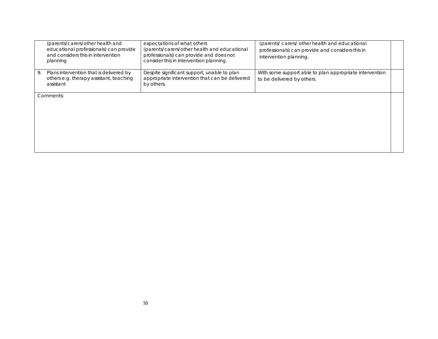|    | (parents/carers/other health and<br>educational professionals) can provide<br>and considers this in intervention<br>planning | expectations of what others<br>(parents/carers/other health and educational<br>professionals) can provide and does not<br>consider this in intervention planning. | (parents/carers/other health and educational<br>professionals) can provide and considers this in<br>intervention planning. |  |
|----|------------------------------------------------------------------------------------------------------------------------------|-------------------------------------------------------------------------------------------------------------------------------------------------------------------|----------------------------------------------------------------------------------------------------------------------------|--|
| 9. | Plans intervention that is delivered by<br>others e.g. therapy assistant, teaching<br>assistant                              | Despite significant support, unable to plan<br>appropriate intervention that can be delivered<br>by others.                                                       | With some support able to plan appropriate intervention<br>to be delivered by others.                                      |  |
|    | Comments:                                                                                                                    |                                                                                                                                                                   |                                                                                                                            |  |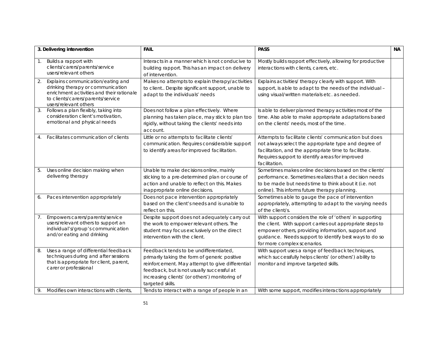|          | 3. Delivering intervention                                                                                                                                                                   | <b>FAIL</b>                                                                                                                                                                                                                                                                                                      | <b>PASS</b>                                                                                                                                                                                                                                                           | <b>NA</b> |
|----------|----------------------------------------------------------------------------------------------------------------------------------------------------------------------------------------------|------------------------------------------------------------------------------------------------------------------------------------------------------------------------------------------------------------------------------------------------------------------------------------------------------------------|-----------------------------------------------------------------------------------------------------------------------------------------------------------------------------------------------------------------------------------------------------------------------|-----------|
| 1.       | Builds a rapport with<br>clients/carers/parents/service<br>users/relevant others                                                                                                             | Interacts in a manner which is not conducive to<br>building rapport. This has an impact on delivery<br>of intervention.                                                                                                                                                                                          | Mostly builds rapport effectively, allowing for productive<br>interactions with clients, carers, etc.                                                                                                                                                                 |           |
| 2.       | Explains communication/eating and<br>drinking therapy or communication<br>enrichment activities and their rationale<br>to clients/carers/parents/service<br>users/relevant others            | Makes no attempts to explain therapy/activities<br>to client Despite significant support, unable to<br>adapt to the individuals' needs                                                                                                                                                                           | Explains activities/ therapy clearly with support. With<br>support, is able to adapt to the needs of the individual -<br>using visual/written materials etc. as needed.                                                                                               |           |
| 3.       | Follows a plan flexibly, taking into<br>consideration client's motivation,<br>emotional and physical needs                                                                                   | Does not follow a plan effectively. Where<br>planning has taken place, may stick to plan too<br>rigidly, without taking the clients' needs into<br>account.                                                                                                                                                      | Is able to deliver planned therapy activities most of the<br>time. Also able to make appropriate adaptations based<br>on the clients' needs, most of the time.                                                                                                        |           |
|          | Facilitates communication of clients                                                                                                                                                         | Little or no attempts to facilitate clients'<br>communication. Requires considerable support<br>to identify areas for improved facilitation.                                                                                                                                                                     | Attempts to facilitate clients' communication but does<br>not always select the appropriate type and degree of<br>facilitation, and the appropriate time to facilitate.<br>Requires support to identify areas for improved<br>facilitation.                           |           |
| 5.       | Uses online decision making when<br>delivering therapy                                                                                                                                       | Unable to make decisions online, mainly<br>sticking to a pre-determined plan or course of<br>action and unable to reflect on this. Makes<br>inappropriate online decisions.                                                                                                                                      | Sometimes makes online decisions based on the clients'<br>performance. Sometimes realizes that a decision needs<br>to be made but needs time to think about it (i.e. not<br>online). This informs future therapy planning.                                            |           |
| 6.       | Paces intervention appropriately                                                                                                                                                             | Does not pace intervention appropriately<br>based on the client's needs and is unable to<br>reflect on this.                                                                                                                                                                                                     | Sometimes able to gauge the pace of intervention<br>appropriately, attempting to adapt to the varying needs<br>of the client/s.                                                                                                                                       |           |
| 7.       | Empowers carers/parents/service<br>users/relevant others to support an<br>individual's/group's communication<br>and/or eating and drinking                                                   | Despite support does not adequately carry out<br>the work to empower relevant others. The<br>student may focus exclusively on the direct<br>intervention with the client.                                                                                                                                        | With support considers the role of 'others' in supporting<br>the client. With support carries out appropriate steps to<br>empower others, providing information, support and<br>guidance. Needs support to identify best ways to do so<br>for more complex scenarios. |           |
| 8.<br>9. | Uses a range of differential feedback<br>techniques during and after sessions<br>that is appropriate for client, parent,<br>carer or professional<br>Modifies own interactions with clients, | Feedback tends to be undifferentiated,<br>primarily taking the form of generic positive<br>reinforcement. May attempt to give differential<br>feedback, but is not usually successful at<br>increasing clients' (or others') monitoring of<br>targeted skills.<br>Tends to interact with a range of people in an | With support uses a range of feedback techniques,<br>which successfully helps clients' (or others') ability to<br>monitor and improve targeted skills.<br>With some support, modifies interactions appropriately                                                      |           |
|          |                                                                                                                                                                                              |                                                                                                                                                                                                                                                                                                                  |                                                                                                                                                                                                                                                                       |           |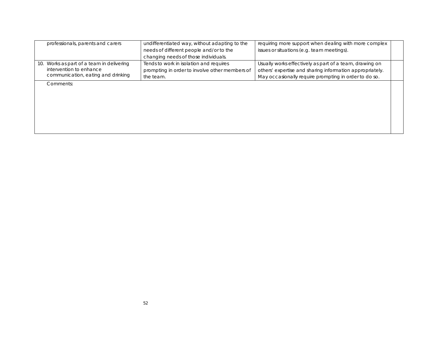| professionals, parents and carers<br>undifferentiated way, without adapting to the |                                                | requiring more support when dealing with more complex    |  |
|------------------------------------------------------------------------------------|------------------------------------------------|----------------------------------------------------------|--|
|                                                                                    | needs of different people and/or to the        | issues or situations (e.g. team meetings).               |  |
|                                                                                    | changing needs of those individuals.           |                                                          |  |
| 10. Works as part of a team in delivering                                          | Tends to work in isolation and requires        | Usually works effectively as part of a team, drawing on  |  |
| intervention to enhance                                                            | prompting in order to involve other members of | others' expertise and sharing information appropriately. |  |
| communication, eating and drinking                                                 | the team.                                      | May occasionally require prompting in order to do so.    |  |
| Comments:                                                                          |                                                |                                                          |  |
|                                                                                    |                                                |                                                          |  |
|                                                                                    |                                                |                                                          |  |
|                                                                                    |                                                |                                                          |  |
|                                                                                    |                                                |                                                          |  |
|                                                                                    |                                                |                                                          |  |
|                                                                                    |                                                |                                                          |  |
|                                                                                    |                                                |                                                          |  |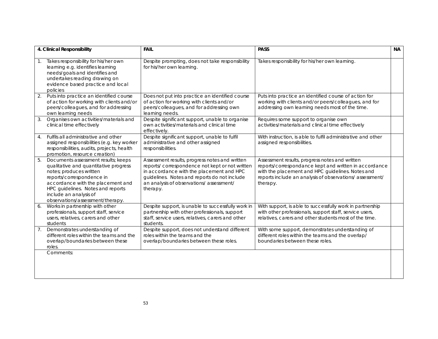| 4. Clinical Responsibility                                                                                                                                                                                                                                                         | <b>FAIL</b>                                                                                                                                                                                                                                          | <b>PASS</b>                                                                                                                                                                                                                        | <b>NA</b> |
|------------------------------------------------------------------------------------------------------------------------------------------------------------------------------------------------------------------------------------------------------------------------------------|------------------------------------------------------------------------------------------------------------------------------------------------------------------------------------------------------------------------------------------------------|------------------------------------------------------------------------------------------------------------------------------------------------------------------------------------------------------------------------------------|-----------|
| Takes responsibility for his/her own<br>1.<br>learning e.g. identifies learning<br>needs/goals and identifies and<br>undertakes reading drawing on<br>evidence based practice and local<br>policies                                                                                | Despite prompting, does not take responsibility<br>for his/her own learning.                                                                                                                                                                         | Takes responsibility for his/her own learning.                                                                                                                                                                                     |           |
| Puts into practice an identified course<br>of action for working with clients and/or<br>peers/colleagues, and for addressing<br>own learning needs                                                                                                                                 | Does not put into practice an identified course<br>of action for working with clients and/or<br>peers/colleagues, and for addressing own<br>learning needs.                                                                                          | Puts into practice an identified course of action for<br>working with clients and/or peers/colleagues, and for<br>addressing own learning needs most of the time.                                                                  |           |
| 3.<br>Organises own activities/materials and<br>clinical time effectively                                                                                                                                                                                                          | Despite significant support, unable to organise<br>own activities/materials and clinical time<br>effectively.                                                                                                                                        | Requires some support to organise own<br>activities/materials and clinical time effectively                                                                                                                                        |           |
| Fulfils all administrative and other<br>4.<br>assigned responsibilities (e.g. key worker<br>responsibilities, audits, projects, health<br>promotion, resource creation)                                                                                                            | Despite significant support, unable to fulfil<br>administrative and other assigned<br>responsibilities.                                                                                                                                              | With instruction, is able to fulfil administrative and other<br>assigned responsibilities.                                                                                                                                         |           |
| 5.<br>Documents assessment results; keeps<br>qualitative and quantitative progress<br>notes; produces written<br>reports/correspondence in<br>accordance with the placement and<br>HPC guidelines. Notes and reports<br>include an analysis of<br>observations/assessment/therapy. | Assessment results, progress notes and written<br>reports/ correspondence not kept or not written<br>in accordance with the placement and HPC<br>guidelines. Notes and reports do not include<br>an analysis of observations/assessment/<br>therapy. | Assessment results, progress notes and written<br>reports/correspondance kept and written in accordance<br>with the placement and HPC guidelines. Notes and<br>reports include an analysis of observations/assessment/<br>therapy. |           |
| Works in partnership with other<br>6.<br>professionals, support staff, service<br>users, relatives, carers and other<br>students                                                                                                                                                   | Despite support, is unable to successfully work in<br>partnership with other professionals, support<br>staff, service users, relatives, carers and other<br>students.                                                                                | With support, is able to successfully work in partnership<br>with other professionals, support staff, service users,<br>relatives, carers and other students most of the time.                                                     |           |
| Demonstrates understanding of<br>7.<br>different roles within the teams and the<br>overlap/boundaries between these<br>roles.                                                                                                                                                      | Despite support, does not understand different<br>roles within the teams and the<br>overlap/boundaries between these roles.                                                                                                                          | With some support, demonstrates understanding of<br>different roles within the teams and the overlap/<br>boundaries between these roles.                                                                                           |           |
| Comments:                                                                                                                                                                                                                                                                          |                                                                                                                                                                                                                                                      |                                                                                                                                                                                                                                    |           |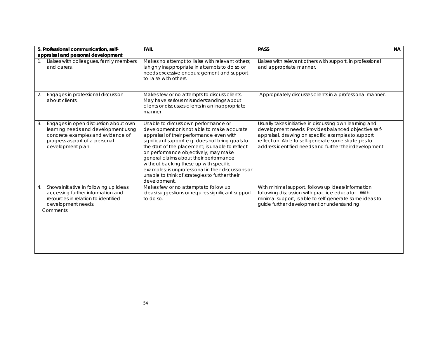|             | 5. Professional communication, self-<br>appraisal and personal development                                                                                               | <b>FAIL</b>                                                                                                                                                                                                                                                                                                                                                                                                                                                                                  | <b>PASS</b>                                                                                                                                                                                                                                                                              | <b>NA</b> |
|-------------|--------------------------------------------------------------------------------------------------------------------------------------------------------------------------|----------------------------------------------------------------------------------------------------------------------------------------------------------------------------------------------------------------------------------------------------------------------------------------------------------------------------------------------------------------------------------------------------------------------------------------------------------------------------------------------|------------------------------------------------------------------------------------------------------------------------------------------------------------------------------------------------------------------------------------------------------------------------------------------|-----------|
| $1_{\cdot}$ | Liaises with colleagues, family members<br>and carers.                                                                                                                   | Makes no attempt to liaise with relevant others;<br>is highly inappropriate in attempts to do so or<br>needs excessive encouragement and support<br>to liaise with others.                                                                                                                                                                                                                                                                                                                   | Liaises with relevant others with support, in professional<br>and appropriate manner.                                                                                                                                                                                                    |           |
| 2.          | Engages in professional discussion<br>about clients.                                                                                                                     | Makes few or no attempts to discuss clients.<br>May have serious misunderstandings about<br>clients or discusses clients in an inappropriate<br>manner.                                                                                                                                                                                                                                                                                                                                      | Appropriately discusses clients in a professional manner.                                                                                                                                                                                                                                |           |
| 3.          | Engages in open discussion about own<br>learning needs and development using<br>concrete examples and evidence of<br>progress as part of a personal<br>development plan. | Unable to discuss own performance or<br>development or is not able to make accurate<br>appraisal of their performance even with<br>significant support e.g. does not bring goals to<br>the start of the placement; is unable to reflect<br>on performance objectively; may make<br>general claims about their performance<br>without backing these up with specific<br>examples; is unprofessional in their discussions or<br>unable to think of strategies to further their<br>development. | Usually takes initiative in discussing own learning and<br>development needs. Provides balanced objective self-<br>appraisal, drawing on specific examples to support<br>reflection. Able to self-generate some strategies to<br>address identified needs and further their development. |           |
| 4.          | Shows initiative in following up ideas,<br>accessing further information and<br>resources in relation to identified<br>development needs.                                | Makes few or no attempts to follow up<br>ideas/suggestions or requires significant support<br>to do so.                                                                                                                                                                                                                                                                                                                                                                                      | With minimal support, follows up ideas/information<br>following discussion with practice educator. With<br>minimal support, is able to self-generate some ideas to<br>guide further development or understanding.                                                                        |           |
|             | Comments:                                                                                                                                                                |                                                                                                                                                                                                                                                                                                                                                                                                                                                                                              |                                                                                                                                                                                                                                                                                          |           |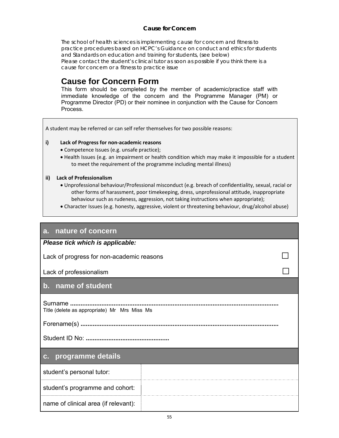### **Cause for Concern**

The school of health sciences is implementing cause for concern and fitness to practice procedures based on HCPC's Guidance on conduct and ethics for students and Standards on education and training for students, (see below) Please contact the student's clinical tutor as soon as possible if you think there is a cause for concern or a fitness to practice issue

# **Cause for Concern Form**

This form should be completed by the member of academic/practice staff with immediate knowledge of the concern and the Programme Manager (PM) or Programme Director (PD) or their nominee in conjunction with the Cause for Concern Process.

A student may be referred or can self refer themselves for two possible reasons:

#### **i) Lack of Progress for non‐academic reasons**

- Competence Issues (e.g. unsafe practice);
- Health Issues (e.g. an impairment or health condition which may make it impossible for a student to meet the requirement of the programme including mental illness)

#### **ii) Lack of Professionalism**

- Unprofessional behaviour/Professional misconduct (e.g. breach of confidentiality, sexual, racial or other forms of harassment, poor timekeeping, dress, unprofessional attitude, inappropriate behaviour such as rudeness, aggression, not taking instructions when appropriate);
- Character Issues (e.g. honesty, aggressive, violent or threatening behaviour, drug/alcohol abuse)

### **a. nature of concern**

*Please tick which is applicable:* 

Lack of progress for non-academic reasons  $□$ 

Lack of professionalism  $□$ 

### **b. name of student**

Surname **........................................................................................................................** Title (delete as appropriate) Mr Mrs Miss Ms

Forename(s) **..................................................................................................................** 

Student ID No: **................................................**

### **c. programme details**

student's personal tutor:

student's programme and cohort:

name of clinical area (if relevant):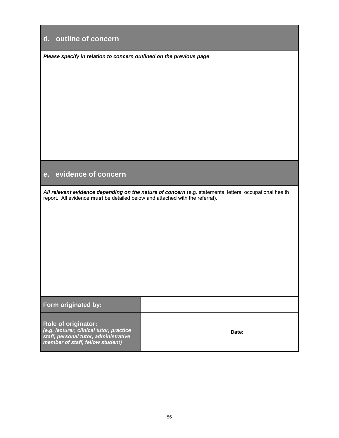# **d. outline of concern**

*Please specify in relation to concern outlined on the previous page*

# **e. evidence of concern**

*All relevant evidence depending on the nature of concern* (e.g. statements, letters, occupational health report. All evidence **must** be detailed below and attached with the referral).

| Form originated by:                                                                                                                                 |       |
|-----------------------------------------------------------------------------------------------------------------------------------------------------|-------|
| <b>Role of originator:</b><br>(e.g. lecturer, clinical tutor, practice<br>staff, personal tutor, administrative<br>member of staff, fellow student) | Date: |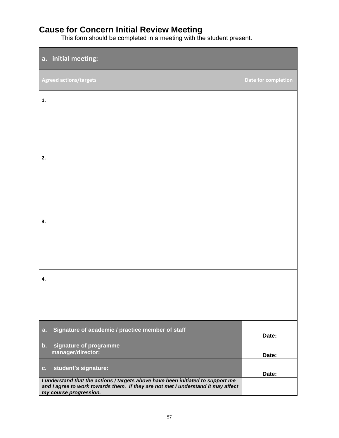# **Cause for Concern Initial Review Meeting**

This form should be completed in a meeting with the student present.

| a. initial meeting:                                                                                                                                                                           |                     |
|-----------------------------------------------------------------------------------------------------------------------------------------------------------------------------------------------|---------------------|
| <b>Agreed actions/targets</b>                                                                                                                                                                 | Date for completion |
| 1.                                                                                                                                                                                            |                     |
|                                                                                                                                                                                               |                     |
|                                                                                                                                                                                               |                     |
| 2.                                                                                                                                                                                            |                     |
|                                                                                                                                                                                               |                     |
|                                                                                                                                                                                               |                     |
| 3.                                                                                                                                                                                            |                     |
|                                                                                                                                                                                               |                     |
|                                                                                                                                                                                               |                     |
| 4.                                                                                                                                                                                            |                     |
|                                                                                                                                                                                               |                     |
|                                                                                                                                                                                               |                     |
| Signature of academic / practice member of staff<br>a.                                                                                                                                        | Date:               |
| signature of programme<br>$\mathbf{b}$ .<br>manager/director:                                                                                                                                 | Date:               |
| student's signature:<br>$\mathbf{c}$ .                                                                                                                                                        | Date:               |
| I understand that the actions / targets above have been initiated to support me<br>and I agree to work towards them. If they are not met I understand it may affect<br>my course progression. |                     |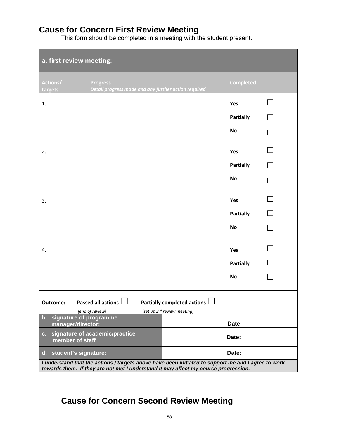# **Cause for Concern First Review Meeting**

This form should be completed in a meeting with the student present.

| a. first review meeting:                                                                                                                                                                   |                                                                         |  |                  |        |
|--------------------------------------------------------------------------------------------------------------------------------------------------------------------------------------------|-------------------------------------------------------------------------|--|------------------|--------|
| Actions/<br>targets                                                                                                                                                                        | <b>Progress</b><br>Detail progress made and any further action required |  | <b>Completed</b> |        |
| 1.                                                                                                                                                                                         |                                                                         |  | Yes              |        |
|                                                                                                                                                                                            |                                                                         |  | <b>Partially</b> |        |
|                                                                                                                                                                                            |                                                                         |  | <b>No</b>        |        |
| 2.                                                                                                                                                                                         |                                                                         |  | Yes              |        |
|                                                                                                                                                                                            |                                                                         |  | <b>Partially</b> |        |
|                                                                                                                                                                                            |                                                                         |  | <b>No</b>        |        |
| 3.                                                                                                                                                                                         |                                                                         |  | Yes              |        |
|                                                                                                                                                                                            |                                                                         |  | <b>Partially</b> | $\Box$ |
|                                                                                                                                                                                            |                                                                         |  | <b>No</b>        |        |
| 4.                                                                                                                                                                                         |                                                                         |  | Yes              |        |
|                                                                                                                                                                                            |                                                                         |  | <b>Partially</b> |        |
|                                                                                                                                                                                            |                                                                         |  | <b>No</b>        |        |
| <b>Passed all actions</b><br>Partially completed actions I<br>Outcome:<br>(end of review)<br>(set up 2 <sup>nd</sup> review meeting)                                                       |                                                                         |  |                  |        |
| b. signature of programme<br>Date:<br>manager/director:                                                                                                                                    |                                                                         |  |                  |        |
| c. signature of academic/practice<br>Date:<br>member of staff                                                                                                                              |                                                                         |  |                  |        |
| Date:<br>student's signature:<br>$d_{\rm H}$                                                                                                                                               |                                                                         |  |                  |        |
| I understand that the actions / targets above have been initiated to support me and I agree to work<br>towards them. If they are not met I understand it may affect my course progression. |                                                                         |  |                  |        |

# **Cause for Concern Second Review Meeting**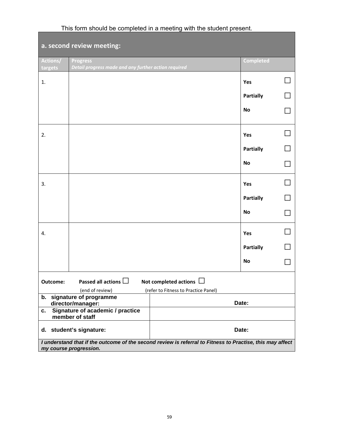| a. second review meeting:                                                                                                           |                                                                                                                         |  |                  |  |  |
|-------------------------------------------------------------------------------------------------------------------------------------|-------------------------------------------------------------------------------------------------------------------------|--|------------------|--|--|
| Actions/<br>targets                                                                                                                 | <b>Progress</b><br>Detail progress made and any further action required                                                 |  | <b>Completed</b> |  |  |
| 1.                                                                                                                                  |                                                                                                                         |  | Yes              |  |  |
|                                                                                                                                     |                                                                                                                         |  | <b>Partially</b> |  |  |
|                                                                                                                                     |                                                                                                                         |  | <b>No</b>        |  |  |
| 2.                                                                                                                                  |                                                                                                                         |  | Yes              |  |  |
|                                                                                                                                     |                                                                                                                         |  | <b>Partially</b> |  |  |
|                                                                                                                                     |                                                                                                                         |  | <b>No</b>        |  |  |
| 3.                                                                                                                                  |                                                                                                                         |  | Yes              |  |  |
|                                                                                                                                     |                                                                                                                         |  | <b>Partially</b> |  |  |
|                                                                                                                                     |                                                                                                                         |  | No               |  |  |
| 4.                                                                                                                                  |                                                                                                                         |  | Yes              |  |  |
|                                                                                                                                     |                                                                                                                         |  | <b>Partially</b> |  |  |
|                                                                                                                                     |                                                                                                                         |  | <b>No</b>        |  |  |
| Outcome:                                                                                                                            | Passed all actions $\square$<br>Not completed actions $\Box$<br>(end of review)<br>(refer to Fitness to Practice Panel) |  |                  |  |  |
|                                                                                                                                     | b. signature of programme<br>Date:<br>director/manager:                                                                 |  |                  |  |  |
| Signature of academic / practice<br>c.<br>member of staff                                                                           |                                                                                                                         |  |                  |  |  |
|                                                                                                                                     | d. student's signature:<br>Date:                                                                                        |  |                  |  |  |
| I understand that if the outcome of the second review is referral to Fitness to Practise, this may affect<br>my course progression. |                                                                                                                         |  |                  |  |  |

# This form should be completed in a meeting with the student present.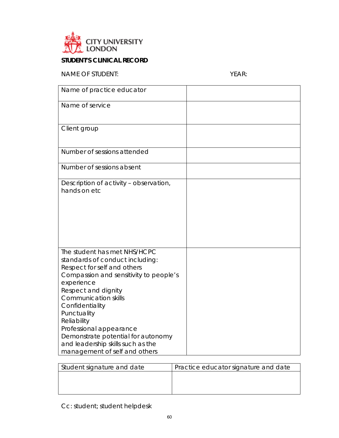

## **STUDENT'S CLINICAL RECORD**

NAME OF STUDENT: YEAR:

| Name of practice educator                                                                                                                                                                                                                                                                                                                                                                            |  |
|------------------------------------------------------------------------------------------------------------------------------------------------------------------------------------------------------------------------------------------------------------------------------------------------------------------------------------------------------------------------------------------------------|--|
| Name of service                                                                                                                                                                                                                                                                                                                                                                                      |  |
| Client group                                                                                                                                                                                                                                                                                                                                                                                         |  |
| Number of sessions attended                                                                                                                                                                                                                                                                                                                                                                          |  |
| Number of sessions absent                                                                                                                                                                                                                                                                                                                                                                            |  |
| Description of activity - observation,<br>hands on etc                                                                                                                                                                                                                                                                                                                                               |  |
| The student has met NHS/HCPC<br>standards of conduct including:<br>Respect for self and others<br>Compassion and sensitivity to people's<br>experience<br>Respect and dignity<br><b>Communication skills</b><br>Confidentiality<br>Punctuality<br>Reliability<br>Professional appearance<br>Demonstrate potential for autonomy<br>and leadership skills such as the<br>management of self and others |  |

| Student signature and date | Practice educator signature and date |
|----------------------------|--------------------------------------|
|                            |                                      |
|                            |                                      |
|                            |                                      |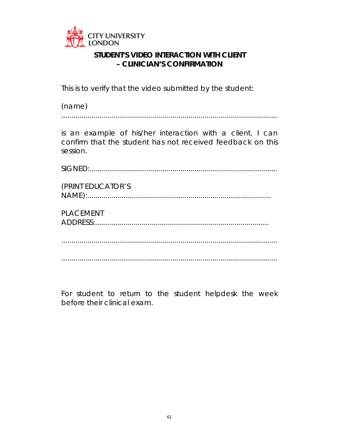

# **STUDENT'S VIDEO INTERACTION WITH CLIENT – CLINICIAN'S CONFIRMATION**

This is to verify that the video submitted by the student:

| (name) |  |
|--------|--|
|        |  |

is an example of his/her interaction with a client. I can confirm that the student has not received feedback on this session.

SIGNED:.............................................................................................

| (PRINT EDUCATOR'S |  |
|-------------------|--|
|                   |  |

PLACEMENT ADDRESS:......................................................................................

...........................................................................................................

...........................................................................................................

For student to return to the student helpdesk the week before their clinical exam.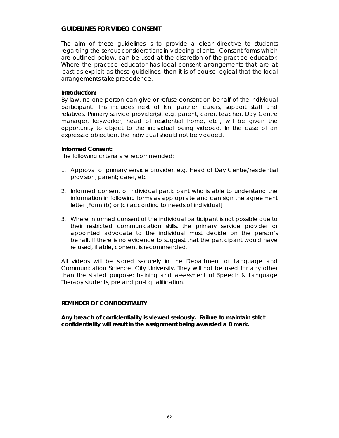### **GUIDELINES FOR VIDEO CONSENT**

The aim of these guidelines is to provide a clear directive to students regarding the serious considerations in videoing clients. Consent forms which are outlined below, can be used at the discretion of the practice educator. Where the practice educator has local consent arrangements that are at least as explicit as these guidelines, then it is of course logical that the local arrangements take precedence.

#### **Introduction:**

By law, no one person can give or refuse consent on behalf of the individual participant. This includes next of kin, partner, carers, support staff and relatives. Primary service provider(s), e.g. parent, carer, teacher, Day Centre manager, keyworker, head of residential home, etc., will be given the opportunity to object to the individual being videoed. In the case of an expressed objection, the individual should not be videoed.

#### **Informed Consent:**

The following criteria are recommended:

- 1. Approval of primary service provider, e.g. Head of Day Centre/residential provision; parent; carer, etc.
- 2. Informed consent of individual participant who is able to understand the information in following forms as appropriate and can sign the agreement letter [Form (b) or (c) according to needs of individual]
- 3. Where informed consent of the individual participant is not possible due to their restricted communication skills, the primary service provider or appointed advocate to the individual must decide on the person's behalf. If there is no evidence to suggest that the participant would have refused, if able, consent is recommended.

All videos will be stored securely in the Department of Language and Communication Science, City University. They will not be used for any other than the stated purpose: training and assessment of Speech & Language Therapy students, pre and post qualification.

### **REMINDER OF CONFIDENTIALITY**

**Any breach of confidentiality is viewed seriously. Failure to maintain strict confidentiality will result in the assignment being awarded a 0 mark.**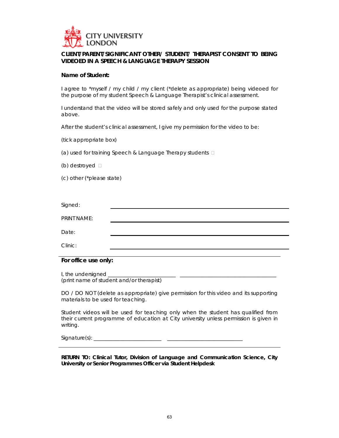

### **CLIENT/PARENT/SIGNIFICANT OTHER/ STUDENT/ THERAPIST CONSENT TO BEING VIDEOED IN A SPEECH & LANGUAGE THERAPY SESSION**

#### **Name of Student:**

I agree to \*myself / my child / my client (\*delete as appropriate) being videoed for the purpose of my student Speech & Language Therapist's clinical assessment.

I understand that the video will be stored safely and only used for the purpose stated above.

After the student's clinical assessment, I give my permission for the video to be:

(tick appropriate box)

(a) used for training Speech & Language Therapy students  $\Box$ 

(b) destroyed

(c) other (\*please state)

| Signed:     |  |  |
|-------------|--|--|
|             |  |  |
| PRINT NAME: |  |  |
|             |  |  |

Date:

Clinic:

#### **For office use only:**

I, the undersigned \_\_ (print name of student and/or therapist)

DO / DO NOT (delete as appropriate) give permission for this video and its supporting materials to be used for teaching.

Student videos will be used for teaching only when the student has qualified from their current programme of education at City university unless permission is given in writing.

Signature(s): \_\_\_\_\_\_\_\_\_\_\_\_\_\_\_\_\_\_\_\_\_\_\_\_\_\_ \_\_\_\_\_\_\_\_\_\_\_\_\_\_\_\_\_\_\_\_\_\_\_\_\_\_\_\_\_

**RETURN TO: Clinical Tutor, Division of Language and Communication Science, City University or Senior Programmes Officer via Student Helpdesk**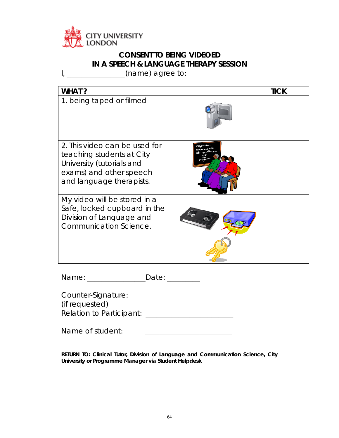

# **CONSENT TO BEING VIDEOED IN A SPEECH & LANGUAGE THERAPY SESSION**

I, \_\_\_\_\_\_\_\_\_\_\_\_\_\_\_\_(name) agree to:

| WHAT?                                                                                                                                          |               | <b>TICK</b> |
|------------------------------------------------------------------------------------------------------------------------------------------------|---------------|-------------|
| 1. being taped or filmed                                                                                                                       |               |             |
| 2. This video can be used for<br>teaching students at City<br>University (tutorials and<br>exams) and other speech<br>and language therapists. |               |             |
| My video will be stored in a<br>Safe, locked cupboard in the<br>Division of Language and<br><b>Communication Science.</b>                      |               |             |
| Name: ________                                                                                                                                 | Date: _______ |             |
| Counter-Signature:<br>(if requested)                                                                                                           |               |             |

|  | Relation to Participant: |  |
|--|--------------------------|--|

**RETURN TO: Clinical Tutor, Division of Language and Communication Science, City University or Programme Manager via Student Helpdesk**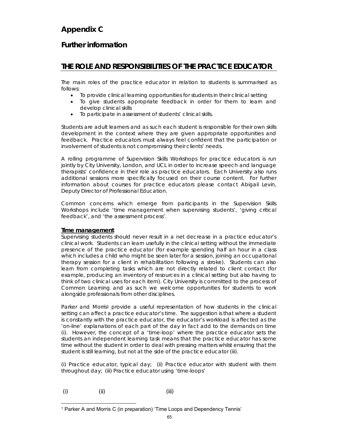# **Appendix C**

## **Further information**

## **THE ROLE AND RESPONSIBILITIES OF THE PRACTICE EDUCATOR**

The main roles of the practice educator in relation to students is summarised as follows:

- To provide clinical learning opportunities for students in their clinical setting
- To give students appropriate feedback in order for them to learn and develop clinical skills
- To participate in assessment of students' clinical skills.

Students are adult learners and as such each student is responsible for their own skills development in the context where they are given appropriate opportunities and feedback. Practice educators must always feel confident that the participation or involvement of students is not compromising their clients' needs.

A rolling programme of Supervision Skills Workshops for practice educators is run jointly by City University, London, and UCL in order to increase speech and language therapists' confidence in their role as practice educators. Each University also runs additional sessions more specifically focused on their course content. For further information about courses for practice educators please contact Abigail Levin, Deputy Director of Professional Education.

Common concerns which emerge from participants in the Supervision Skills Workshops include '*time management when supervising students', 'giving critical feedback', and 'the assessment process'*.

### **Time management**

Supervising students should never result in a net decrease in a practice educator's clinical work. Students can learn usefully in the clinical setting without the immediate presence of the practice educator (for example spending half an hour in a class which includes a child who might be seen later for a session, joining an occupational therapy session for a client in rehabilitation following a stroke). Students can also learn from completing tasks which are not directly related to client contact (for example, producing an inventory of resources in a clinical setting but also having to think of two clinical uses for each item). City University is committed to the process of Common Learning and as such we welcome opportunities for students to work alongside professionals from other disciplines.

Parker and Morris<sup>1</sup> provide a useful representation of how students in the clinical setting can affect a practice educator's time. The suggestion is that where a student is constantly with the practice educator, the educator's workload is affected as the 'on-line' explanations of each part of the day in fact add to the demands on time (i). However, the concept of a 'time-loop' where the practice educator sets the students an independent learning task means that the practice educator has some time without the student in order to deal with pressing matters whilst ensuring that the student is still learning, but not at the side of the practice educator (iii).

(i) Practice educator, typical day; (ii) Practice educator with student with them throughout day; (iii) Practice educator using 'time-loops'

 $(i)$  (ii) (iii) (iii)

 1 Parker A and Morris C (in preparation) 'Time Loops and Dependency Tennis'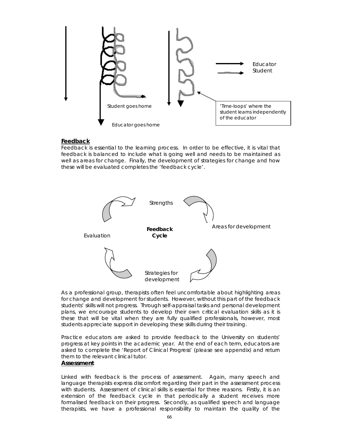

#### **Feedback**

Feedback is essential to the learning process. In order to be effective, it is vital that feedback is balanced to include what is going well and needs to be maintained as well as areas for change. Finally, the development of strategies for change and how these will be evaluated completes the 'feedback cycle'.



As a professional group, therapists often feel uncomfortable about highlighting areas for change and development for students. However, without this part of the feedback students' skills will not progress. Through self-appraisal tasks and personal development plans, we encourage students to develop their own critical evaluation skills as it is these that will be vital when they are fully qualified professionals, however, most students appreciate support in developing these skills during their training.

Practice educators are asked to provide feedback to the University on students' progress at key points in the academic year. At the end of each term, educators are asked to complete the 'Report of Clinical Progress' (please see appendix) and return them to the relevant clinical tutor.

#### **Assessment**

Linked with feedback is the process of assessment. Again, many speech and language therapists express discomfort regarding their part in the assessment process with students. Assessment of clinical skills is essential for three reasons. Firstly, it is an extension of the feedback cycle in that periodically a student receives more formalised feedback on their progress. Secondly, as qualified speech and language therapists, we have a professional responsibility to maintain the quality of the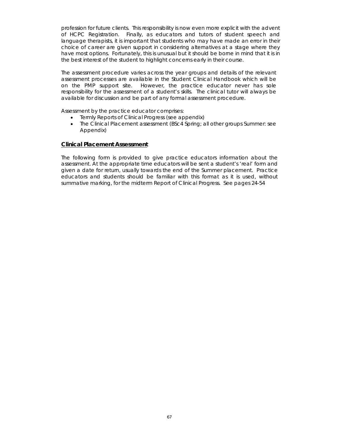profession for future clients. This responsibility is now even more explicit with the advent of HCPC Registration. Finally, as educators and tutors of student speech and language therapists, it is important that students who may have made an error in their choice of career are given support in considering alternatives at a stage where they have most options. Fortunately, this is unusual but it should be borne in mind that it is in the best interest of the student to highlight concerns early in their course.

The assessment procedure varies across the year groups and details of the relevant assessment processes are available in the Student Clinical Handbook which will be on the PMP support site. However, the practice educator never has sole responsibility for the assessment of a student's skills. The clinical tutor will always be available for discussion and be part of any formal assessment procedure.

Assessment by the practice educator comprises:

- Termly Reports of Clinical Progress (see appendix)
- The Clinical Placement assessment (BSc4 Spring; all other groups Summer: see Appendix)

#### **Clinical Placement Assessment**

The following form is provided to give practice educators information about the assessment. At the appropriate time educators will be sent a student's 'real' form and given a date for return, usually towards the end of the Summer placement. Practice educators and students should be familiar with this format as it is used, without summative marking, for the midterm Report of Clinical Progress. See pages 24-54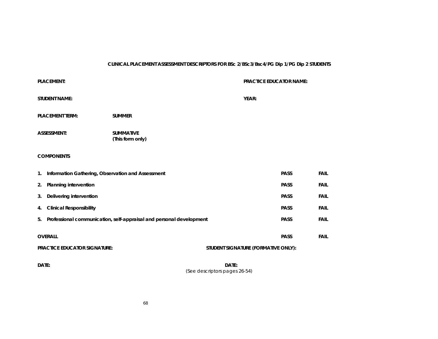#### **CLINICAL PLACEMENT ASSESSMENT DESCRIPTORS FOR BSc 2/BSc3/Bsc4/PG Dip 1/PG Dip 2 STUDENTS**

|                                                                            | <b>PLACEMENT:</b>                                                         |  |             | <b>PRACTICE EDUCATOR NAME:</b> |             |             |
|----------------------------------------------------------------------------|---------------------------------------------------------------------------|--|-------------|--------------------------------|-------------|-------------|
| <b>STUDENT NAME:</b>                                                       |                                                                           |  |             | YEAR:                          |             |             |
| <b>PLACEMENT TERM:</b><br><b>SUMMER</b>                                    |                                                                           |  |             |                                |             |             |
| <b>ASSESSMENT:</b><br><b>SUMMATIVE</b><br>(This form only)                 |                                                                           |  |             |                                |             |             |
| <b>COMPONENTS</b>                                                          |                                                                           |  |             |                                |             |             |
| Information Gathering, Observation and Assessment<br>1.                    |                                                                           |  |             | <b>PASS</b>                    | <b>FAIL</b> |             |
| <b>PASS</b><br>Planning intervention<br>2.                                 |                                                                           |  | <b>FAIL</b> |                                |             |             |
| 3.                                                                         | Delivering intervention                                                   |  |             |                                | <b>PASS</b> | <b>FAIL</b> |
| 4.                                                                         | <b>Clinical Responsibility</b>                                            |  |             | <b>PASS</b>                    | <b>FAIL</b> |             |
|                                                                            | Professional communication, self-appraisal and personal development<br>5. |  |             |                                | <b>PASS</b> | <b>FAIL</b> |
| <b>OVERALL</b><br><b>PASS</b>                                              |                                                                           |  | <b>FAIL</b> |                                |             |             |
| <b>PRACTICE EDUCATOR SIGNATURE:</b><br>STUDENT SIGNATURE (FORMATIVE ONLY): |                                                                           |  |             |                                |             |             |
|                                                                            |                                                                           |  |             |                                |             |             |

**DATE: DATE:**DATE: (See descriptors pages 26-54)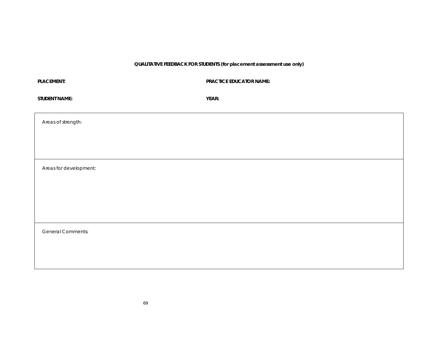**QUALITATIVE FEEDBACK FOR STUDENTS (for placement assessment use only)** 

| <b>PLACEMENT:</b>        | <b>PRACTICE EDUCATOR NAME:</b> |
|--------------------------|--------------------------------|
| <b>STUDENT NAME:</b>     | YEAR:                          |
| Areas of strength:       |                                |
|                          |                                |
| Areas for development:   |                                |
|                          |                                |
|                          |                                |
| <b>General Comments:</b> |                                |
|                          |                                |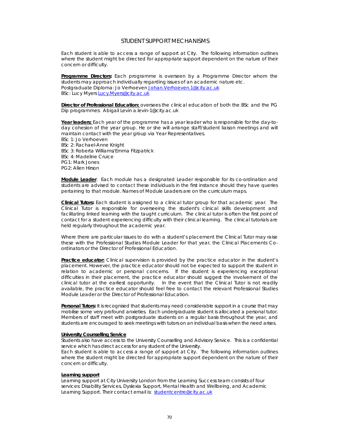#### STUDENT SUPPORT MECHANISMS

Each student is able to access a range of support at City. The following information outlines where the student might be directed for appropriate support dependent on the nature of their concern or difficulty.

**Programme Directors:** Each programme is overseen by a Programme Director whom the students may approach individually regarding issues of an academic nature etc. Postgraduate Diploma: Jo Verhoeven Johan.Verhoeven.1@city.ac.uk BSc: Lucy Myers Lucy.Myers@city.ac.uk

**Director of Professional Education:** oversees the clinical education of both the BSc and the PG Dip programmes: Abigail Levin a.levin-1@city.ac.uk

**Year leaders:** Each year of the programme has a year leader who is responsible for the day-today cohesion of the year group. He or she will arrange staff/student liaison meetings and will maintain contact with the year group via Year Representatives. BSc 1: Jo Verhoeven BSc 2: Rachael-Anne Knight BSc 3: Roberta Williams/Emma Fitzpatrick BSc 4: Madeline Cruice PG1: Mark Jones PG2: Allen Hirson

**Module Leader**: Each module has a designated Leader responsible for its co-ordination and students are advised to contact these individuals in the first instance should they have queries pertaining to that module. Names of Module Leaders are on the curriculum maps.

**Clinical Tutors:** Each student is assigned to a clinical tutor group for that academic year. The Clinical Tutor is responsible for overseeing the student's clinical skills development and facilitating linked learning with the taught curriculum. The clinical tutor is often the first point of contact for a student experiencing difficulty with their clinical learning. The clinical tutorials are held regularly throughout the academic year.

Where there are particular issues to do with a student's placement the Clinical Tutor may raise these with the Professional Studies Module Leader for that year, the Clinical Placements Coordinators or the Director of Professional Education.

**Practice educator:** Clinical supervision is provided by the practice educator in the student's placement. However, the practice educator should not be expected to support the student in relation to academic or personal concerns. If the student is experiencing exceptional difficulties in their placement, the practice educator should suggest the involvement of the clinical tutor at the earliest opportunity. In the event that the Clinical Tutor is not readily available, the practice educator should feel free to contact the relevant Professional Studies Module Leader or the Director of Professional Education.

**Personal Tutors:** It is recognised that students may need considerable support in a course that may mobilise some very profound anxieties. Each undergraduate student is allocated a personal tutor. Members of staff meet with postgraduate students on a regular basis throughout the year, and students are encouraged to seek meetings with tutors on an individual basis when the need arises.

#### **University Counselling Service**

Students also have access to the University Counselling and Advisory Service. This is a confidential service which has direct access for any student of the University.

Each student is able to access a range of support at City. The following information outlines where the student might be directed for appropriate support dependent on the nature of their concern or difficulty.

#### **Learning support**

Learning support at City University London from the Learning Success team consists of four services: Disability Services, Dyslexia Support, Mental Health and Wellbeing, and Academic Learning Support. Their contact email is: studentcentre@city.ac.uk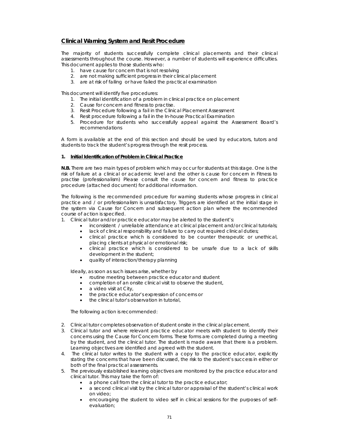### **Clinical Warning System and Resit Procedure**

The majority of students successfully complete clinical placements and their clinical assessments throughout the course. However, a number of students will experience difficulties. This document applies to those students who:

- 1. have cause for concern that is not resolving
- 2. are not making sufficient progress in their clinical placement
- 3. are at risk of failing or have failed the practical examination

This document will identify five procedures:

- 1. The initial identification of a problem in clinical practice on placement
- 2. Cause for concern and fitness to practise.
- 3. Resit Procedure following a fail in the Clinical Placement Assessment
- 4. Resit procedure following a fail in the In-house Practical Examination
- 5. Procedure for students who successfully appeal against the Assessment Board's recommendations

A form is available at the end of this section and should be used by educators, tutors and students to track the student's progress through the resit process.

#### **1. Initial Identification of Problem in Clinical Practice**

**N.B.** There are two main types of problem which may occur for students at this stage. One is the risk of failure at a clinical or academic level and the other is cause for concern in Fitness to practise (professionalism) Please consult the cause for concern and fitness to practice procedure (attached document) for additional information.

The following is the recommended procedure for warning students whose progress in clinical practice and / or professionalism is unsatisfactory. Triggers are identified at the initial stage in the system via Cause for Concern and subsequent action plan where the recommended course of action is specified.

- 1. Clinical tutor and/or practice educator may be alerted to the student's:
	- inconsistent / unreliable attendance at clinical placement and/or clinical tutorials;
	- lack of clinical responsibility and failure to carry out required clinical duties;
	- clinical practice which is considered to be counter therapeutic or unethical, placing clients at physical or emotional risk;
	- clinical practice which is considered to be unsafe due to a lack of skills development in the student;
	- quality of interaction/therapy planning

Ideally, as soon as such issues arise, whether by

- routine meeting between practice educator and student
- completion of an onsite clinical visit to observe the student,
- a video visit at City,
- the practice educator's expression of concerns or
- the clinical tutor's observation in tutorial,

The following action is recommended:

- 2. Clinical tutor completes observation of student onsite in the clinical placement.
- 3. Clinical tutor and where relevant practice educator meets with student to identify their concerns using the Cause for Concern forms. These forms are completed during a meeting by the student, and the clinical tutor. The student is made aware that there is a problem. Learning objectives are identified and agreed with the student.
- 4. The clinical tutor writes to the student with a copy to the practice educator, explicitly stating the concerns that have been discussed, the risk to the student's success in either or both of the final practical assessments.
- 5. The previously established learning objectives are monitored by the practice educator and clinical tutor. This may take the form of:
	- a phone call from the clinical tutor to the practice educator;
	- a second clinical visit by the clinical tutor or appraisal of the student's clinical work on video;
	- encouraging the student to video self in clinical sessions for the purposes of selfevaluation;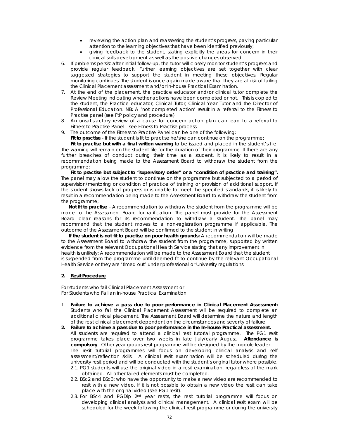- reviewing the action plan and reassessing the student's progress, paying particular attention to the learning objectives that have been identified previously;
- giving feedback to the student, stating explicitly the areas for concern in their clinical skills development as well as the positive changes observed
- 6. If problems persist after initial follow-up, the tutor will closely monitor student's progress and provide regular feedback. Further learning objectives are set together with clear suggested strategies to support the student in meeting these objectives. Regular monitoring continues. The student is once again made aware that they are at risk of failing the Clinical Placement assessment and/or In-house Practical Examination.
- 7. At the end of the placement, the practice educator and/or clinical tutor complete the Review Meeting indicating whether actions have been completed or not. This is copied to the student, the Practice educator, Clinical Tutor, Clinical Year Tutor and the Director of Professional Education. NB: A 'not completed action' result in a referral to the Fitness to Practise panel (see FtP policy and procedure)
- 8. An unsatisfactory review of a cause for concern action plan can lead to a referral to Fitness to Practise Panel – see Fitness to Practise process
- 9. The outcome of the Fitness to Practise Panel can be one of the following:

**Fit to practise** - If the student is fit to practise he/she can continue on the programme;

**Fit to practise but with a final written warning** to be issued and placed in the student's file. The warning will remain on the student file for the duration of their programme. If there are any further breaches of conduct during their time as a student, it is likely to result in a recommendation being made to the Assessment Board to withdraw the student from the programme;

**Fit to practise but subject to "supervisory order" or a "condition of practice and training".**  The panel may allow the student to continue on the programme but subjected to a period of supervision/mentoring or condition of practice of training or provision of additional support. If the student shows lack of progress or is unable to meet the specified standards, it is likely to result in a recommendation being made to the Assessment Board to withdraw the student from the programme;

**Not fit to practise** – A recommendation to withdraw the student from the programme will be made to the Assessment Board for ratification. The panel must provide for the Assessment Board clear reasons for its recommendation to withdraw a student. The panel may recommend that the student moves to a non-registration programme if applicable. The outcome of the Assessment Board will be confirmed to the student in writing

**If the student is not fit to practise on poor health grounds:** A recommendation will be made to the Assessment Board to withdraw the student from the programme, supported by written evidence from the relevant Occupational Health Service stating that any improvement in health is unlikely; A recommendation will be made to the Assessment Board that the student is suspended from the programme until deemed fit to continue by the relevant Occupational Health Service or they are 'timed out' under professional or University regulations.

#### **2. Resit Procedure**

For students who fail Clinical Placement Assessment or For Students who Fail an in-house Practical Examination

- 1. **Failure to achieve a pass due to poor performance in Clinical Placement Assessment:** Students who fail the Clinical Placement Assessment will be required to complete an additional clinical placement. The Assessment Board will determine the nature and length of the resit clinical placement dependent on the circumstances and severity of failure.
- **2. Failure to achieve a pass due to poor performance in the In-house Practical assessment.**  All students are required to attend a clinical resit tutorial programme. The PG1 resit programme takes place over two weeks in late July/early August. **Attendance is compulsory**. Other year groups resit programme will be designed by the module leader. The resit tutorial programmes will focus on developing clinical analysis and self assessment/reflection skills. A clinical resit examination will be scheduled during the university resit period and will be conducted with the student's original tutor where possible.
	- 2.1. PG1 students will use the original video in a resit examination, regardless of the mark obtained. All other failed elements must be completed.
	- 2.2. BSc2 and BSc3; who have the opportunity to make a new video are recommended to resit with a new video. If it is not possible to obtain a new video the resit can take place with the original video (see PG1 resit).
	- 2.3. For BSc4 and PGDip 2<sup>nd</sup> year resits, the resit tutorial programme will focus on developing clinical analysis and clinical management. A clinical resit exam will be scheduled for the week following the clinical resit programme or during the university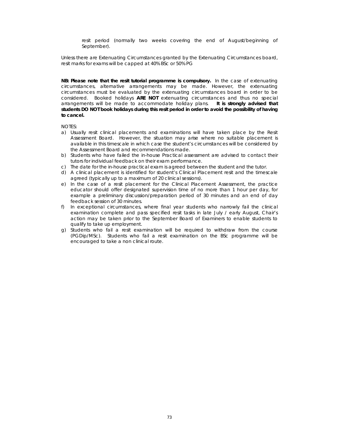resit period (normally two weeks covering the end of August/beginning of September).

Unless there are Extenuating Circumstances granted by the Extenuating Circumstances board, resit marks for exams will be capped at 40% BSc or 50% PG

**NB: Please note that the resit tutorial programme is compulsory.** In the case of extenuating circumstances, alternative arrangements may be made. However, the extenuating circumstances must be evaluated by the extenuating circumstances board in order to be considered. Booked holidays **ARE NOT** extenuating circumstances and thus no special arrangements will be made to accommodate holiday plans. **It is strongly advised that students DO NOT book holidays during this resit period in order to avoid the possibility of having to cancel.** 

NOTES:

- a) Usually resit clinical placements and examinations will have taken place by the Resit Assessment Board. However, the situation may arise where no suitable placement is available in this timescale in which case the student's circumstances will be considered by the Assessment Board and recommendations made.
- b) Students who have failed the in-house Practical assessment are advised to contact their tutors for individual feedback on their exam performance.
- c) The date for the in-house practical exam is agreed between the student and the tutor.
- d) A clinical placement is identified for student's Clinical Placement resit and the timescale agreed (typically up to a maximum of 20 clinical sessions).
- e) In the case of a resit placement for the Clinical Placement Assessment, the practice educator should offer designated supervision time of no more than 1 hour per day, for example a preliminary discussion/preparation period of 30 minutes and an end of day feedback session of 30 minutes.
- f) In exceptional circumstances, where final year students who narrowly fail the clinical examination complete and pass specified resit tasks in late July / early August, Chair's action may be taken prior to the September Board of Examiners to enable students to qualify to take up employment.
- g) Students who fail a resit examination will be required to withdraw from the course (PGDip/MSc). Students who fail a resit examination on the BSc programme will be encouraged to take a non clinical route.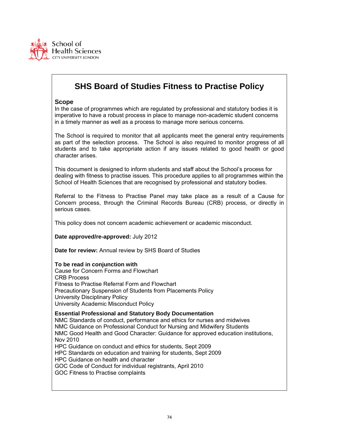

# **SHS Board of Studies Fitness to Practise Policy**

### **Scope**

In the case of programmes which are regulated by professional and statutory bodies it is imperative to have a robust process in place to manage non-academic student concerns in a timely manner as well as a process to manage more serious concerns.

The School is required to monitor that all applicants meet the general entry requirements as part of the selection process. The School is also required to monitor progress of all students and to take appropriate action if any issues related to good health or good character arises.

This document is designed to inform students and staff about the School's process for dealing with fitness to practise issues. This procedure applies to all programmes within the School of Health Sciences that are recognised by professional and statutory bodies.

Referral to the Fitness to Practise Panel may take place as a result of a Cause for Concern process, through the Criminal Records Bureau (CRB) process, or directly in serious cases.

This policy does not concern academic achievement or academic misconduct.

**Date approved/re-approved:** July 2012

**Date for review:** Annual review by SHS Board of Studies

#### **To be read in conjunction with**

Cause for Concern Forms and Flowchart CRB Process Fitness to Practise Referral Form and Flowchart Precautionary Suspension of Students from Placements Policy University Disciplinary Policy University Academic Misconduct Policy

#### **Essential Professional and Statutory Body Documentation**

NMC Standards of conduct, performance and ethics for nurses and midwives NMC Guidance on Professional Conduct for Nursing and Midwifery Students NMC Good Health and Good Character: Guidance for approved education institutions, Nov 2010

HPC Guidance on conduct and ethics for students, Sept 2009

HPC Standards on education and training for students, Sept 2009

HPC Guidance on health and character

GOC Code of Conduct for individual registrants, April 2010

GOC Fitness to Practise complaints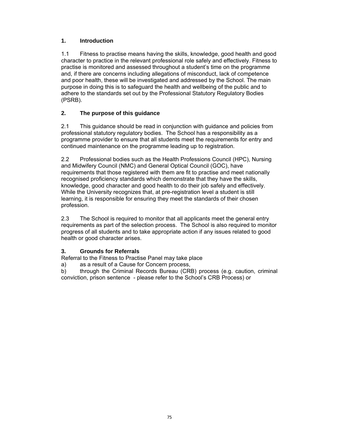### **1. Introduction**

1.1 Fitness to practise means having the skills, knowledge, good health and good character to practice in the relevant professional role safely and effectively. Fitness to practise is monitored and assessed throughout a student's time on the programme and, if there are concerns including allegations of misconduct, lack of competence and poor health, these will be investigated and addressed by the School. The main purpose in doing this is to safeguard the health and wellbeing of the public and to adhere to the standards set out by the Professional Statutory Regulatory Bodies (PSRB).

### **2. The purpose of this guidance**

2.1 This guidance should be read in conjunction with guidance and policies from professional statutory regulatory bodies. The School has a responsibility as a programme provider to ensure that all students meet the requirements for entry and continued maintenance on the programme leading up to registration.

2.2 Professional bodies such as the Health Professions Council (HPC), Nursing and Midwifery Council (NMC) and General Optical Council (GOC), have requirements that those registered with them are fit to practise and meet nationally recognised proficiency standards which demonstrate that they have the skills, knowledge, good character and good health to do their job safely and effectively. While the University recognizes that, at pre-registration level a student is still learning, it is responsible for ensuring they meet the standards of their chosen profession.

2.3 The School is required to monitor that all applicants meet the general entry requirements as part of the selection process. The School is also required to monitor progress of all students and to take appropriate action if any issues related to good health or good character arises.

### **3. Grounds for Referrals**

Referral to the Fitness to Practise Panel may take place

- a) as a result of a Cause for Concern process,
- b) through the Criminal Records Bureau (CRB) process (e.g. caution, criminal conviction, prison sentence - please refer to the School's CRB Process) or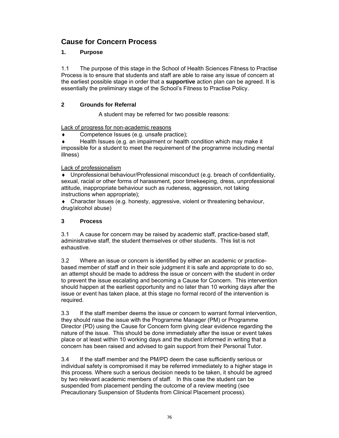## **Cause for Concern Process**

### **1. Purpose**

1.1 The purpose of this stage in the School of Health Sciences Fitness to Practise Process is to ensure that students and staff are able to raise any issue of concern at the earliest possible stage in order that a **supportive** action plan can be agreed. It is essentially the preliminary stage of the School's Fitness to Practise Policy.

### **2 Grounds for Referral**

A student may be referred for two possible reasons:

Lack of progress for non-academic reasons

Competence Issues (e.g. unsafe practice);

Health Issues (e.g. an impairment or health condition which may make it impossible for a student to meet the requirement of the programme including mental illness)

### Lack of professionalism

 Unprofessional behaviour/Professional misconduct (e.g. breach of confidentiality, sexual, racial or other forms of harassment, poor timekeeping, dress, unprofessional attitude, inappropriate behaviour such as rudeness, aggression, not taking instructions when appropriate);

 Character Issues (e.g. honesty, aggressive, violent or threatening behaviour, drug/alcohol abuse)

### **3 Process**

3.1 A cause for concern may be raised by academic staff, practice-based staff, administrative staff, the student themselves or other students. This list is not exhaustive.

3.2 Where an issue or concern is identified by either an academic or practicebased member of staff and in their sole judgment it is safe and appropriate to do so, an attempt should be made to address the issue or concern with the student in order to prevent the issue escalating and becoming a Cause for Concern. This intervention should happen at the earliest opportunity and no later than 10 working days after the issue or event has taken place, at this stage no formal record of the intervention is required.

3.3 If the staff member deems the issue or concern to warrant formal intervention, they should raise the issue with the Programme Manager (PM) or Programme Director (PD) using the Cause for Concern form giving clear evidence regarding the nature of the issue. This should be done immediately after the issue or event takes place or at least within 10 working days and the student informed in writing that a concern has been raised and advised to gain support from their Personal Tutor.

3.4 If the staff member and the PM/PD deem the case sufficiently serious or individual safety is compromised it may be referred immediately to a higher stage in this process. Where such a serious decision needs to be taken, it should be agreed by two relevant academic members of staff. In this case the student can be suspended from placement pending the outcome of a review meeting (see Precautionary Suspension of Students from Clinical Placement process).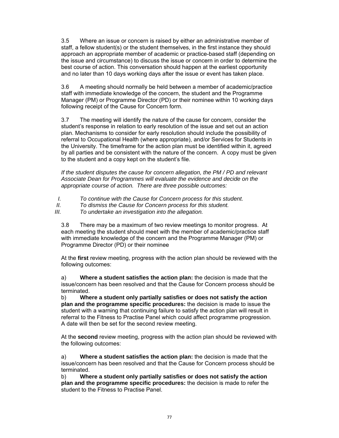3.5 Where an issue or concern is raised by either an administrative member of staff, a fellow student(s) or the student themselves, in the first instance they should approach an appropriate member of academic or practice-based staff (depending on the issue and circumstance) to discuss the issue or concern in order to determine the best course of action. This conversation should happen at the earliest opportunity and no later than 10 days working days after the issue or event has taken place.

3.6 A meeting should normally be held between a member of academic/practice staff with immediate knowledge of the concern, the student and the Programme Manager (PM) or Programme Director (PD) or their nominee within 10 working days following receipt of the Cause for Concern form.

3.7 The meeting will identify the nature of the cause for concern, consider the student's response in relation to early resolution of the issue and set out an action plan. Mechanisms to consider for early resolution should include the possibility of referral to Occupational Health (where appropriate), and/or Services for Students in the University. The timeframe for the action plan must be identified within it, agreed by all parties and be consistent with the nature of the concern. A copy must be given to the student and a copy kept on the student's file.

*If the student disputes the cause for concern allegation, the PM / PD and relevant Associate Dean for Programmes will evaluate the evidence and decide on the appropriate course of action. There are three possible outcomes:* 

- *I. To continue with the Cause for Concern process for this student.*
- *II. To dismiss the Cause for Concern process for this student.*

*III. To undertake an investigation into the allegation.* 

3.8 There may be a maximum of two review meetings to monitor progress. At each meeting the student should meet with the member of academic/practice staff with immediate knowledge of the concern and the Programme Manager (PM) or Programme Director (PD) or their nominee

At the **first** review meeting, progress with the action plan should be reviewed with the following outcomes:

a) **Where a student satisfies the action plan:** the decision is made that the issue/concern has been resolved and that the Cause for Concern process should be terminated.

b) **Where a student only partially satisfies or does not satisfy the action plan and the programme specific procedures:** the decision is made to issue the student with a warning that continuing failure to satisfy the action plan will result in referral to the Fitness to Practise Panel which could affect programme progression. A date will then be set for the second review meeting.

At the **second** review meeting, progress with the action plan should be reviewed with the following outcomes:

a) **Where a student satisfies the action plan:** the decision is made that the issue/concern has been resolved and that the Cause for Concern process should be terminated.

b) **Where a student only partially satisfies or does not satisfy the action plan and the programme specific procedures:** the decision is made to refer the student to the Fitness to Practise Panel.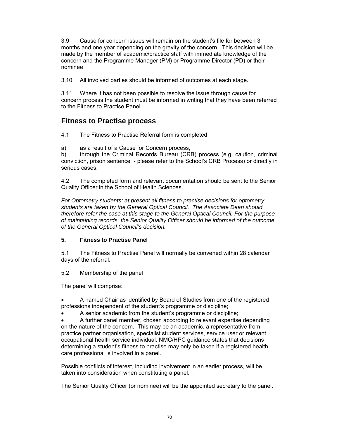3.9 Cause for concern issues will remain on the student's file for between 3 months and one year depending on the gravity of the concern. This decision will be made by the member of academic/practice staff with immediate knowledge of the concern and the Programme Manager (PM) or Programme Director (PD) or their nominee

3.10 All involved parties should be informed of outcomes at each stage.

3.11 Where it has not been possible to resolve the issue through cause for concern process the student must be informed in writing that they have been referred to the Fitness to Practise Panel.

## **Fitness to Practise process**

4.1 The Fitness to Practise Referral form is completed:

a) as a result of a Cause for Concern process,

b) through the Criminal Records Bureau (CRB) process (e.g. caution, criminal conviction, prison sentence - please refer to the School's CRB Process) or directly in serious cases.

4.2 The completed form and relevant documentation should be sent to the Senior Quality Officer in the School of Health Sciences.

*For Optometry students: at present all fitness to practise decisions for optometry students are taken by the General Optical Council. The Associate Dean should therefore refer the case at this stage to the General Optical Council. For the purpose of maintaining records, the Senior Quality Officer should be informed of the outcome of the General Optical Council's decision.* 

### **5. Fitness to Practise Panel**

5.1 The Fitness to Practise Panel will normally be convened within 28 calendar days of the referral.

### 5.2 Membership of the panel

The panel will comprise:

 A named Chair as identified by Board of Studies from one of the registered professions independent of the student's programme or discipline;

A senior academic from the student's programme or discipline;

 A further panel member, chosen according to relevant expertise depending on the nature of the concern. This may be an academic, a representative from practice partner organisation, specialist student services, service user or relevant occupational health service individual. NMC/HPC guidance states that decisions determining a student's fitness to practise may only be taken if a registered health care professional is involved in a panel.

Possible conflicts of interest, including involvement in an earlier process, will be taken into consideration when constituting a panel.

The Senior Quality Officer (or nominee) will be the appointed secretary to the panel.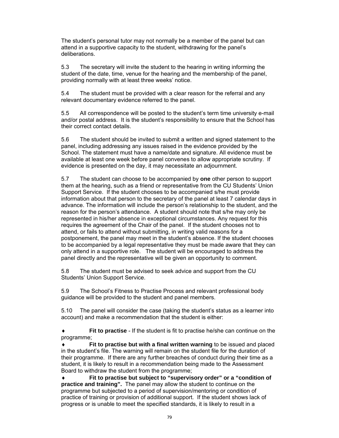The student's personal tutor may not normally be a member of the panel but can attend in a supportive capacity to the student, withdrawing for the panel's deliberations.

5.3 The secretary will invite the student to the hearing in writing informing the student of the date, time, venue for the hearing and the membership of the panel, providing normally with at least three weeks' notice.

5.4 The student must be provided with a clear reason for the referral and any relevant documentary evidence referred to the panel.

5.5 All correspondence will be posted to the student's term time university e-mail and/or postal address. It is the student's responsibility to ensure that the School has their correct contact details.

5.6 The student should be invited to submit a written and signed statement to the panel, including addressing any issues raised in the evidence provided by the School. The statement must have a name/date and signature. All evidence must be available at least one week before panel convenes to allow appropriate scrutiny. If evidence is presented on the day, it may necessitate an adjournment.

5.7 The student can choose to be accompanied by **one** other person to support them at the hearing, such as a friend or representative from the CU Students' Union Support Service. If the student chooses to be accompanied s/he must provide information about that person to the secretary of the panel at least 7 calendar days in advance. The information will include the person's relationship to the student, and the reason for the person's attendance. A student should note that s/he may only be represented in his/her absence in exceptional circumstances. Any request for this requires the agreement of the Chair of the panel. If the student chooses not to attend, or fails to attend without submitting, in writing valid reasons for a postponement, the panel may meet in the student's absence. If the student chooses to be accompanied by a legal representative they must be made aware that they can only attend in a supportive role. The student will be encouraged to address the panel directly and the representative will be given an opportunity to comment.

5.8 The student must be advised to seek advice and support from the CU Students' Union Support Service.

5.9 The School's Fitness to Practise Process and relevant professional body guidance will be provided to the student and panel members.

5.10 The panel will consider the case (taking the student's status as a learner into account) and make a recommendation that the student is either:

 **Fit to practise** - If the student is fit to practise he/she can continue on the programme;

 **Fit to practise but with a final written warning** to be issued and placed in the student's file. The warning will remain on the student file for the duration of their programme. If there are any further breaches of conduct during their time as a student, it is likely to result in a recommendation being made to the Assessment Board to withdraw the student from the programme;

 **Fit to practise but subject to "supervisory order" or a "condition of practice and training".** The panel may allow the student to continue on the programme but subjected to a period of supervision/mentoring or condition of practice of training or provision of additional support. If the student shows lack of progress or is unable to meet the specified standards, it is likely to result in a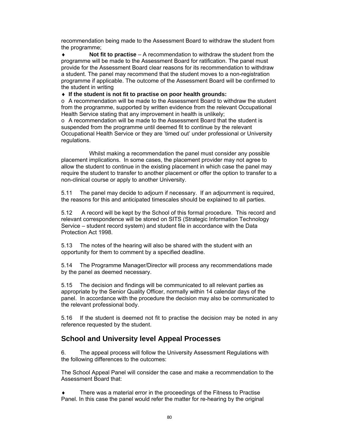recommendation being made to the Assessment Board to withdraw the student from the programme;

 **Not fit to practise** – A recommendation to withdraw the student from the programme will be made to the Assessment Board for ratification. The panel must provide for the Assessment Board clear reasons for its recommendation to withdraw a student. The panel may recommend that the student moves to a non-registration programme if applicable. The outcome of the Assessment Board will be confirmed to the student in writing

**If the student is not fit to practise on poor health grounds:**

 $\circ$  A recommendation will be made to the Assessment Board to withdraw the student from the programme, supported by written evidence from the relevant Occupational Health Service stating that any improvement in health is unlikely;

 $\circ$  A recommendation will be made to the Assessment Board that the student is suspended from the programme until deemed fit to continue by the relevant Occupational Health Service or they are 'timed out' under professional or University regulations.

 Whilst making a recommendation the panel must consider any possible placement implications. In some cases, the placement provider may not agree to allow the student to continue in the existing placement in which case the panel may require the student to transfer to another placement or offer the option to transfer to a non-clinical course or apply to another University.

5.11 The panel may decide to adjourn if necessary. If an adjournment is required, the reasons for this and anticipated timescales should be explained to all parties.

5.12 A record will be kept by the School of this formal procedure. This record and relevant correspondence will be stored on SITS (Strategic Information Technology Service – student record system) and student file in accordance with the Data Protection Act 1998.

5.13 The notes of the hearing will also be shared with the student with an opportunity for them to comment by a specified deadline.

5.14 The Programme Manager/Director will process any recommendations made by the panel as deemed necessary.

5.15 The decision and findings will be communicated to all relevant parties as appropriate by the Senior Quality Officer, normally within 14 calendar days of the panel. In accordance with the procedure the decision may also be communicated to the relevant professional body.

5.16 If the student is deemed not fit to practise the decision may be noted in any reference requested by the student.

## **School and University level Appeal Processes**

6. The appeal process will follow the University Assessment Regulations with the following differences to the outcomes:

The School Appeal Panel will consider the case and make a recommendation to the Assessment Board that:

 There was a material error in the proceedings of the Fitness to Practise Panel. In this case the panel would refer the matter for re-hearing by the original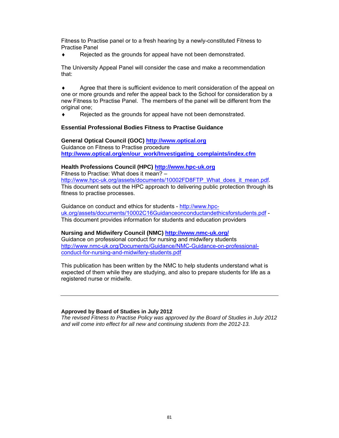Fitness to Practise panel or to a fresh hearing by a newly-constituted Fitness to Practise Panel

◆ Rejected as the grounds for appeal have not been demonstrated.

The University Appeal Panel will consider the case and make a recommendation that:

 Agree that there is sufficient evidence to merit consideration of the appeal on one or more grounds and refer the appeal back to the School for consideration by a new Fitness to Practise Panel. The members of the panel will be different from the original one;

◆ Rejected as the grounds for appeal have not been demonstrated.

#### **Essential Professional Bodies Fitness to Practise Guidance**

**General Optical Council (GOC) http://www.optical.org**  Guidance on Fitness to Practise procedure **http://www.optical.org/en/our\_work/Investigating\_complaints/index.cfm** 

### **Health Professions Council (HPC) http://www.hpc-uk.org**

Fitness to Practise: What does it mean? – http://www.hpc-uk.org/assets/documents/10002FD8FTP\_What\_does\_it\_mean.pdf. This document sets out the HPC approach to delivering public protection through its fitness to practise processes.

Guidance on conduct and ethics for students - http://www.hpcuk.org/assets/documents/10002C16Guidanceonconductandethicsforstudents.pdf - This document provides information for students and education providers

#### **Nursing and Midwifery Council (NMC) http://www.nmc-uk.org/**

Guidance on professional conduct for nursing and midwifery students http://www.nmc-uk.org/Documents/Guidance/NMC-Guidance-on-professionalconduct-for-nursing-and-midwifery-students.pdf

This publication has been written by the NMC to help students understand what is expected of them while they are studying, and also to prepare students for life as a registered nurse or midwife.

#### **Approved by Board of Studies in July 2012**

*The revised Fitness to Practise Policy was approved by the Board of Studies in July 2012 and will come into effect for all new and continuing students from the 2012-13.*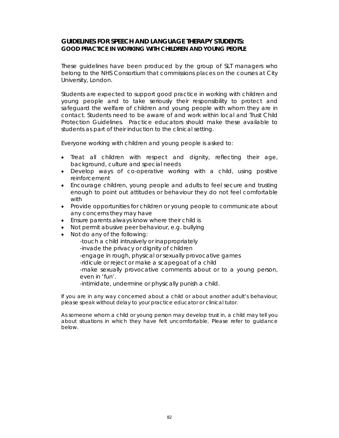### **GUIDELINES FOR SPEECH AND LANGUAGE THERAPY STUDENTS: GOOD PRACTICE IN WORKING WITH CHILDREN AND YOUNG PEOPLE**

These guidelines have been produced by the group of SLT managers who belong to the NHS Consortium that commissions places on the courses at City University, London.

Students are expected to support good practice in working with children and young people and to take seriously their responsibility to protect and safeguard the welfare of children and young people with whom they are in contact. Students need to be aware of and work within local and Trust Child Protection Guidelines. Practice educators should make these available to students as part of their induction to the clinical setting.

Everyone working with children and young people is asked to:

- Treat all children with respect and dignity, reflecting their age, background, culture and special needs
- Develop ways of co-operative working with a child, using positive reinforcement
- Encourage children, young people and adults to feel secure and trusting enough to point out attitudes or behaviour they do not feel comfortable with
- Provide opportunities for children or young people to communicate about any concerns they may have
- Ensure parents always know where their child is
- Not permit abusive peer behaviour, e.g. bullying
- Not do any of the following:
	- -touch a child intrusively or inappropriately
	- -invade the privacy or dignity of children
	- -engage in rough, physical or sexually provocative games
	- -ridicule or reject or make a scapegoat of a child

-make sexually provocative comments about or to a young person, even in 'fun'.

-intimidate, undermine or physically punish a child.

If you are in any way concerned about a child or about another adult's behaviour, please speak without delay to your practice educator or clinical tutor.

As someone whom a child or young person may develop trust in, a child may tell you about situations in which they have felt uncomfortable. Please refer to guidance below.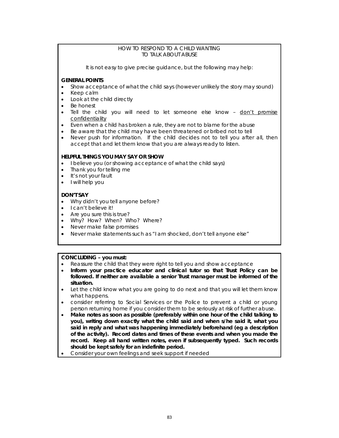#### HOW TO RESPOND TO A CHILD WANTING TO TALK ABOUT ABUSE

It is not easy to give precise guidance, but the following may help:

### **GENERAL POINTS**

- Show acceptance of what the child says (however unlikely the story may sound)
- Keep calm
- Look at the child directly
- Be honest
- Tell the child you will need to let someone else know don't promise confidentiality
- Even when a child has broken a rule, they are not to blame for the abuse
- Be aware that the child may have been threatened or bribed not to tell
- Never push for information. If the child decides not to tell you after all, then accept that and let them know that you are always ready to listen.

#### **HELPFUL THINGS YOU MAY SAY OR SHOW**

- I believe you (or showing acceptance of what the child says)
- Thank you for telling me
- It's not your fault
- I will help you

#### **DON'T SAY**

- Why didn't you tell anyone before?
- I can't believe it!
- Are you sure this is true?
- Why? How? When? Who? Where?
- Never make false promises
- Never make statements such as "I am shocked, don't tell anyone else"

### **CONCLUDING – you must:**

- Reassure the child that they were right to tell you and show acceptance
- **Inform your practice educator and clinical tutor so that Trust Policy can be followed. If neither are available a senior Trust manager must be informed of the situation.**
- Let the child know what you are going to do next and that you will let them know what happens.
- consider referring to Social Services or the Police to prevent a child or young person returning home if you consider them to be seriously at risk of further abuse.
- **Make notes as soon as possible (preferably within one hour of the child talking to you), writing down exactly what the child said and when s/he said it, what you said in reply and what was happening immediately beforehand (eg a description of the activity). Record dates and times of these events and when you made the record. Keep all hand written notes, even if subsequently typed. Such records should be kept safely for an indefinite period.**
- Consider your own feelings and seek support if needed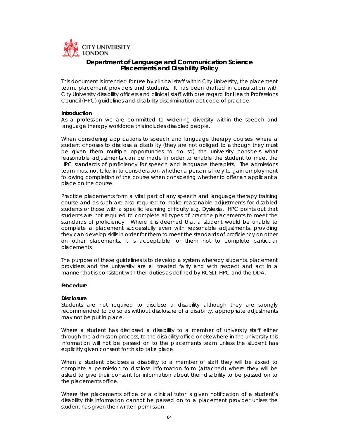

### **Department of Language and Communication Science Placements and Disability Policy**

This document is intended for use by clinical staff within City University, the placement team, placement providers and students. It has been drafted in consultation with City University disability officers and clinical staff with due regard for Health Professions Council (HPC) guidelines and disability discrimination act code of practice.

#### *Introduction*

As a profession we are committed to widening diversity within the speech and language therapy workforce this includes disabled people.

When considering applications to speech and language therapy courses, where a student chooses to disclose a disability (they are not obliged to although they must be given them multiple opportunities to do so) the university considers what reasonable adjustments can be made in order to enable the student to meet the HPC standards of proficiency for speech and language therapists. The admissions team must not take in to consideration whether a person is likely to gain employment following completion of the course when considering whether to offer an applicant a place on the course.

Practice placements form a vital part of any speech and language therapy training course and as such are also required to make reasonable adjustments for disabled students or those with a specific learning difficulty e.g. Dyslexia. HPC points out that students are not required to complete all types of practice placements to meet the standards of proficiency. Where it is deemed that a student would be unable to complete a placement successfully even with reasonable adjustments, providing they can develop skills in order for them to meet the standards of proficiency on other on other placements, it is acceptable for them not to complete particular placements.

The purpose of these guidelines is to develop a system whereby students, placement providers and the university are all treated fairly and with respect and act in a manner that is consistent with their duties as defined by RCSLT, HPC and the DDA.

#### *Procedure*

#### **Disclosure**

Students are not required to disclose a disability although they are strongly recommended to do so as without disclosure of a disability, appropriate adjustments may not be put in place.

Where a student has disclosed a disability to a member of university staff either through the admission process, to the disability office or elsewhere in the university this information will not be passed on to the placements team unless the student has explicitly given consent for this to take place.

When a student discloses a disability to a member of staff they will be asked to complete a permission to disclose information form (attached) where they will be asked to give their consent for information about their disability to be passed on to the placements office.

Where the placements office or a clinical tutor is given notification of a student's disability this information cannot be passed on to a placement provider unless the student has given their written permission.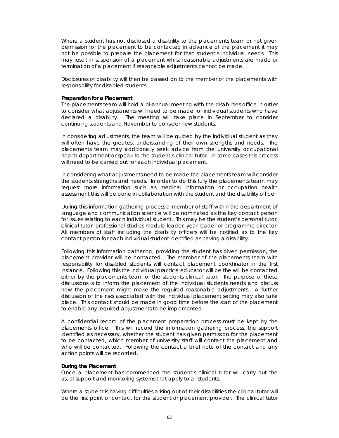Where a student has not disclosed a disability to the placements team or not given permission for the placement to be contacted in advance of the placement it may not be possible to prepare the placement for that student's individual needs. This may result in suspension of a placement whilst reasonable adjustments are made or termination of a placement if reasonable adjustments cannot be made.

Disclosures of disability will then be passed on to the member of the placements with responsibility for disabled students.

#### **Preparation for a Placement**

The placements team will hold a bi-annual meeting with the disabilities office in order to consider what adjustments will need to be made for individual students who have declared a disability. The meeting will take place in September to consider continuing students and November to consider new students.

In considering adjustments, the team will be guided by the individual student as they will often have the greatest understanding of their own strengths and needs. The placements team may additionally seek advice from the university occupational health department or speak to the student's clinical tutor. In some cases this process will need to be carried out for each individual placement.

In considering what adjustments need to be made the placements team will consider the students strengths and needs. In order to do this fully the placements team may request more information such as medical information or occupation health assessment this will be done in collaboration with the student and the disability office.

During this information gathering process a member of staff within the department of language and communication science will be nominated as the key contact person for issues relating to each individual student. This may be the student's personal tutor, clinical tutor, professional studies module leader, year leader or programme director. All members of staff including the disability officers will be notified as to the key contact person for each individual student identified as having a disability.

Following this information gathering, providing the student has given permission, the placement provider will be contacted. The member of the placements team with responsibility for disabled students will contact placement coordinator in the first instance. Following this the individual practice educator will be the will be contacted either by the placements team or the students clinical tutor. The purpose of these discussions is to inform the placement of the individual students needs and discuss how the placement might make the required reasonable adjustments. A further discussion of the risks associated with the individual placement setting may also take place. This contact should be made in good time before the start of the placement to enable any required adjustments to be implemented.

A confidential record of the placement preparation process must be kept by the placements office. This will record the information gathering process, the support identified as necessary, whether the student has given permission for the placement to be contacted, which member of university staff will contact the placement and who will be contacted. Following the contact a brief note of the contact and any action points will be recorded.

#### **During the Placement**

Once a placement has commenced the student's clinical tutor will carry out the usual support and monitoring systems that apply to all students.

Where a student is having difficulties arising out of their disabilities the clinical tutor will be the first point of contact for the student or placement provider. The clinical tutor